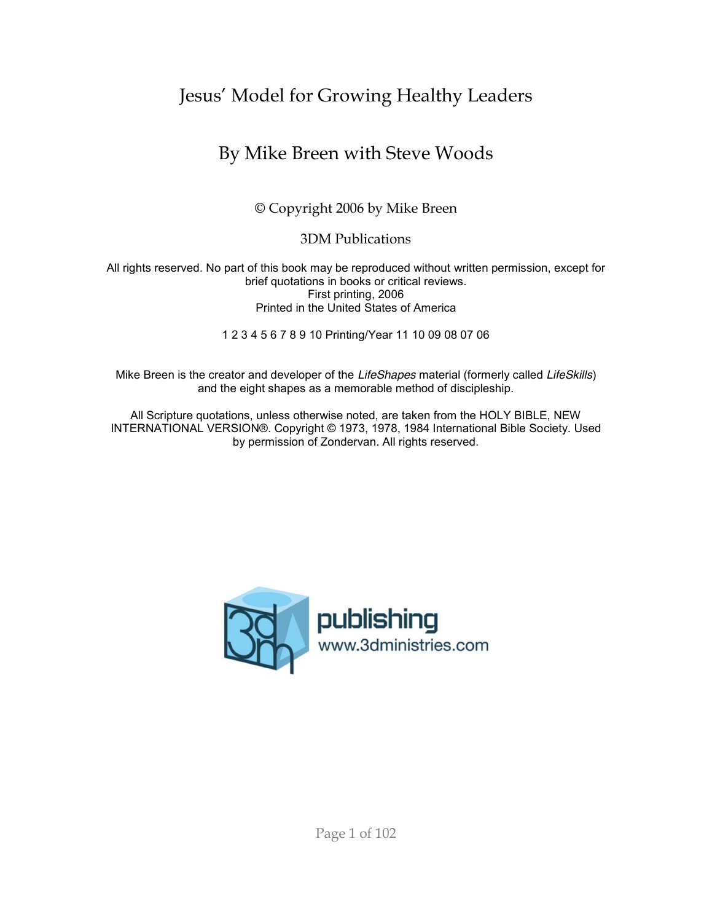# Jesus' Model for Growing Healthy Leaders

# By Mike Breen with Steve Woods

© Copyright 2006 by Mike Breen

3DM Publications

All rights reserved. No part of this book may be reproduced without written permission, except for brief quotations in books or critical reviews. First printing, 2006 Printed in the United States of America

1 2 3 4 5 6 7 8 9 10 Printing/Year 11 10 09 08 07 06

Mike Breen is the creator and developer of the *LifeShapes* material (formerly called *LifeSkills*) and the eight shapes as a memorable method of discipleship.

All Scripture quotations, unless otherwise noted, are taken from the HOLY BIBLE, NEW INTERNATIONAL VERSION®. Copyright © 1973, 1978, 1984 International Bible Society. Used by permission of Zondervan. All rights reserved.

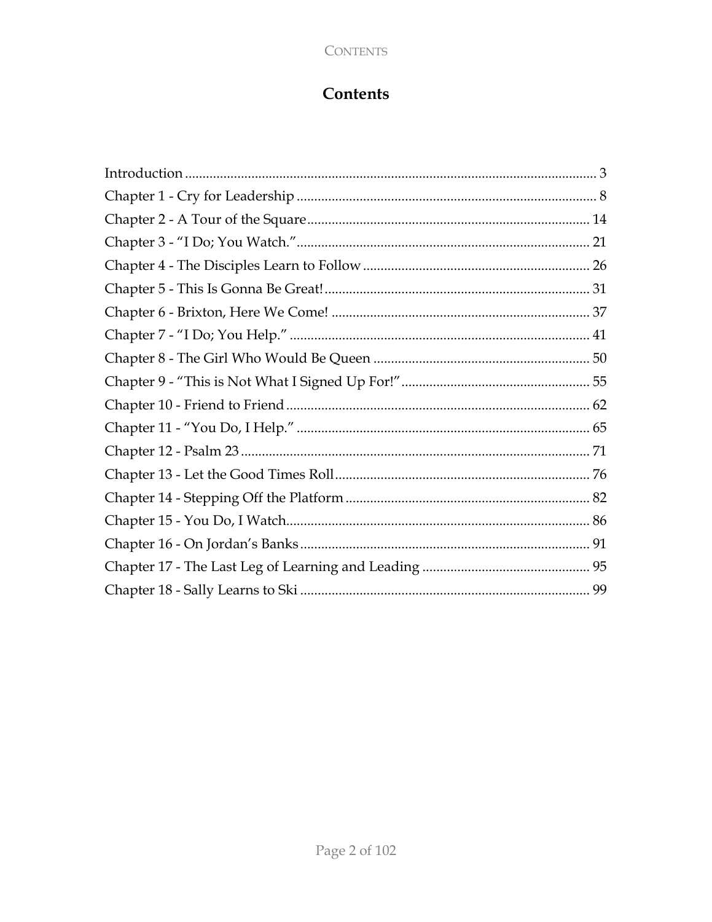## CONTENTS

# $Contents$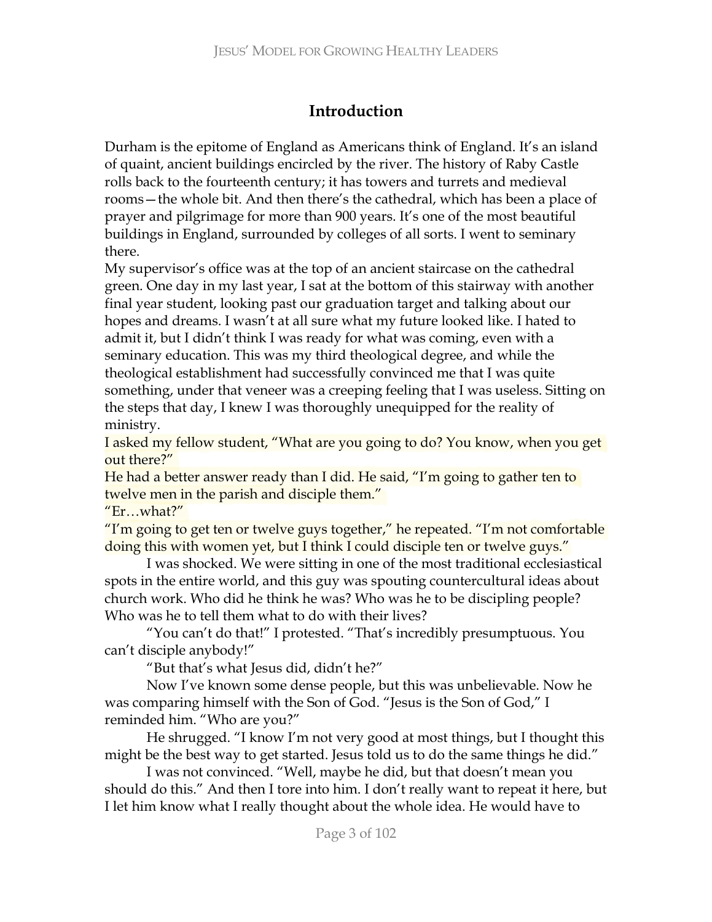# **Introduction**

Durham is the epitome of England as Americans think of England. It's an island of quaint, ancient buildings encircled by the river. The history of Raby Castle rolls back to the fourteenth century; it has towers and turrets and medieval rooms—the whole bit. And then there's the cathedral, which has been a place of prayer and pilgrimage for more than 900 years. It's one of the most beautiful buildings in England, surrounded by colleges of all sorts. I went to seminary there.

My supervisor's office was at the top of an ancient staircase on the cathedral green. One day in my last year, I sat at the bottom of this stairway with another final year student, looking past our graduation target and talking about our hopes and dreams. I wasn't at all sure what my future looked like. I hated to admit it, but I didn't think I was ready for what was coming, even with a seminary education. This was my third theological degree, and while the theological establishment had successfully convinced me that I was quite something, under that veneer was a creeping feeling that I was useless. Sitting on the steps that day, I knew I was thoroughly unequipped for the reality of ministry.

I asked my fellow student, "What are you going to do? You know, when you get out there?"

He had a better answer ready than I did. He said, "I'm going to gather ten to twelve men in the parish and disciple them."

 $"Er...what?"$ 

"I'm going to get ten or twelve guys together," he repeated. "I'm not comfortable doing this with women yet, but I think I could disciple ten or twelve guys."

I was shocked. We were sitting in one of the most traditional ecclesiastical spots in the entire world, and this guy was spouting countercultural ideas about church work. Who did he think he was? Who was he to be discipling people? Who was he to tell them what to do with their lives?

"You can't do that!" I protested. "That's incredibly presumptuous. You can't disciple anybody!"

"But that's what Jesus did, didn't he?"

Now I've known some dense people, but this was unbelievable. Now he was comparing himself with the Son of God. "Jesus is the Son of God," I reminded him. "Who are you?"

He shrugged. "I know I'm not very good at most things, but I thought this might be the best way to get started. Jesus told us to do the same things he did."

I was not convinced. "Well, maybe he did, but that doesn't mean you should do this." And then I tore into him. I don't really want to repeat it here, but I let him know what I really thought about the whole idea. He would have to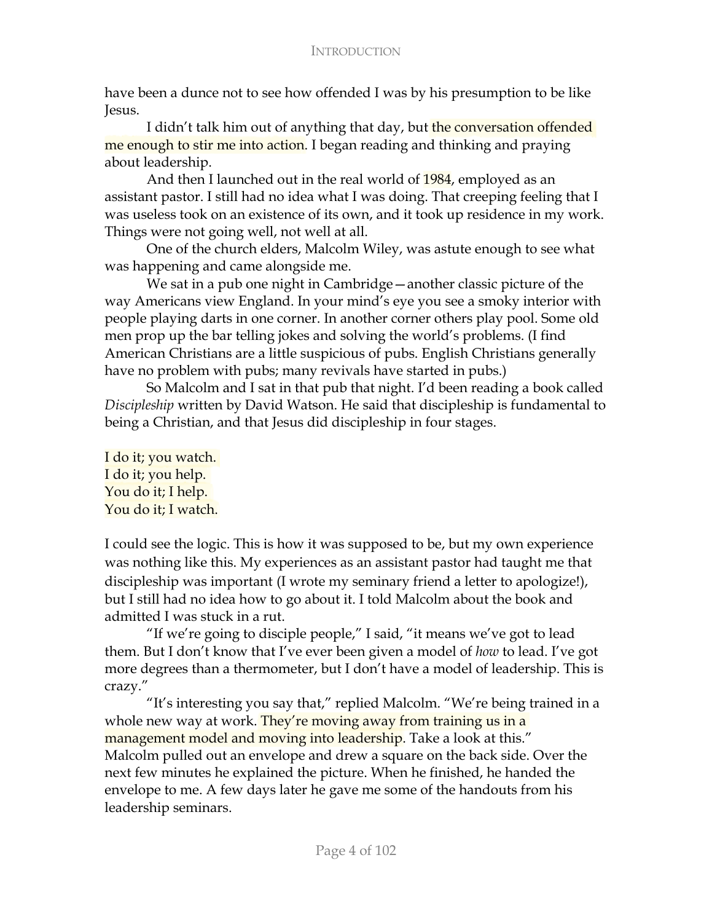have been a dunce not to see how offended I was by his presumption to be like Tesus.

I didn't talk him out of anything that day, but the conversation offended me enough to stir me into action. I began reading and thinking and praying about leadership.

And then I launched out in the real world of 1984, employed as an assistant pastor. I still had no idea what I was doing. That creeping feeling that I was useless took on an existence of its own, and it took up residence in my work. Things were not going well, not well at all.

One of the church elders, Malcolm Wiley, was astute enough to see what was happening and came alongside me.

We sat in a pub one night in Cambridge—another classic picture of the way Americans view England. In your mind's eye you see a smoky interior with people playing darts in one corner. In another corner others play pool. Some old men prop up the bar telling jokes and solving the world's problems. (I find American Christians are a little suspicious of pubs. English Christians generally have no problem with pubs; many revivals have started in pubs.)

So Malcolm and I sat in that pub that night. I'd been reading a book called *Discipleship* written by David Watson. He said that discipleship is fundamental to being a Christian, and that Jesus did discipleship in four stages.

I do it; you watch. I do it; you help. You do it; I help. You do it; I watch.

I could see the logic. This is how it was supposed to be, but my own experience was nothing like this. My experiences as an assistant pastor had taught me that discipleship was important (I wrote my seminary friend a letter to apologize!), but I still had no idea how to go about it. I told Malcolm about the book and admitted I was stuck in a rut.

"If we're going to disciple people," I said, "it means we've got to lead them. But I don't know that I've ever been given a model of *how* to lead. I've got more degrees than a thermometer, but I don't have a model of leadership. This is crazy."

"It's interesting you say that," replied Malcolm. "We're being trained in a whole new way at work. They're moving away from training us in a management model and moving into leadership. Take a look at this." Malcolm pulled out an envelope and drew a square on the back side. Over the next few minutes he explained the picture. When he finished, he handed the envelope to me. A few days later he gave me some of the handouts from his leadership seminars.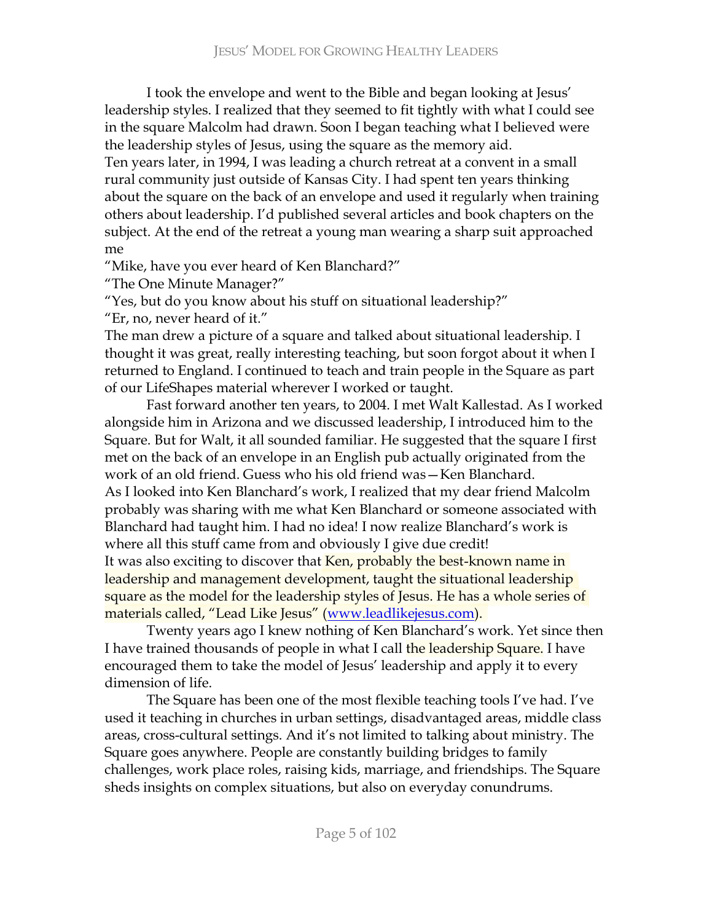I took the envelope and went to the Bible and began looking at Jesus' leadership styles. I realized that they seemed to fit tightly with what I could see in the square Malcolm had drawn. Soon I began teaching what I believed were the leadership styles of Jesus, using the square as the memory aid.

Ten years later, in 1994, I was leading a church retreat at a convent in a small rural community just outside of Kansas City. I had spent ten years thinking about the square on the back of an envelope and used it regularly when training others about leadership. I'd published several articles and book chapters on the subject. At the end of the retreat a young man wearing a sharp suit approached me.

"Mike, have you ever heard of Ken Blanchard?"

"The One Minute Manager?"

"Yes, but do you know about his stuff on situational leadership?"

 $"E$ r, no, never heard of it."

The man drew a picture of a square and talked about situational leadership. I thought it was great, really interesting teaching, but soon forgot about it when I returned to England. I continued to teach and train people in the Square as part of our LifeShapes material wherever I worked or taught.

Fast forward another ten years, to 2004. I met Walt Kallestad. As I worked alongside him in Arizona and we discussed leadership, I introduced him to the Square. But for Walt, it all sounded familiar. He suggested that the square I first met on the back of an envelope in an English pub actually originated from the work of an old friend. Guess who his old friend was - Ken Blanchard. As I looked into Ken Blanchard's work, I realized that my dear friend Malcolm probably was sharing with me what Ken Blanchard or someone associated with Blanchard had taught him. I had no idea! I now realize Blanchard's work is where all this stuff came from and obviously I give due credit! It was also exciting to discover that Ken, probably the best-known name in leadership and management development, taught the situational leadership square as the model for the leadership styles of Jesus. He has a whole series of materials called, "Lead Like Jesus" (www.leadlikejesus.com).

Twenty years ago I knew nothing of Ken Blanchard's work. Yet since then I have trained thousands of people in what I call the leadership Square. I have encouraged them to take the model of Jesus' leadership and apply it to every dimension of life.

The Square has been one of the most flexible teaching tools I've had. I've used it teaching in churches in urban settings, disadvantaged areas, middle class areas, cross-cultural settings. And it's not limited to talking about ministry. The Square goes anywhere. People are constantly building bridges to family challenges, work place roles, raising kids, marriage, and friendships. The Square sheds insights on complex situations, but also on everyday conundrums.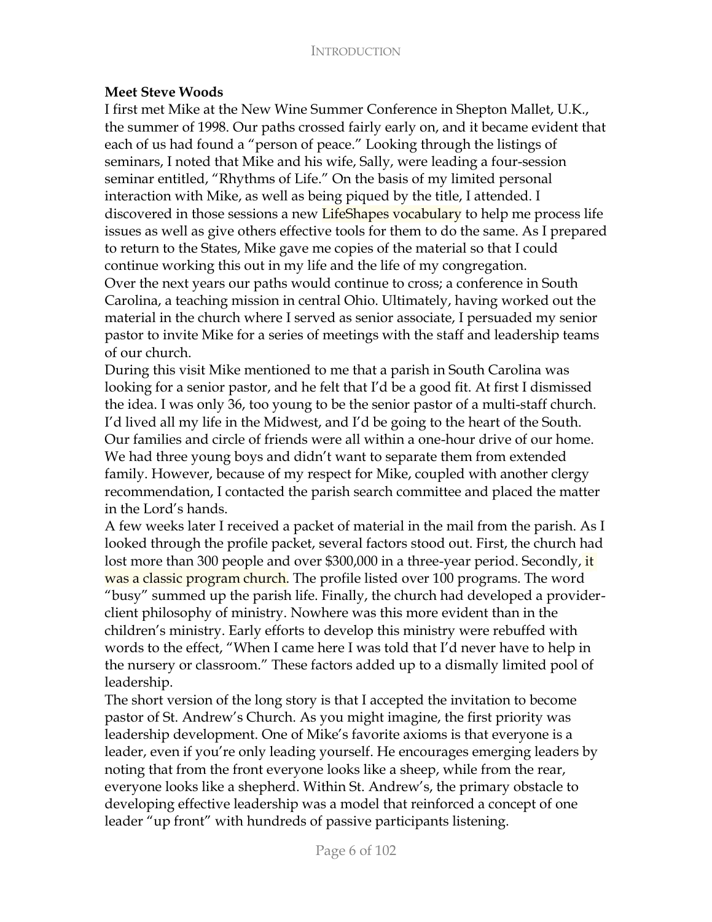## Meet Steve Woods

I first met Mike at the New Wine Summer Conference in Shepton Mallet, U.K., the summer of 1998. Our paths crossed fairly early on, and it became evident that each of us had found a "person of peace." Looking through the listings of seminars, I noted that Mike and his wife, Sally, were leading a four-session seminar entitled, "Rhythms of Life." On the basis of my limited personal interaction with Mike, as well as being piqued by the title, I attended. I discovered in those sessions a new LifeShapes vocabulary to help me process life issues as well as give others effective tools for them to do the same. As I prepared to return to the States, Mike gave me copies of the material so that I could continue working this out in my life and the life of my congregation. Over the next years our paths would continue to cross; a conference in South Carolina, a teaching mission in central Ohio. Ultimately, having worked out the material in the church where I served as senior associate, I persuaded my senior pastor to invite Mike for a series of meetings with the staff and leadership teams of our church.

During this visit Mike mentioned to me that a parish in South Carolina was looking for a senior pastor, and he felt that I'd be a good fit. At first I dismissed the idea. I was only 36, too young to be the senior pastor of a multi-staff church. I'd lived all my life in the Midwest, and I'd be going to the heart of the South. Our families and circle of friends were all within a one-hour drive of our home. We had three young boys and didn't want to separate them from extended family. However, because of my respect for Mike, coupled with another clergy recommendation, I contacted the parish search committee and placed the matter in the Lord's hands.

A few weeks later I received a packet of material in the mail from the parish. As I looked through the profile packet, several factors stood out. First, the church had lost more than 300 people and over \$300,000 in a three-year period. Secondly, it was a classic program church. The profile listed over 100 programs. The word "busy" summed up the parish life. Finally, the church had developed a providerclient philosophy of ministry. Nowhere was this more evident than in the children's ministry. Early efforts to develop this ministry were rebuffed with words to the effect, "When I came here I was told that I'd never have to help in the nursery or classroom." These factors added up to a dismally limited pool of leadership.

The short version of the long story is that I accepted the invitation to become pastor of St. Andrew's Church. As you might imagine, the first priority was leadership development. One of Mike's favorite axioms is that everyone is a leader, even if you're only leading yourself. He encourages emerging leaders by noting that from the front everyone looks like a sheep, while from the rear, everyone looks like a shepherd. Within St. Andrew's, the primary obstacle to developing effective leadership was a model that reinforced a concept of one leader "up front" with hundreds of passive participants listening.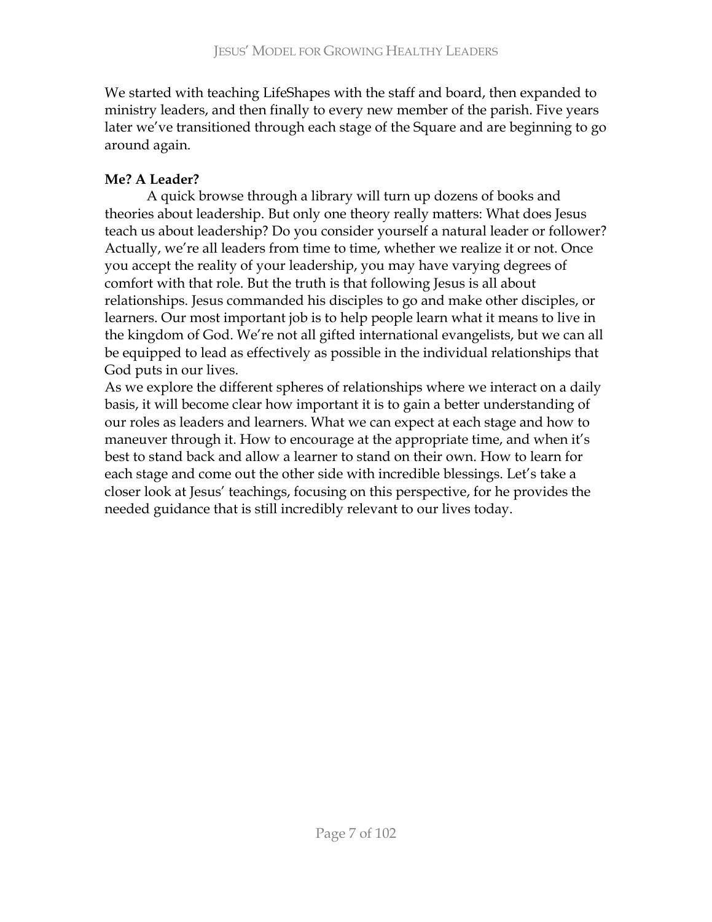We started with teaching LifeShapes with the staff and board, then expanded to ministry leaders, and then finally to every new member of the parish. Five years later we've transitioned through each stage of the Square and are beginning to go around again.

# **Me? A Leader?**

A quick browse through a library will turn up dozens of books and theories about leadership. But only one theory really matters: What does Jesus teach us about leadership? Do you consider yourself a natural leader or follower? Actually, we're all leaders from time to time, whether we realize it or not. Once you accept the reality of your leadership, you may have varying degrees of comfort with that role. But the truth is that following Jesus is all about relationships. Jesus commanded his disciples to go and make other disciples, or learners. Our most important job is to help people learn what it means to live in the kingdom of God. We're not all gifted international evangelists, but we can all be equipped to lead as effectively as possible in the individual relationships that God puts in our lives.

As we explore the different spheres of relationships where we interact on a daily basis, it will become clear how important it is to gain a better understanding of our roles as leaders and learners. What we can expect at each stage and how to maneuver through it. How to encourage at the appropriate time, and when it's best to stand back and allow a learner to stand on their own. How to learn for each stage and come out the other side with incredible blessings. Let's take a closer look at Jesus' teachings, focusing on this perspective, for he provides the needed guidance that is still incredibly relevant to our lives today.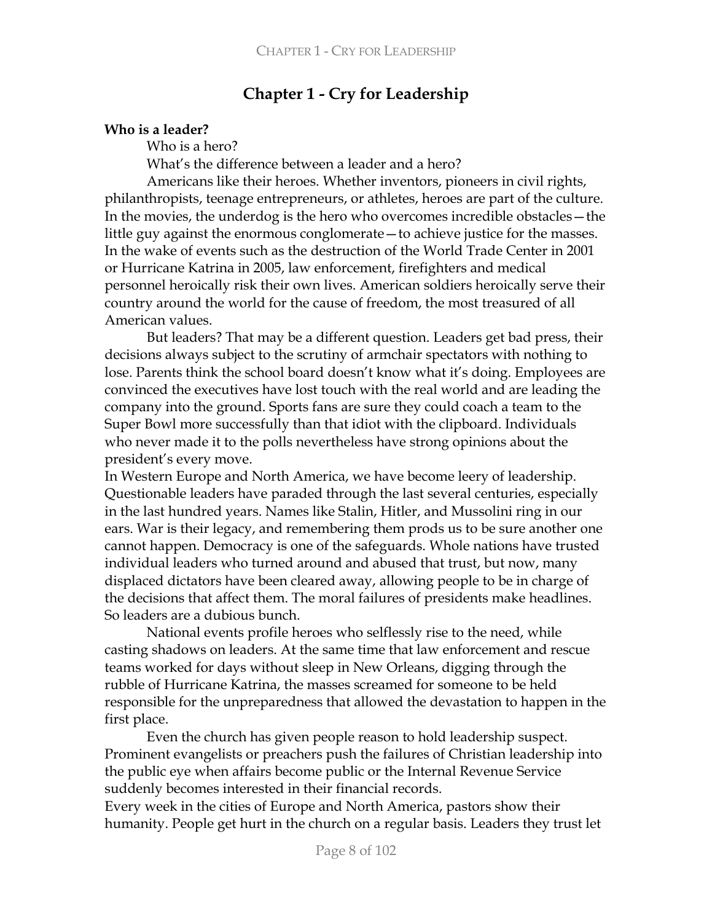# **Chapter 1 - Cry for Leadership**

## Who is a leader?

Who is a hero?

What's the difference between a leader and a hero?

Americans like their heroes. Whether inventors, pioneers in civil rights, philanthropists, teenage entrepreneurs, or athletes, heroes are part of the culture. In the movies, the underdog is the hero who overcomes incredible obstacles - the little guy against the enormous conglomerate – to achieve justice for the masses. In the wake of events such as the destruction of the World Trade Center in 2001 or Hurricane Katrina in 2005, law enforcement, firefighters and medical personnel heroically risk their own lives. American soldiers heroically serve their country around the world for the cause of freedom, the most treasured of all American values.

But leaders? That may be a different question. Leaders get bad press, their decisions always subject to the scrutiny of armchair spectators with nothing to lose. Parents think the school board doesn't know what it's doing. Employees are convinced the executives have lost touch with the real world and are leading the company into the ground. Sports fans are sure they could coach a team to the Super Bowl more successfully than that idiot with the clipboard. Individuals who never made it to the polls nevertheless have strong opinions about the president's every move.

In Western Europe and North America, we have become leery of leadership. Questionable leaders have paraded through the last several centuries, especially in the last hundred years. Names like Stalin, Hitler, and Mussolini ring in our ears. War is their legacy, and remembering them prods us to be sure another one cannot happen. Democracy is one of the safeguards. Whole nations have trusted individual leaders who turned around and abused that trust, but now, many displaced dictators have been cleared away, allowing people to be in charge of the decisions that affect them. The moral failures of presidents make headlines. So leaders are a dubious bunch.

National events profile heroes who selflessly rise to the need, while casting shadows on leaders. At the same time that law enforcement and rescue teams worked for days without sleep in New Orleans, digging through the rubble of Hurricane Katrina, the masses screamed for someone to be held responsible for the unpreparedness that allowed the devastation to happen in the first place.

Even the church has given people reason to hold leadership suspect. Prominent evangelists or preachers push the failures of Christian leadership into the public eye when affairs become public or the Internal Revenue Service suddenly becomes interested in their financial records.

Every week in the cities of Europe and North America, pastors show their humanity. People get hurt in the church on a regular basis. Leaders they trust let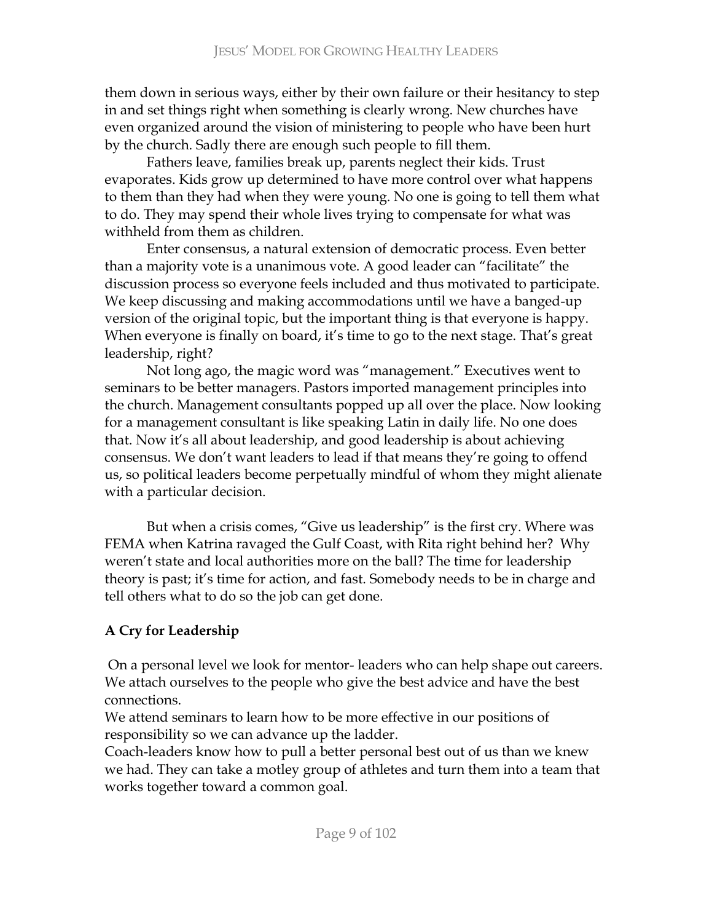them down in serious ways, either by their own failure or their hesitancy to step in and set things right when something is clearly wrong. New churches have even organized around the vision of ministering to people who have been hurt by the church. Sadly there are enough such people to fill them.

Fathers leave, families break up, parents neglect their kids. Trust evaporates. Kids grow up determined to have more control over what happens to them than they had when they were young. No one is going to tell them what to do. They may spend their whole lives trying to compensate for what was withheld from them as children.

Enter consensus, a natural extension of democratic process. Even better than a majority vote is a unanimous vote. A good leader can "facilitate" the discussion process so everyone feels included and thus motivated to participate. We keep discussing and making accommodations until we have a banged-up version of the original topic, but the important thing is that everyone is happy. When everyone is finally on board, it's time to go to the next stage. That's great leadership, right?

Not long ago, the magic word was "management." Executives went to seminars to be better managers. Pastors imported management principles into the church. Management consultants popped up all over the place. Now looking for a management consultant is like speaking Latin in daily life. No one does that. Now it's all about leadership, and good leadership is about achieving consensus. We don't want leaders to lead if that means they're going to offend us, so political leaders become perpetually mindful of whom they might alienate with a particular decision.

But when a crisis comes, "Give us leadership" is the first cry. Where was FEMA when Katrina ravaged the Gulf Coast, with Rita right behind her? Why weren't state and local authorities more on the ball? The time for leadership theory is past; it's time for action, and fast. Somebody needs to be in charge and tell others what to do so the job can get done.

# **A Cry for Leadership**

On a personal level we look for mentor-leaders who can help shape out careers. We attach ourselves to the people who give the best advice and have the best connections.

We attend seminars to learn how to be more effective in our positions of responsibility so we can advance up the ladder.

Coach-leaders know how to pull a better personal best out of us than we knew we had. They can take a motley group of athletes and turn them into a team that works together toward a common goal.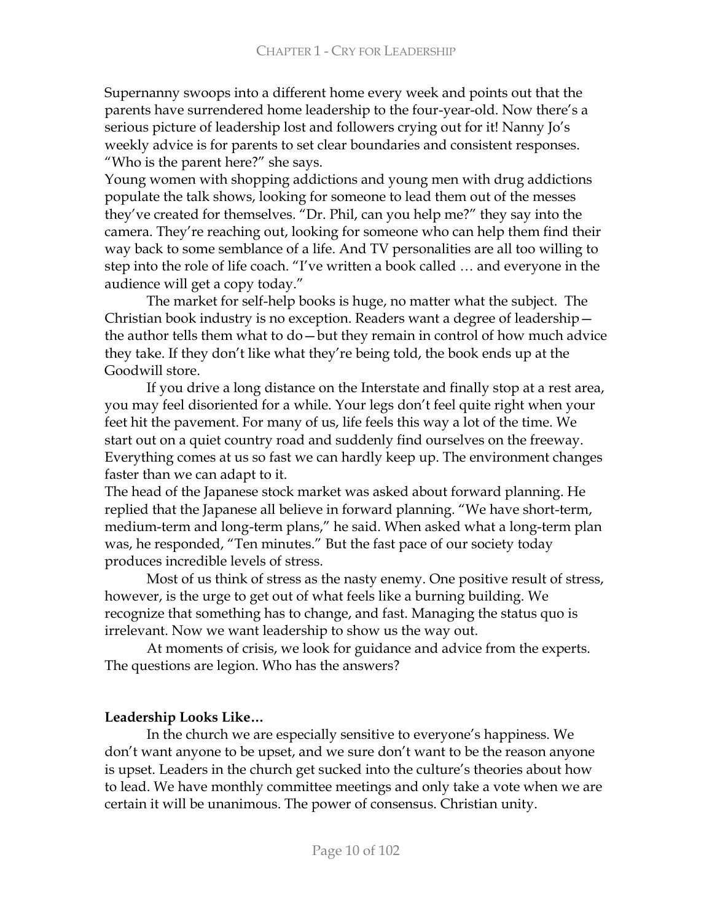Supernanny swoops into a different home every week and points out that the parents have surrendered home leadership to the four-year-old. Now there's a serious picture of leadership lost and followers crying out for it! Nanny Jo's weekly advice is for parents to set clear boundaries and consistent responses. "Who is the parent here?" she says.

Young women with shopping addictions and young men with drug addictions populate the talk shows, looking for someone to lead them out of the messes they've created for themselves. "Dr. Phil, can you help me?" they say into the camera. They're reaching out, looking for someone who can help them find their way back to some semblance of a life. And TV personalities are all too willing to step into the role of life coach. "I've written a book called ... and everyone in the audience will get a copy today."

The market for self-help books is huge, no matter what the subject. The Christian book industry is no exception. Readers want a degree of leadershipthe author tells them what to do  $-$  but they remain in control of how much advice they take. If they don't like what they're being told, the book ends up at the Goodwill store.

If you drive a long distance on the Interstate and finally stop at a rest area, you may feel disoriented for a while. Your legs don't feel quite right when your feet hit the pavement. For many of us, life feels this way a lot of the time. We start out on a quiet country road and suddenly find ourselves on the freeway. Everything comes at us so fast we can hardly keep up. The environment changes faster than we can adapt to it.

The head of the Japanese stock market was asked about forward planning. He replied that the Japanese all believe in forward planning. "We have short-term, medium-term and long-term plans," he said. When asked what a long-term plan was, he responded, "Ten minutes." But the fast pace of our society today produces incredible levels of stress.

. Most of us think of stress as the nasty enemy. One positive result of stress, however, is the urge to get out of what feels like a burning building. We recognize that something has to change, and fast. Managing the status quo is irrelevant. Now we want leadership to show us the way out.

At moments of crisis, we look for guidance and advice from the experts. The questions are legion. Who has the answers?

## Leadership Looks Like...

In the church we are especially sensitive to everyone's happiness. We don't want anyone to be upset, and we sure don't want to be the reason anyone is upset. Leaders in the church get sucked into the culture's theories about how to lead. We have monthly committee meetings and only take a vote when we are certain it will be unanimous. The power of consensus. Christian unity.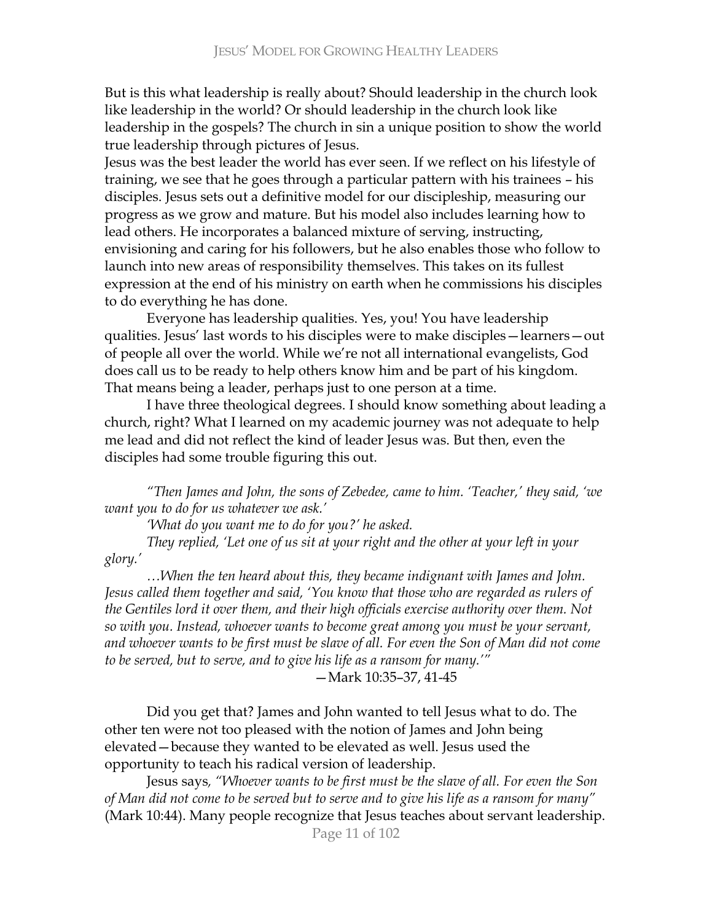But is this what leadership is really about? Should leadership in the church look like leadership in the world? Or should leadership in the church look like leadership in the gospels? The church in sin a unique position to show the world true leadership through pictures of Jesus.

Jesus was the best leader the world has ever seen. If we reflect on his lifestyle of training, we see that he goes through a particular pattern with his trainees - his disciples. Jesus sets out a definitive model for our discipleship, measuring our progress as we grow and mature. But his model also includes learning how to lead others. He incorporates a balanced mixture of serving, instructing, envisioning and caring for his followers, but he also enables those who follow to launch into new areas of responsibility themselves. This takes on its fullest expression at the end of his ministry on earth when he commissions his disciples to do everything he has done.

Everyone has leadership qualities. Yes, you! You have leadership qualities. Jesus' last words to his disciples were to make disciples - learners - out of people all over the world. While we're not all international evangelists, God does call us to be ready to help others know him and be part of his kingdom. That means being a leader, perhaps just to one person at a time.

I have three theological degrees. I should know something about leading a church, right? What I learned on my academic journey was not adequate to help me lead and did not reflect the kind of leader Jesus was. But then, even the disciples had some trouble figuring this out.

*"Then James and John, the sons of Zebedee, came to him. 'Teacher,' they said, 'we* want you to do for us whatever we ask.'

*'What do you want me to do for you?' he asked.* 

*They replied, 'Let one of us sit at your right and the other at your left in your \$')/6*

...When the ten heard about this, they became indignant with James and John. Jesus called them together and said, 'You know that those who are regarded as rulers of the Gentiles lord it over them, and their high officials exercise authority over them. Not so with you. Instead, whoever wants to become great among you must be your servant, and whoever wants to be first must be slave of all. For even the Son of Man did not come to be served, but to serve, and to give his life as a ransom for many.'"

-Mark 10:35-37, 41-45

Did you get that? James and John wanted to tell Jesus what to do. The other ten were not too pleased with the notion of James and John being elevated – because they wanted to be elevated as well. Jesus used the opportunity to teach his radical version of leadership.

Jesus says, "Whoever wants to be first must be the slave of all. For even the Son of Man did not come to be served but to serve and to give his life as a ransom for many" (Mark 10:44). Many people recognize that Jesus teaches about servant leadership.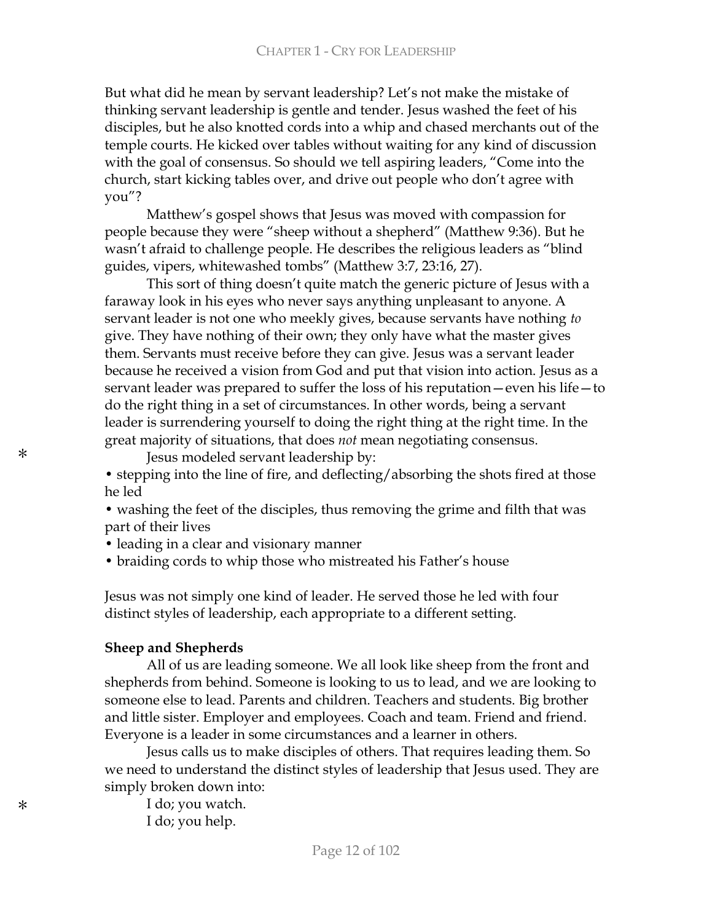But what did he mean by servant leadership? Let's not make the mistake of thinking servant leadership is gentle and tender. Jesus washed the feet of his disciples, but he also knotted cords into a whip and chased merchants out of the temple courts. He kicked over tables without waiting for any kind of discussion with the goal of consensus. So should we tell aspiring leaders, "Come into the church, start kicking tables over, and drive out people who don't agree with you"?

Matthew's gospel shows that Jesus was moved with compassion for people because they were "sheep without a shepherd" (Matthew 9:36). But he wasn't afraid to challenge people. He describes the religious leaders as "blind" guides, vipers, whitewashed tombs″ (Matthew 3:7, 23:16, 27).

This sort of thing doesn't quite match the generic picture of Jesus with a faraway look in his eyes who never says anything unpleasant to anyone. A servant leader is not one who meekly gives, because servants have nothing to give. They have nothing of their own; they only have what the master gives them. Servants must receive before they can give. Jesus was a servant leader because he received a vision from God and put that vision into action. Jesus as a servant leader was prepared to suffer the loss of his reputation  $-$  even his life  $-$  to do the right thing in a set of circumstances. In other words, being a servant leader is surrendering yourself to doing the right thing at the right time. In the great majority of situations, that does *not* mean negotiating consensus.

Jesus modeled servant leadership by:

• stepping into the line of fire, and deflecting/absorbing the shots fired at those he led

• washing the feet of the disciples, thus removing the grime and filth that was part of their lives

• leading in a clear and visionary manner

• braiding cords to whip those who mistreated his Father's house

Jesus was not simply one kind of leader. He served those he led with four distinct styles of leadership, each appropriate to a different setting.

### **Sheep and Shepherds**

All of us are leading someone. We all look like sheep from the front and shepherds from behind. Someone is looking to us to lead, and we are looking to someone else to lead. Parents and children. Teachers and students. Big brother and little sister. Employer and employees. Coach and team. Friend and friend. Everyone is a leader in some circumstances and a learner in others.

Jesus calls us to make disciples of others. That requires leading them. So we need to understand the distinct styles of leadership that Jesus used. They are simply broken down into:

I do; you watch. I do; you help.

\*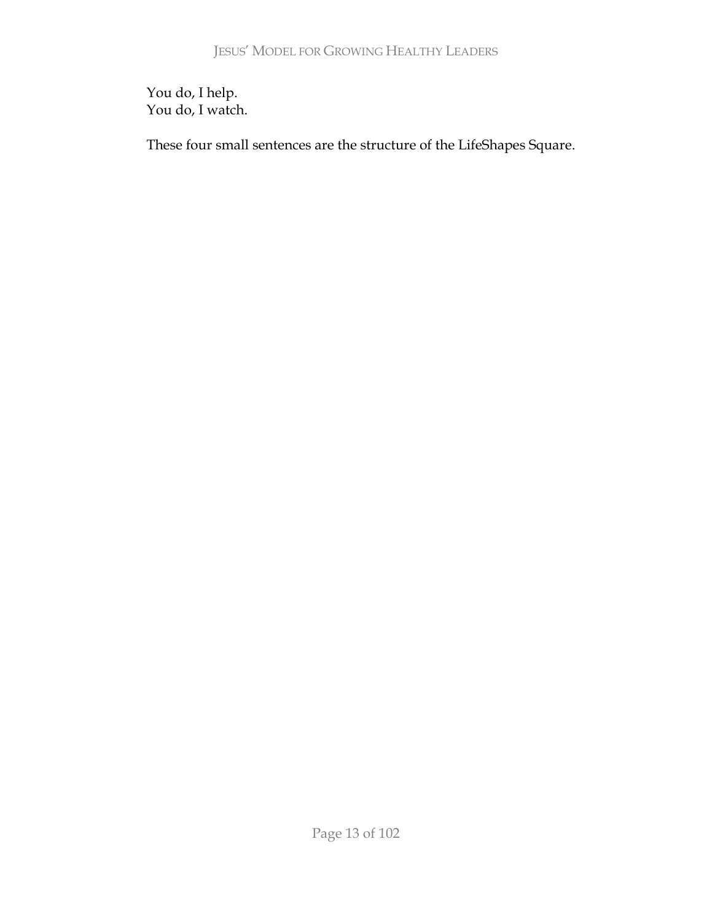You do, I help. You do, I watch.

These four small sentences are the structure of the LifeShapes Square.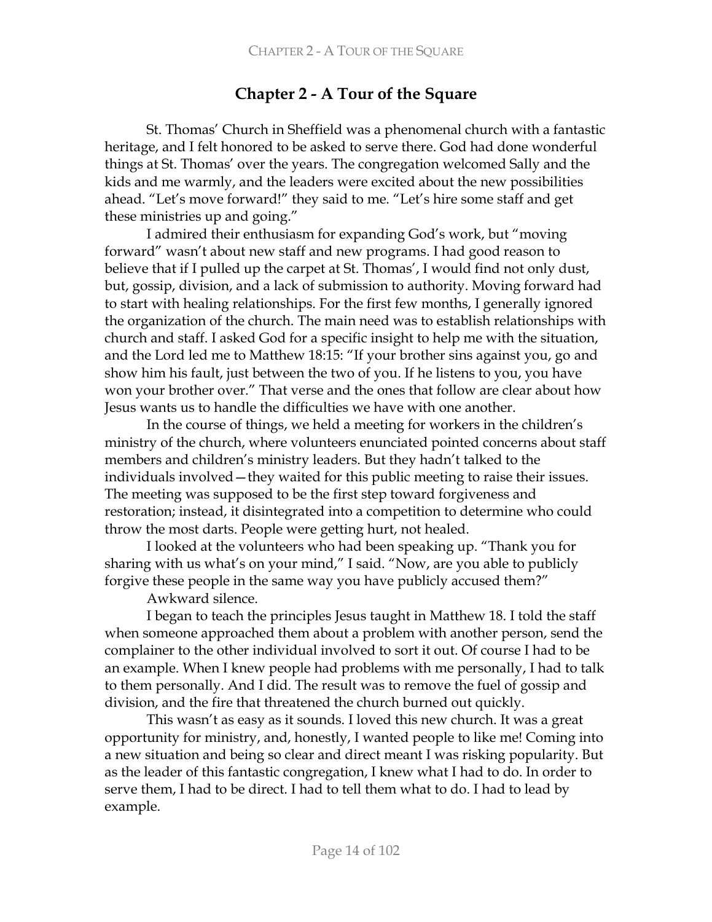# **Chapter 2 - A Tour of the Square**

St. Thomas' Church in Sheffield was a phenomenal church with a fantastic heritage, and I felt honored to be asked to serve there. God had done wonderful things at St. Thomas' over the years. The congregation welcomed Sally and the kids and me warmly, and the leaders were excited about the new possibilities ahead. "Let's move forward!" they said to me. "Let's hire some staff and get these ministries up and going."

I admired their enthusiasm for expanding God's work, but "moving" forward" wasn't about new staff and new programs. I had good reason to believe that if I pulled up the carpet at St. Thomas', I would find not only dust, but, gossip, division, and a lack of submission to authority. Moving forward had to start with healing relationships. For the first few months, I generally ignored the organization of the church. The main need was to establish relationships with church and staff. I asked God for a specific insight to help me with the situation, and the Lord led me to Matthew 18:15: "If your brother sins against you, go and show him his fault, just between the two of you. If he listens to you, you have won your brother over." That verse and the ones that follow are clear about how Jesus wants us to handle the difficulties we have with one another.

In the course of things, we held a meeting for workers in the children's ministry of the church, where volunteers enunciated pointed concerns about staff members and children's ministry leaders. But they hadn't talked to the individuals involved – they waited for this public meeting to raise their issues. The meeting was supposed to be the first step toward forgiveness and restoration; instead, it disintegrated into a competition to determine who could throw the most darts. People were getting hurt, not healed.

I looked at the volunteers who had been speaking up. "Thank you for sharing with us what's on your mind," I said. "Now, are you able to publicly forgive these people in the same way you have publicly accused them?"

Awkward silence.

I began to teach the principles Jesus taught in Matthew 18. I told the staff when someone approached them about a problem with another person, send the complainer to the other individual involved to sort it out. Of course I had to be an example. When I knew people had problems with me personally, I had to talk to them personally. And I did. The result was to remove the fuel of gossip and division, and the fire that threatened the church burned out quickly.

This wasn't as easy as it sounds. I loved this new church. It was a great opportunity for ministry, and, honestly, I wanted people to like me! Coming into a new situation and being so clear and direct meant I was risking popularity. But as the leader of this fantastic congregation, I knew what I had to do. In order to serve them, I had to be direct. I had to tell them what to do. I had to lead by example.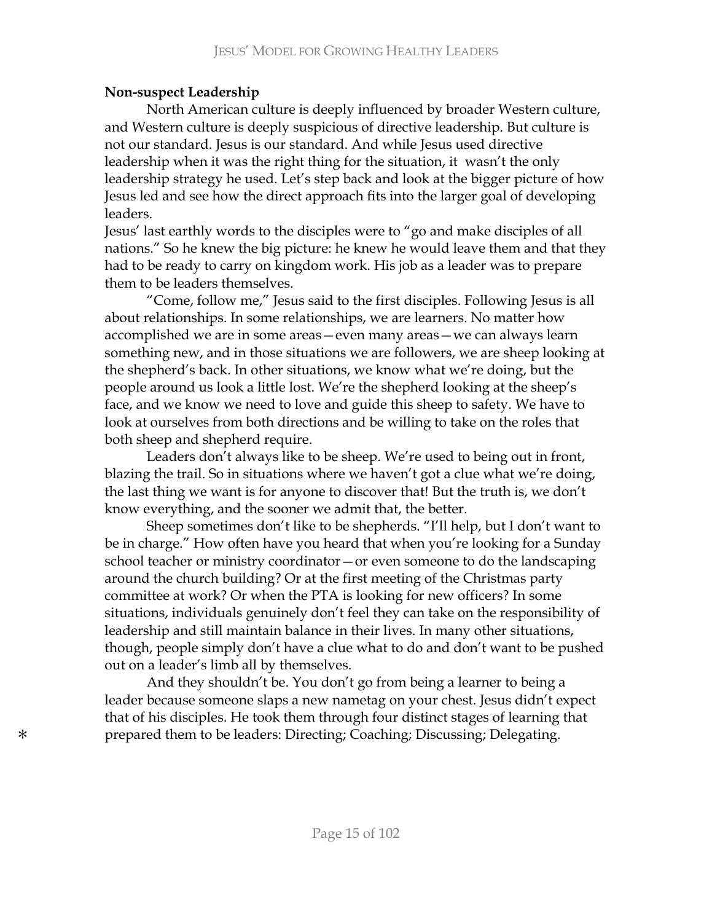## **Non-suspect Leadership**

North American culture is deeply influenced by broader Western culture, and Western culture is deeply suspicious of directive leadership. But culture is not our standard. Jesus is our standard. And while Jesus used directive leadership when it was the right thing for the situation, it wasn't the only leadership strategy he used. Let's step back and look at the bigger picture of how Jesus led and see how the direct approach fits into the larger goal of developing leaders.

Jesus' last earthly words to the disciples were to "go and make disciples of all nations." So he knew the big picture: he knew he would leave them and that they had to be ready to carry on kingdom work. His job as a leader was to prepare them to be leaders themselves.

"Come, follow me," Jesus said to the first disciples. Following Jesus is all about relationships. In some relationships, we are learners. No matter how accomplished we are in some areas – even many areas – we can always learn something new, and in those situations we are followers, we are sheep looking at the shepherd's back. In other situations, we know what we're doing, but the people around us look a little lost. We're the shepherd looking at the sheep's face, and we know we need to love and guide this sheep to safety. We have to look at ourselves from both directions and be willing to take on the roles that both sheep and shepherd require.

Leaders don't always like to be sheep. We're used to being out in front, blazing the trail. So in situations where we haven't got a clue what we're doing, the last thing we want is for anyone to discover that! But the truth is, we don't know everything, and the sooner we admit that, the better.

Sheep sometimes don't like to be shepherds. "I'll help, but I don't want to be in charge." How often have you heard that when you're looking for a Sunday school teacher or ministry coordinator – or even someone to do the landscaping around the church building? Or at the first meeting of the Christmas party committee at work? Or when the PTA is looking for new officers? In some situations, individuals genuinely don't feel they can take on the responsibility of leadership and still maintain balance in their lives. In many other situations, though, people simply don't have a clue what to do and don't want to be pushed out on a leader's limb all by themselves.

And they shouldn't be. You don't go from being a learner to being a leader because someone slaps a new nametag on your chest. Jesus didn't expect that of his disciples. He took them through four distinct stages of learning that  $\ast$  prepared them to be leaders: Directing; Coaching; Discussing; Delegating.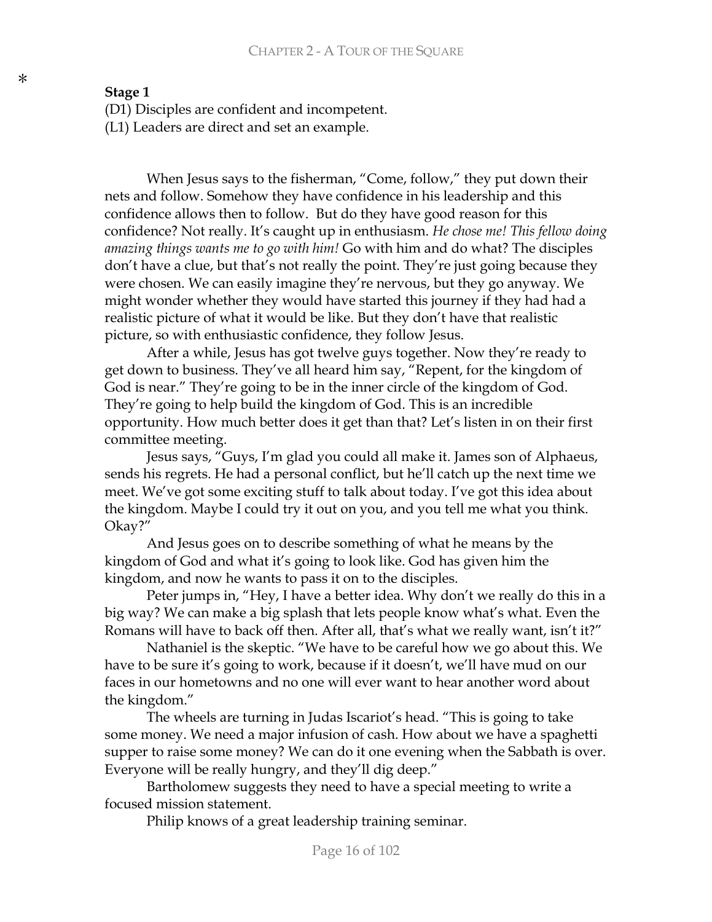## **Stage 1**

(D1) Disciples are confident and incompetent.

(L1) Leaders are direct and set an example.

When Jesus says to the fisherman, "Come, follow," they put down their nets and follow. Somehow they have confidence in his leadership and this confidence allows then to follow. But do they have good reason for this confidence? Not really. It's caught up in enthusiasm. He chose me! This fellow doing amazing things wants me to go with him! Go with him and do what? The disciples don't have a clue, but that's not really the point. They're just going because they were chosen. We can easily imagine they're nervous, but they go anyway. We might wonder whether they would have started this journey if they had had a realistic picture of what it would be like. But they don't have that realistic picture, so with enthusiastic confidence, they follow Jesus.

After a while, Jesus has got twelve guys together. Now they're ready to get down to business. They've all heard him say, "Repent, for the kingdom of God is near." They're going to be in the inner circle of the kingdom of God. They're going to help build the kingdom of God. This is an incredible opportunity. How much better does it get than that? Let's listen in on their first committee meeting.

Jesus says, "Guys, I'm glad you could all make it. James son of Alphaeus, sends his regrets. He had a personal conflict, but he'll catch up the next time we meet. We've got some exciting stuff to talk about today. I've got this idea about the kingdom. Maybe I could try it out on you, and you tell me what you think. Okay?"

And Jesus goes on to describe something of what he means by the kingdom of God and what it's going to look like. God has given him the kingdom, and now he wants to pass it on to the disciples.

Peter jumps in, "Hey, I have a better idea. Why don't we really do this in a big way? We can make a big splash that lets people know what's what. Even the Romans will have to back off then. After all, that's what we really want, isn't it?"

Nathaniel is the skeptic. "We have to be careful how we go about this. We have to be sure it's going to work, because if it doesn't, we'll have mud on our faces in our hometowns and no one will ever want to hear another word about the kingdom."

The wheels are turning in Judas Iscariot's head. "This is going to take some money. We need a major infusion of cash. How about we have a spaghetti supper to raise some money? We can do it one evening when the Sabbath is over. Everyone will be really hungry, and they'll dig deep."

Bartholomew suggests they need to have a special meeting to write a focused mission statement.

Philip knows of a great leadership training seminar.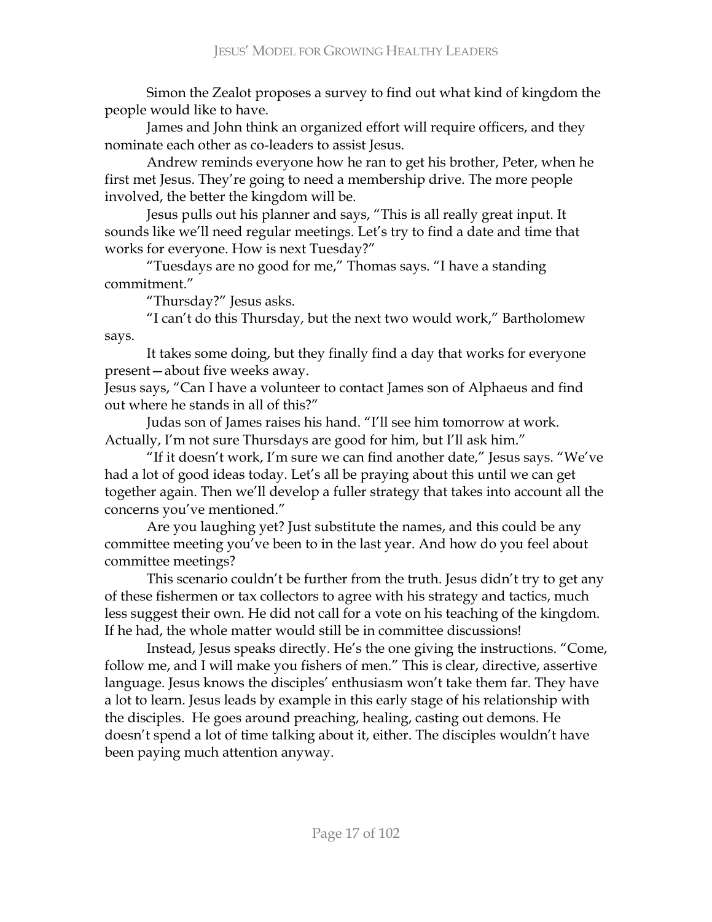Simon the Zealot proposes a survey to find out what kind of kingdom the people would like to have.

James and John think an organized effort will require officers, and they nominate each other as co-leaders to assist Jesus.

Andrew reminds everyone how he ran to get his brother, Peter, when he first met Jesus. They're going to need a membership drive. The more people involved, the better the kingdom will be.

Jesus pulls out his planner and says, "This is all really great input. It sounds like we'll need regular meetings. Let's try to find a date and time that works for everyone. How is next Tuesday?"

"Tuesdays are no good for me," Thomas says. "I have a standing commitment."

"Thursday?" Jesus asks.

"I can't do this Thursday, but the next two would work," Bartholomew says.

It takes some doing, but they finally find a day that works for everyone present-about five weeks away.

Jesus says, "Can I have a volunteer to contact James son of Alphaeus and find out where he stands in all of this?"

Judas son of James raises his hand. "I'll see him tomorrow at work. Actually, I'm not sure Thursdays are good for him, but I'll ask him."

"If it doesn't work, I'm sure we can find another date," Jesus says. "We've had a lot of good ideas today. Let's all be praying about this until we can get together again. Then we'll develop a fuller strategy that takes into account all the concerns you've mentioned."

Are you laughing yet? Just substitute the names, and this could be any committee meeting you've been to in the last year. And how do you feel about committee meetings?

This scenario couldn't be further from the truth. Jesus didn't try to get any of these fishermen or tax collectors to agree with his strategy and tactics, much less suggest their own. He did not call for a vote on his teaching of the kingdom. If he had, the whole matter would still be in committee discussions!

Instead, Jesus speaks directly. He's the one giving the instructions. "Come, follow me, and I will make you fishers of men." This is clear, directive, assertive language. Jesus knows the disciples' enthusiasm won't take them far. They have a lot to learn. Jesus leads by example in this early stage of his relationship with the disciples. He goes around preaching, healing, casting out demons. He doesn't spend a lot of time talking about it, either. The disciples wouldn't have been paying much attention anyway.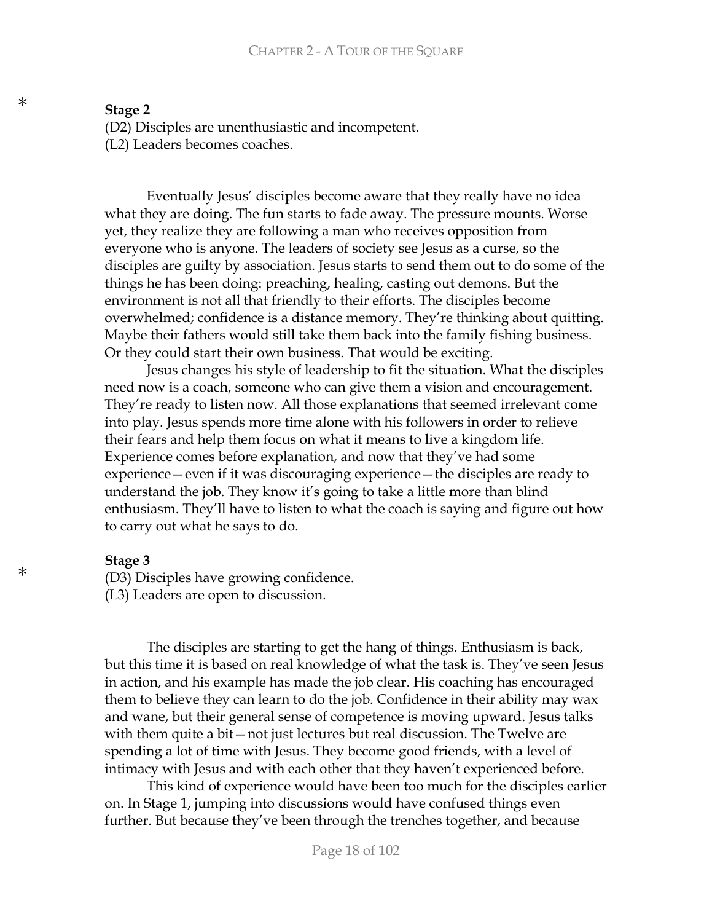### Stage 2

(D2) Disciples are unenthusiastic and incompetent.

(L2) Leaders becomes coaches.

Eventually Jesus' disciples become aware that they really have no idea what they are doing. The fun starts to fade away. The pressure mounts. Worse yet, they realize they are following a man who receives opposition from everyone who is anyone. The leaders of society see Jesus as a curse, so the disciples are guilty by association. Jesus starts to send them out to do some of the things he has been doing: preaching, healing, casting out demons. But the environment is not all that friendly to their efforts. The disciples become overwhelmed; confidence is a distance memory. They're thinking about quitting. Maybe their fathers would still take them back into the family fishing business. Or they could start their own business. That would be exciting.

Jesus changes his style of leadership to fit the situation. What the disciples need now is a coach, someone who can give them a vision and encouragement. They're ready to listen now. All those explanations that seemed irrelevant come into play. Jesus spends more time alone with his followers in order to relieve their fears and help them focus on what it means to live a kingdom life. Experience comes before explanation, and now that they've had some experience – even if it was discouraging experience – the disciples are ready to understand the job. They know it's going to take a little more than blind enthusiasm. They'll have to listen to what the coach is saying and figure out how to carry out what he says to do.

#### Stage 3

(D3) Disciples have growing confidence.

(L3) Leaders are open to discussion.

The disciples are starting to get the hang of things. Enthusiasm is back, but this time it is based on real knowledge of what the task is. They've seen Jesus in action, and his example has made the job clear. His coaching has encouraged them to believe they can learn to do the job. Confidence in their ability may wax and wane, but their general sense of competence is moving upward. Jesus talks with them quite a bit-not just lectures but real discussion. The Twelve are spending a lot of time with Jesus. They become good friends, with a level of intimacy with Jesus and with each other that they haven't experienced before.

This kind of experience would have been too much for the disciples earlier on. In Stage 1, jumping into discussions would have confused things even further. But because they've been through the trenches together, and because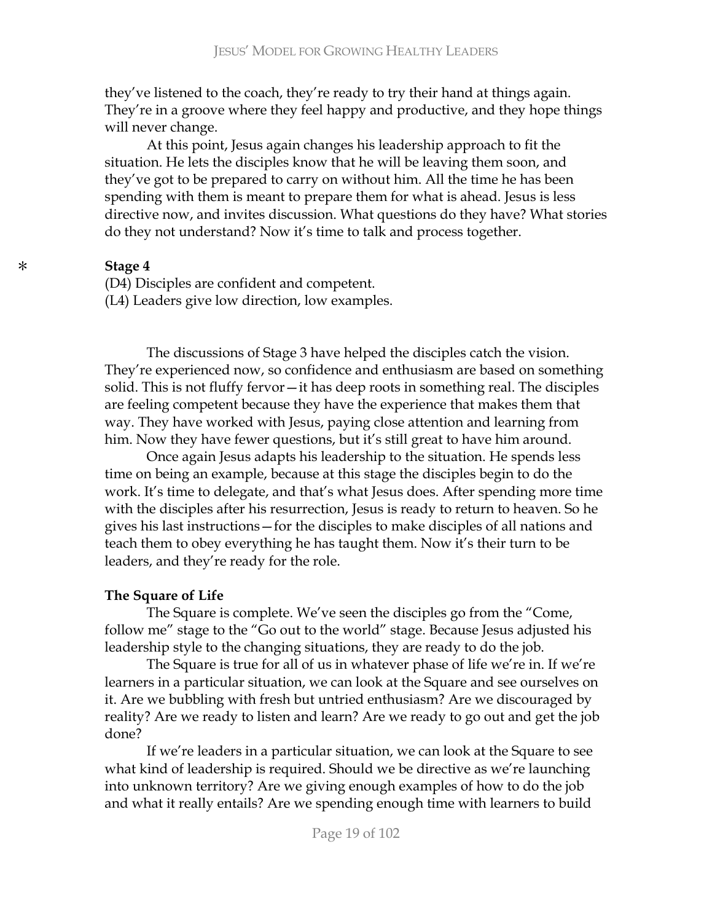they've listened to the coach, they're ready to try their hand at things again. They're in a groove where they feel happy and productive, and they hope things will never change.

At this point, Jesus again changes his leadership approach to fit the situation. He lets the disciples know that he will be leaving them soon, and they've got to be prepared to carry on without him. All the time he has been spending with them is meant to prepare them for what is ahead. Jesus is less directive now, and invites discussion. What questions do they have? What stories do they not understand? Now it's time to talk and process together.

### **Stage 4**

(D4) Disciples are confident and competent.

(L4) Leaders give low direction, low examples.

The discussions of Stage 3 have helped the disciples catch the vision. They're experienced now, so confidence and enthusiasm are based on something solid. This is not fluffy fervor-it has deep roots in something real. The disciples are feeling competent because they have the experience that makes them that way. They have worked with Jesus, paying close attention and learning from him. Now they have fewer questions, but it's still great to have him around.

Once again Jesus adapts his leadership to the situation. He spends less time on being an example, because at this stage the disciples begin to do the work. It's time to delegate, and that's what Jesus does. After spending more time with the disciples after his resurrection, Jesus is ready to return to heaven. So he gives his last instructions – for the disciples to make disciples of all nations and teach them to obey everything he has taught them. Now it's their turn to be leaders, and they're ready for the role.

### **The Square of Life**

The Square is complete. We've seen the disciples go from the "Come, follow me" stage to the "Go out to the world" stage. Because Jesus adjusted his leadership style to the changing situations, they are ready to do the job.

The Square is true for all of us in whatever phase of life we're in. If we're learners in a particular situation, we can look at the Square and see ourselves on it. Are we bubbling with fresh but untried enthusiasm? Are we discouraged by reality? Are we ready to listen and learn? Are we ready to go out and get the job done?

If we're leaders in a particular situation, we can look at the Square to see what kind of leadership is required. Should we be directive as we're launching into unknown territory? Are we giving enough examples of how to do the job and what it really entails? Are we spending enough time with learners to build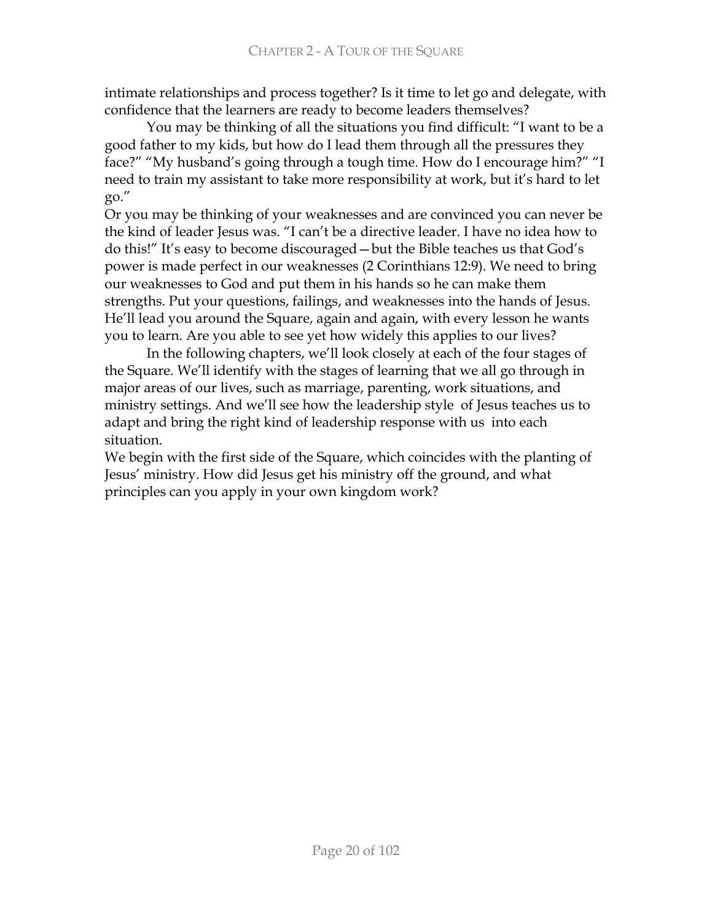intimate relationships and process together? Is it time to let go and delegate, with confidence that the learners are ready to become leaders themselves?

You may be thinking of all the situations you find difficult: "I want to be a good father to my kids, but how do I lead them through all the pressures they face?" "My husband's going through a tough time. How do I encourage him?" "I need to train my assistant to take more responsibility at work, but it's hard to let  $\mathrm{g}_0$ ."

Or you may be thinking of your weaknesses and are convinced you can never be the kind of leader Jesus was. "I can't be a directive leader. I have no idea how to do this!" It's easy to become discouraged—but the Bible teaches us that God's power is made perfect in our weaknesses (2 Corinthians 12:9). We need to bring our weaknesses to God and put them in his hands so he can make them strengths. Put your questions, failings, and weaknesses into the hands of Jesus. He'll lead you around the Square, again and again, with every lesson he wants you to learn. Are you able to see yet how widely this applies to our lives?

In the following chapters, we'll look closely at each of the four stages of the Square. We'll identify with the stages of learning that we all go through in major areas of our lives, such as marriage, parenting, work situations, and ministry settings. And we'll see how the leadership style of Jesus teaches us to adapt and bring the right kind of leadership response with us into each situation.

We begin with the first side of the Square, which coincides with the planting of Jesus' ministry. How did Jesus get his ministry off the ground, and what principles can you apply in your own kingdom work?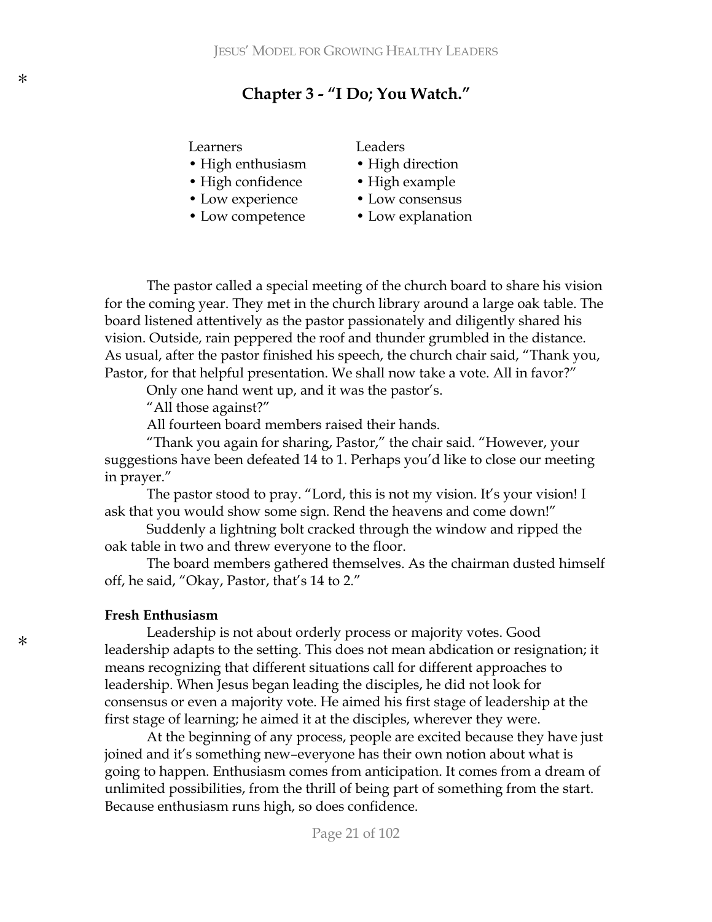\*

## **Chapter 3 - "I Do; You Watch."**

#### Learners Leaders

- High enthusiasm High direction
- High confidence High example
- 
- Low competence Low explanation

- 
- 
- Low experience Low consensus
	-

The pastor called a special meeting of the church board to share his vision for the coming year. They met in the church library around a large oak table. The board listened attentively as the pastor passionately and diligently shared his vision. Outside, rain peppered the roof and thunder grumbled in the distance. As usual, after the pastor finished his speech, the church chair said, "Thank you, Pastor, for that helpful presentation. We shall now take a vote. All in favor?"

Only one hand went up, and it was the pastor's.

"All those against?"

All fourteen board members raised their hands.

"Thank you again for sharing, Pastor," the chair said. "However, your suggestions have been defeated 14 to 1. Perhaps you'd like to close our meeting in prayer."

The pastor stood to pray. "Lord, this is not my vision. It's your vision! I ask that you would show some sign. Rend the heavens and come down!"

Suddenly a lightning bolt cracked through the window and ripped the oak table in two and threw everyone to the floor.

The board members gathered themselves. As the chairman dusted himself off, he said, "Okay, Pastor, that's 14 to 2.″

#### **Fresh Enthusiasm**

Leadership is not about orderly process or majority votes. Good leadership adapts to the setting. This does not mean abdication or resignation; it means recognizing that different situations call for different approaches to leadership. When Jesus began leading the disciples, he did not look for consensus or even a majority vote. He aimed his first stage of leadership at the first stage of learning; he aimed it at the disciples, wherever they were.

At the beginning of any process, people are excited because they have just joined and it's something new-everyone has their own notion about what is going to happen. Enthusiasm comes from anticipation. It comes from a dream of unlimited possibilities, from the thrill of being part of something from the start. Because enthusiasm runs high, so does confidence.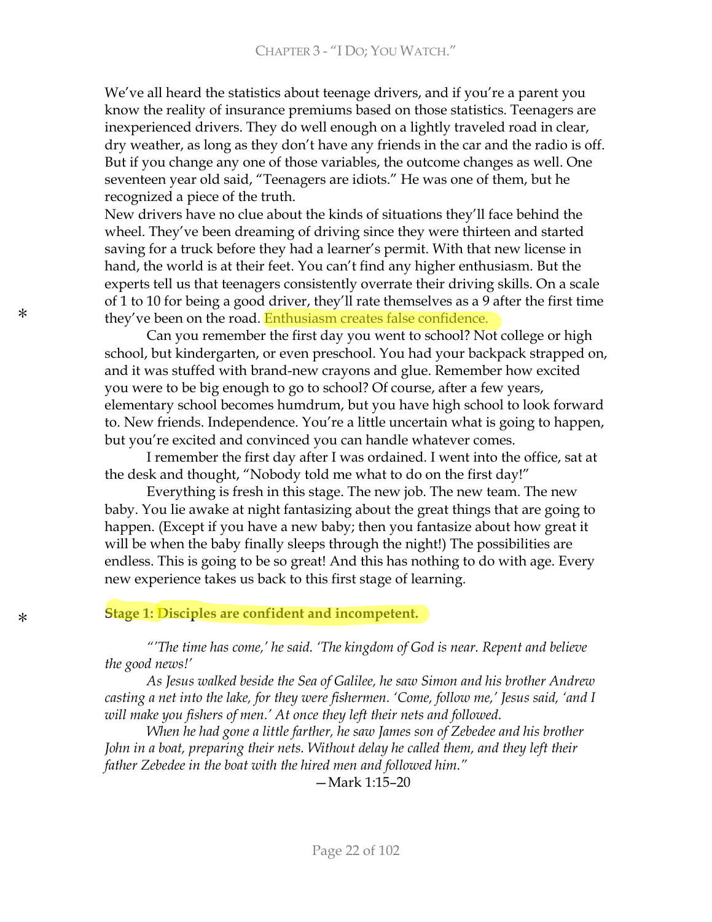We've all heard the statistics about teenage drivers, and if you're a parent you know the reality of insurance premiums based on those statistics. Teenagers are inexperienced drivers. They do well enough on a lightly traveled road in clear, dry weather, as long as they don't have any friends in the car and the radio is off. But if you change any one of those variables, the outcome changes as well. One seventeen year old said, "Teenagers are idiots." He was one of them, but he recognized a piece of the truth.

New drivers have no clue about the kinds of situations they'll face behind the wheel. They've been dreaming of driving since they were thirteen and started saving for a truck before they had a learner's permit. With that new license in hand, the world is at their feet. You can't find any higher enthusiasm. But the experts tell us that teenagers consistently overrate their driving skills. On a scale of 1 to 10 for being a good driver, they'll rate themselves as a 9 after the first time they've been on the road. Enthusiasm creates false confidence.

Can you remember the first day you went to school? Not college or high school, but kindergarten, or even preschool. You had your backpack strapped on, and it was stuffed with brand-new crayons and glue. Remember how excited you were to be big enough to go to school? Of course, after a few years, elementary school becomes humdrum, but you have high school to look forward to. New friends. Independence. You're a little uncertain what is going to happen, but you're excited and convinced you can handle whatever comes.

I remember the first day after I was ordained. I went into the office, sat at the desk and thought, "Nobody told me what to do on the first day!"

Everything is fresh in this stage. The new job. The new team. The new baby. You lie awake at night fantasizing about the great things that are going to happen. (Except if you have a new baby; then you fantasize about how great it will be when the baby finally sleeps through the night!) The possibilities are endless. This is going to be so great! And this has nothing to do with age. Every new experience takes us back to this first stage of learning.

### **Stage 1: Disciples are confident and incompetent.**

<sup>"</sup>The time has come,' he said. 'The kingdom of God is near. Repent and believe *the good news!'* 

As Jesus walked beside the Sea of Galilee, he saw Simon and his brother Andrew casting a net into the lake, for they were fishermen. 'Come, follow me,' Jesus said, 'and I will make you fishers of men.' At once they left their nets and followed.

*When he had gone a little farther, he saw James son of Zebedee and his brother* John in a boat, preparing their nets. Without delay he called them, and they left their father Zebedee in the boat with the hired men and followed him."

 $-Mark$  1:15-20

\*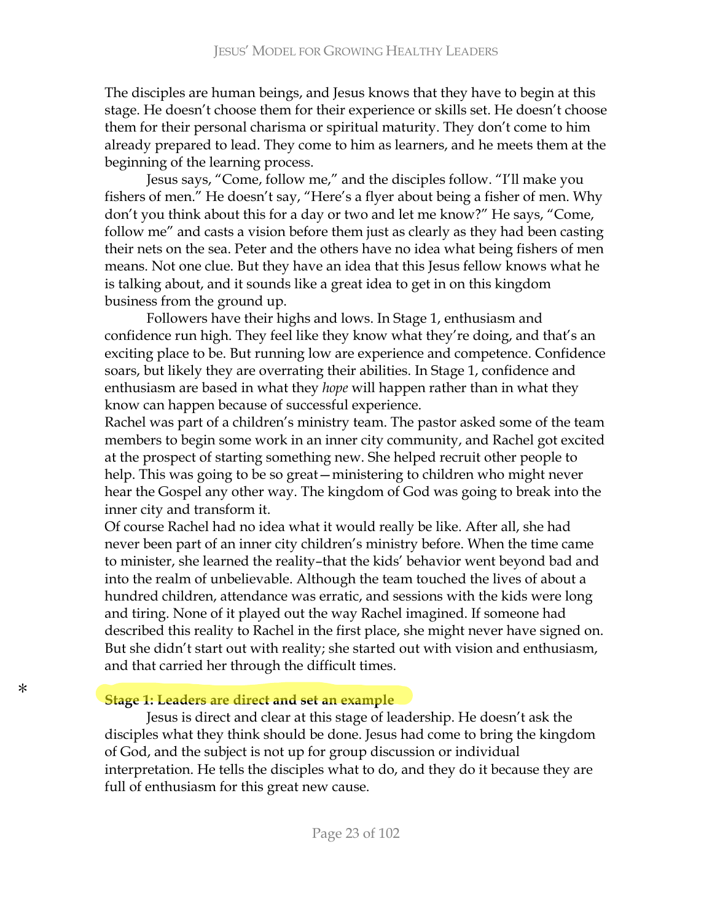The disciples are human beings, and Jesus knows that they have to begin at this stage. He doesn't choose them for their experience or skills set. He doesn't choose them for their personal charisma or spiritual maturity. They don't come to him already prepared to lead. They come to him as learners, and he meets them at the beginning of the learning process.

Jesus says, "Come, follow me," and the disciples follow. "I'll make you fishers of men." He doesn't say, "Here's a flyer about being a fisher of men. Why don't you think about this for a day or two and let me know?" He says, "Come, follow me" and casts a vision before them just as clearly as they had been casting their nets on the sea. Peter and the others have no idea what being fishers of men means. Not one clue. But they have an idea that this Jesus fellow knows what he is talking about, and it sounds like a great idea to get in on this kingdom business from the ground up.

Followers have their highs and lows. In Stage 1, enthusiasm and confidence run high. They feel like they know what they're doing, and that's an exciting place to be. But running low are experience and competence. Confidence soars, but likely they are overrating their abilities. In Stage 1, confidence and  $S<sub>1</sub>$  enthusiasm are based in what they *hope* will happen rather than in what they know can happen because of successful experience.

Rachel was part of a children's ministry team. The pastor asked some of the team members to begin some work in an inner city community, and Rachel got excited at the prospect of starting something new. She helped recruit other people to help. This was going to be so great - ministering to children who might never hear the Gospel any other way. The kingdom of God was going to break into the inner city and transform it.

Of course Rachel had no idea what it would really be like. After all, she had never been part of an inner city children's ministry before. When the time came to minister, she learned the reality-that the kids' behavior went beyond bad and into the realm of unbelievable. Although the team touched the lives of about a hundred children, attendance was erratic, and sessions with the kids were long and tiring. None of it played out the way Rachel imagined. If someone had described this reality to Rachel in the first place, she might never have signed on. But she didn't start out with reality; she started out with vision and enthusiasm, and that carried her through the difficult times.

### **Stage 1: Leaders are direct and set an example**

Jesus is direct and clear at this stage of leadership. He doesn't ask the disciples what they think should be done. Jesus had come to bring the kingdom of God, and the subject is not up for group discussion or individual interpretation. He tells the disciples what to do, and they do it because they are full of enthusiasm for this great new cause.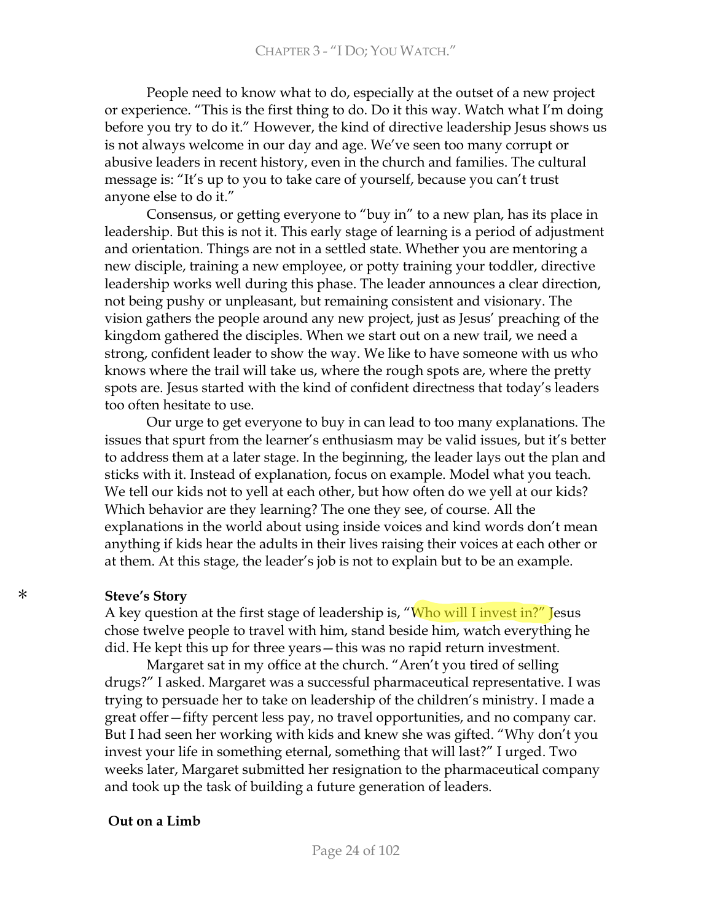People need to know what to do, especially at the outset of a new project or experience. "This is the first thing to do. Do it this way. Watch what I'm doing before you try to do it." However, the kind of directive leadership Jesus shows us is not always welcome in our day and age. We've seen too many corrupt or abusive leaders in recent history, even in the church and families. The cultural message is: "It's up to you to take care of yourself, because you can't trust anyone else to do it."

Consensus, or getting everyone to "buy in" to a new plan, has its place in leadership. But this is not it. This early stage of learning is a period of adjustment and orientation. Things are not in a settled state. Whether you are mentoring a new disciple, training a new employee, or potty training your toddler, directive leadership works well during this phase. The leader announces a clear direction, not being pushy or unpleasant, but remaining consistent and visionary. The vision gathers the people around any new project, just as Jesus' preaching of the kingdom gathered the disciples. When we start out on a new trail, we need a strong, confident leader to show the way. We like to have someone with us who knows where the trail will take us, where the rough spots are, where the pretty spots are. Jesus started with the kind of confident directness that today's leaders too often hesitate to use.

Our urge to get everyone to buy in can lead to too many explanations. The issues that spurt from the learner's enthusiasm may be valid issues, but it's better to address them at a later stage. In the beginning, the leader lays out the plan and sticks with it. Instead of explanation, focus on example. Model what you teach. We tell our kids not to yell at each other, but how often do we yell at our kids? Which behavior are they learning? The one they see, of course. All the explanations in the world about using inside voices and kind words don't mean anything if kids hear the adults in their lives raising their voices at each other or at them. At this stage, the leader's job is not to explain but to be an example.

#### **Steve's Story**

A key question at the first stage of leadership is, "Who will I invest in?" Jesus chose twelve people to travel with him, stand beside him, watch everything he did. He kept this up for three years - this was no rapid return investment.

Margaret sat in my office at the church. "Aren't you tired of selling drugs?" I asked. Margaret was a successful pharmaceutical representative. I was trying to persuade her to take on leadership of the children's ministry. I made a great offer—fifty percent less pay, no travel opportunities, and no company car. But I had seen her working with kids and knew she was gifted. "Why don't you invest your life in something eternal, something that will last?" I urged. Two weeks later, Margaret submitted her resignation to the pharmaceutical company and took up the task of building a future generation of leaders.

#### Out on a Limb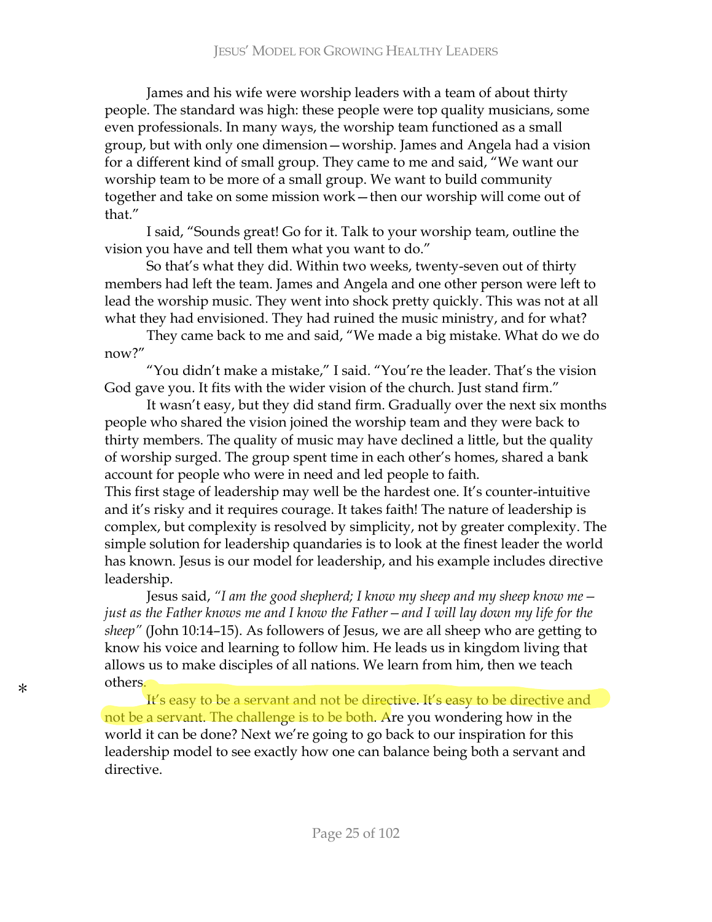James and his wife were worship leaders with a team of about thirty people. The standard was high: these people were top quality musicians, some even professionals. In many ways, the worship team functioned as a small group, but with only one dimension – worship. James and Angela had a vision for a different kind of small group. They came to me and said, "We want our worship team to be more of a small group. We want to build community together and take on some mission work - then our worship will come out of that."

I said, "Sounds great! Go for it. Talk to your worship team, outline the vision you have and tell them what you want to do."

So that's what they did. Within two weeks, twenty-seven out of thirty members had left the team. James and Angela and one other person were left to lead the worship music. They went into shock pretty quickly. This was not at all what they had envisioned. They had ruined the music ministry, and for what?

They came back to me and said, "We made a big mistake. What do we do now?"

"You didn't make a mistake," I said. "You're the leader. That's the vision God gave you. It fits with the wider vision of the church. Just stand firm."

It wasn't easy, but they did stand firm. Gradually over the next six months people who shared the vision joined the worship team and they were back to thirty members. The quality of music may have declined a little, but the quality of worship surged. The group spent time in each other's homes, shared a bank account for people who were in need and led people to faith.

This first stage of leadership may well be the hardest one. It's counter-intuitive and it's risky and it requires courage. It takes faith! The nature of leadership is complex, but complexity is resolved by simplicity, not by greater complexity. The simple solution for leadership quandaries is to look at the finest leader the world has known. Jesus is our model for leadership, and his example includes directive leadership.

Jesus said, "I am the good shepherd; I know my sheep and my sheep know me – *just as the Father knows me and I know the Father – and I will lay down my life for the sheep*" (John 10:14-15). As followers of Jesus, we are all sheep who are getting to know his voice and learning to follow him. He leads us in kingdom living that allows us to make disciples of all nations. We learn from him, then we teach others.

It's easy to be a servant and not be directive. It's easy to be directive and not be a servant. The challenge is to be both. Are you wondering how in the world it can be done? Next we're going to go back to our inspiration for this leadership model to see exactly how one can balance being both a servant and directive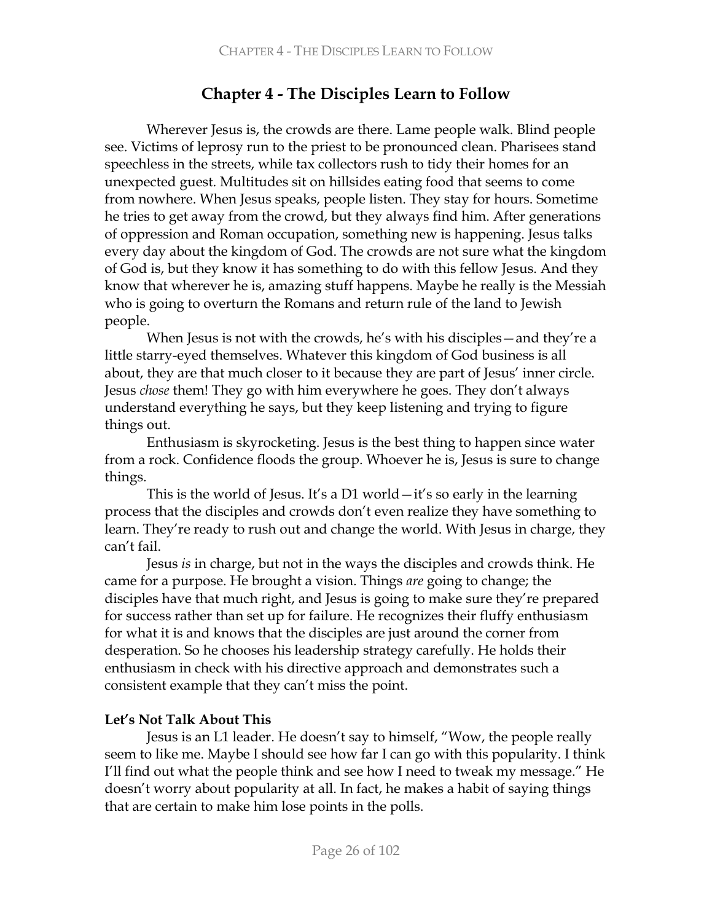# **Chapter 4 - The Disciples Learn to Follow**

Wherever Jesus is, the crowds are there. Lame people walk. Blind people see. Victims of leprosy run to the priest to be pronounced clean. Pharisees stand speechless in the streets, while tax collectors rush to tidy their homes for an unexpected guest. Multitudes sit on hillsides eating food that seems to come from nowhere. When Jesus speaks, people listen. They stay for hours. Sometime he tries to get away from the crowd, but they always find him. After generations of oppression and Roman occupation, something new is happening. Jesus talks every day about the kingdom of God. The crowds are not sure what the kingdom of God is, but they know it has something to do with this fellow Jesus. And they know that wherever he is, amazing stuff happens. Maybe he really is the Messiah who is going to overturn the Romans and return rule of the land to Jewish people.

When Jesus is not with the crowds, he's with his disciples—and they're a little starry-eyed themselves. Whatever this kingdom of God business is all about, they are that much closer to it because they are part of Jesus' inner circle. Jesus *chose* them! They go with him everywhere he goes. They don't always understand everything he says, but they keep listening and trying to figure things out.

Enthusiasm is skyrocketing. Jesus is the best thing to happen since water from a rock. Confidence floods the group. Whoever he is, Jesus is sure to change things.

This is the world of Jesus. It's a D1 world  $-it$ 's so early in the learning process that the disciples and crowds don't even realize they have something to learn. They're ready to rush out and change the world. With Jesus in charge, they can't fail.

Jesus is in charge, but not in the ways the disciples and crowds think. He came for a purpose. He brought a vision. Things are going to change; the disciples have that much right, and Jesus is going to make sure they're prepared for success rather than set up for failure. He recognizes their fluffy enthusiasm for what it is and knows that the disciples are just around the corner from desperation. So he chooses his leadership strategy carefully. He holds their enthusiasm in check with his directive approach and demonstrates such a consistent example that they can't miss the point.

## Let's Not Talk About This

Jesus is an L1 leader. He doesn't say to himself, "Wow, the people really seem to like me. Maybe I should see how far I can go with this popularity. I think I'll find out what the people think and see how I need to tweak my message." He doesn't worry about popularity at all. In fact, he makes a habit of saying things that are certain to make him lose points in the polls.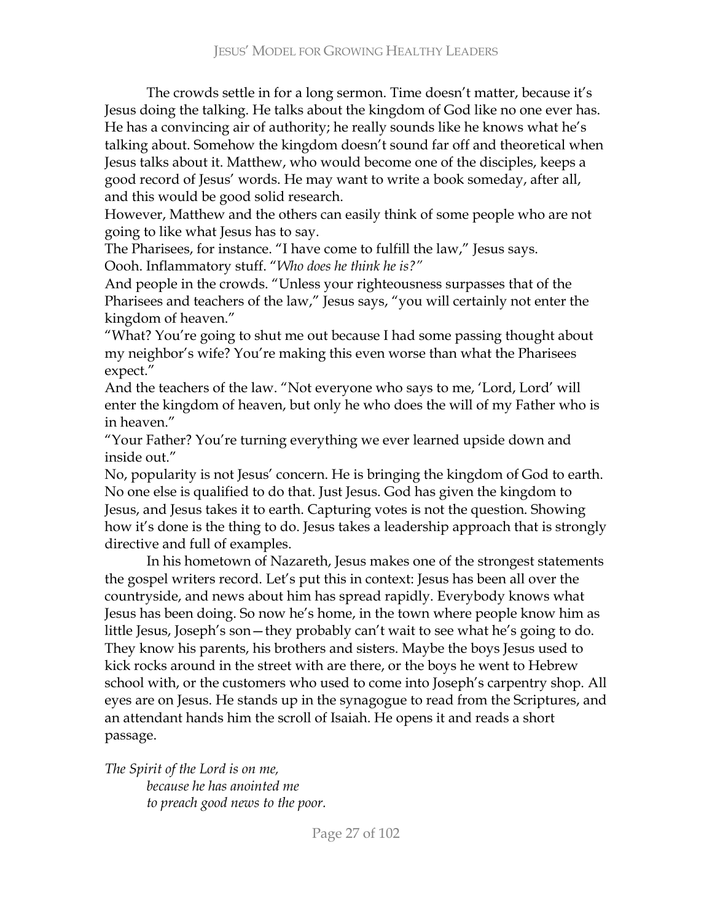The crowds settle in for a long sermon. Time doesn't matter, because it's Jesus doing the talking. He talks about the kingdom of God like no one ever has. He has a convincing air of authority; he really sounds like he knows what he's talking about. Somehow the kingdom doesn't sound far off and theoretical when Jesus talks about it. Matthew, who would become one of the disciples, keeps a good record of Jesus' words. He may want to write a book someday, after all, and this would be good solid research.

However, Matthew and the others can easily think of some people who are not going to like what Jesus has to say.

The Pharisees, for instance. "I have come to fulfill the law," Jesus says. Oooh. Inflammatory stuff. "Who does he think he is?"

And people in the crowds. "Unless your righteousness surpasses that of the Pharisees and teachers of the law," Jesus says, "you will certainly not enter the kingdom of heaven."

"What? You're going to shut me out because I had some passing thought about my neighbor's wife? You're making this even worse than what the Pharisees expect."

And the teachers of the law. "Not everyone who says to me, 'Lord, Lord' will enter the kingdom of heaven, but only he who does the will of my Father who is in heaven."

"Your Father? You're turning everything we ever learned upside down and inside out."

No, popularity is not Jesus' concern. He is bringing the kingdom of God to earth. No one else is qualified to do that. Just Jesus. God has given the kingdom to Jesus, and Jesus takes it to earth. Capturing votes is not the question. Showing how it's done is the thing to do. Jesus takes a leadership approach that is strongly directive and full of examples.

In his hometown of Nazareth, Jesus makes one of the strongest statements the gospel writers record. Let's put this in context: Jesus has been all over the countryside, and news about him has spread rapidly. Everybody knows what Jesus has been doing. So now he's home, in the town where people know him as little Jesus, Joseph's son—they probably can't wait to see what he's going to do. They know his parents, his brothers and sisters. Maybe the boys Jesus used to kick rocks around in the street with are there, or the boys he went to Hebrew school with, or the customers who used to come into Joseph's carpentry shop. All eyes are on Jesus. He stands up in the synagogue to read from the Scriptures, and an attendant hands him the scroll of Isaiah. He opens it and reads a short passage.

The Spirit of the Lord is on me, because he has anointed me to preach good news to the poor.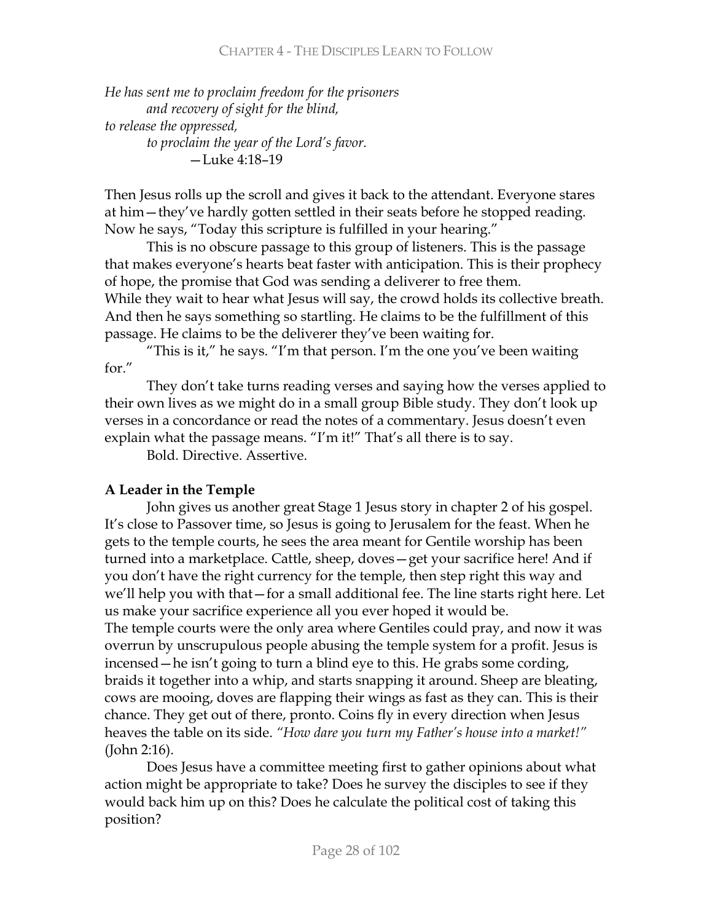## **CHAPTER 4 - THE DISCIPLES LEARN TO FOLLOW**

He has sent me to proclaim freedom for the prisoners and recovery of sight for the blind, to release the oppressed, to proclaim the year of the Lord's favor. -Luke 4:18-19

Then Jesus rolls up the scroll and gives it back to the attendant. Everyone stares at him – they've hardly gotten settled in their seats before he stopped reading. Now he says, "Today this scripture is fulfilled in your hearing."

This is no obscure passage to this group of listeners. This is the passage that makes everyone's hearts beat faster with anticipation. This is their prophecy of hope, the promise that God was sending a deliverer to free them. While they wait to hear what Jesus will say, the crowd holds its collective breath. And then he says something so startling. He claims to be the fulfillment of this passage. He claims to be the deliverer they've been waiting for.

"This is it," he says. "I'm that person. I'm the one you've been waiting for."

They don't take turns reading verses and saying how the verses applied to their own lives as we might do in a small group Bible study. They don't look up verses in a concordance or read the notes of a commentary. Jesus doesn't even explain what the passage means. "I'm it!" That's all there is to say.

Bold. Directive. Assertive.

## A Leader in the Temple

John gives us another great Stage 1 Jesus story in chapter 2 of his gospel. It's close to Passover time, so Jesus is going to Jerusalem for the feast. When he gets to the temple courts, he sees the area meant for Gentile worship has been turned into a marketplace. Cattle, sheep, doves – get your sacrifice here! And if you don't have the right currency for the temple, then step right this way and we'll help you with that – for a small additional fee. The line starts right here. Let us make your sacrifice experience all you ever hoped it would be. The temple courts were the only area where Gentiles could pray, and now it was overrun by unscrupulous people abusing the temple system for a profit. Jesus is incensed – he isn't going to turn a blind eye to this. He grabs some cording, braids it together into a whip, and starts snapping it around. Sheep are bleating, cows are mooing, doves are flapping their wings as fast as they can. This is their chance. They get out of there, pronto. Coins fly in every direction when Jesus heaves the table on its side. "How dare you turn my Father's house into a market!" (John 2:16).

Does Jesus have a committee meeting first to gather opinions about what action might be appropriate to take? Does he survey the disciples to see if they would back him up on this? Does he calculate the political cost of taking this position?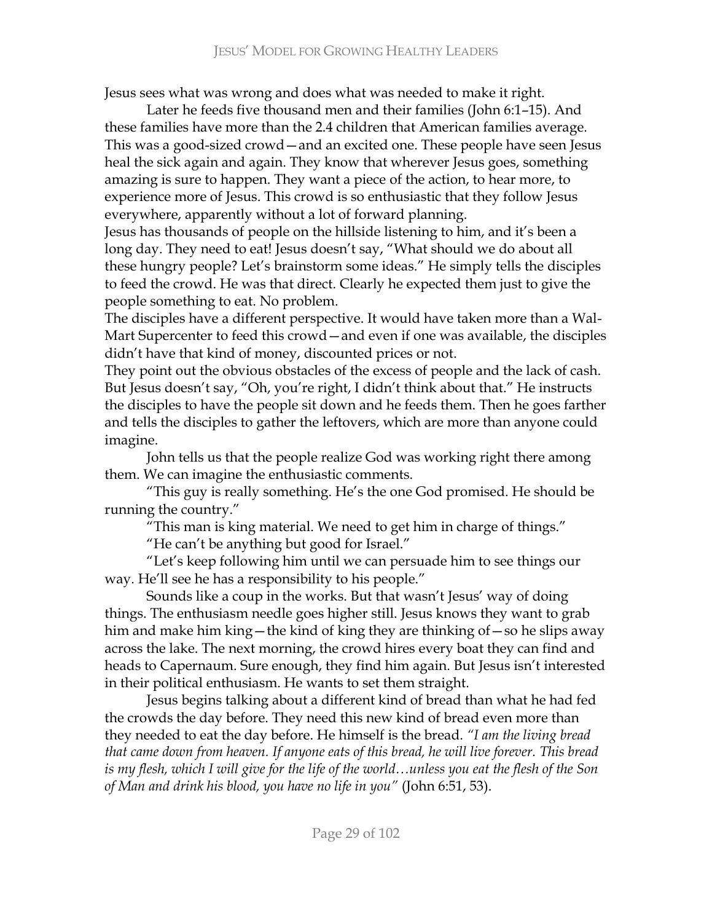Jesus sees what was wrong and does what was needed to make it right.

Later he feeds five thousand men and their families (John 6:1-15). And these families have more than the 2.4 children that American families average. This was a good-sized crowd - and an excited one. These people have seen Jesus heal the sick again and again. They know that wherever Jesus goes, something amazing is sure to happen. They want a piece of the action, to hear more, to experience more of Jesus. This crowd is so enthusiastic that they follow Jesus everywhere, apparently without a lot of forward planning.

Jesus has thousands of people on the hillside listening to him, and it's been a long day. They need to eat! Jesus doesn't say, "What should we do about all these hungry people? Let's brainstorm some ideas." He simply tells the disciples to feed the crowd. He was that direct. Clearly he expected them just to give the people something to eat. No problem.

The disciples have a different perspective. It would have taken more than a Wal-Mart Supercenter to feed this crowd - and even if one was available, the disciples didn't have that kind of money, discounted prices or not.

They point out the obvious obstacles of the excess of people and the lack of cash. But Jesus doesn't say, "Oh, you're right, I didn't think about that." He instructs the disciples to have the people sit down and he feeds them. Then he goes farther and tells the disciples to gather the leftovers, which are more than anyone could imagine.

John tells us that the people realize God was working right there among them. We can imagine the enthusiastic comments.

"This guy is really something. He's the one God promised. He should be running the country."

"This man is king material. We need to get him in charge of things."

"He can't be anything but good for Israel."

"Let's keep following him until we can persuade him to see things our way. He'll see he has a responsibility to his people."

Sounds like a coup in the works. But that wasn't Jesus' way of doing things. The enthusiasm needle goes higher still. Jesus knows they want to grab him and make him king—the kind of king they are thinking of—so he slips away across the lake. The next morning, the crowd hires every boat they can find and heads to Capernaum. Sure enough, they find him again. But Jesus isn't interested in their political enthusiasm. He wants to set them straight.

Jesus begins talking about a different kind of bread than what he had fed the crowds the day before. They need this new kind of bread even more than they needed to eat the day before. He himself is the bread. "I am the living bread that came down from heaven. If anyone eats of this bread, he will live forever. This bread is my flesh, which I will give for the life of the world…unless you eat the flesh of the Son of Man and drink his blood, you have no life in you" (John 6:51, 53).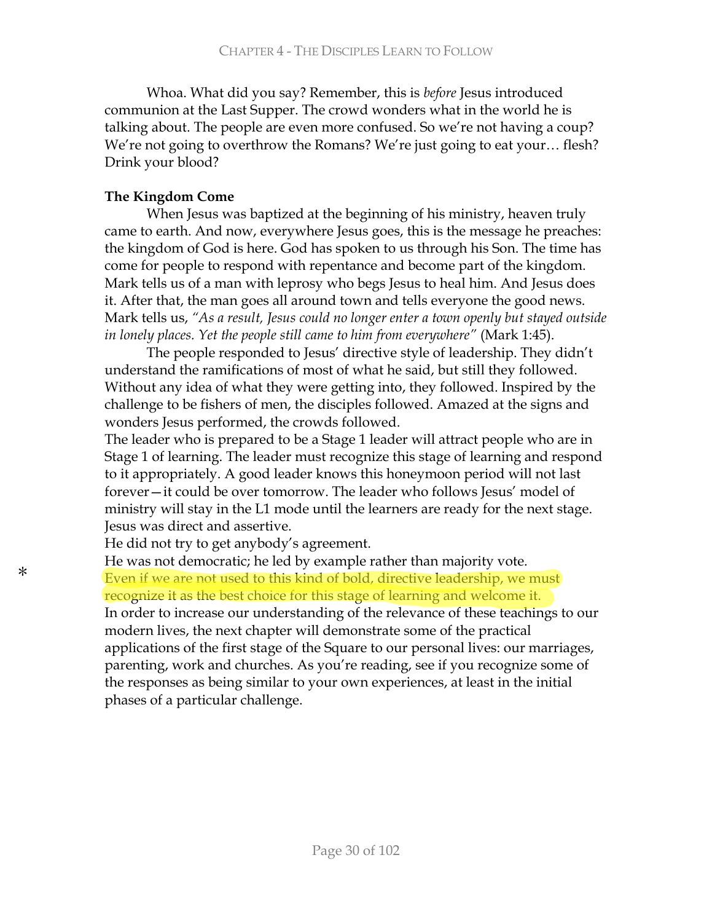Whoa. What did you say? Remember, this is before Jesus introduced communion at the Last Supper. The crowd wonders what in the world he is talking about. The people are even more confused. So we're not having a coup? We're not going to overthrow the Romans? We're just going to eat your... flesh? Drink your blood?

### The Kingdom Come

When Jesus was baptized at the beginning of his ministry, heaven truly came to earth. And now, everywhere Jesus goes, this is the message he preaches: the kingdom of God is here. God has spoken to us through his Son. The time has come for people to respond with repentance and become part of the kingdom. Mark tells us of a man with leprosy who begs Jesus to heal him. And Jesus does it. After that, the man goes all around town and tells everyone the good news. Mark tells us, "As a result, Jesus could no longer enter a town openly but stayed outside in lonely places. Yet the people still came to him from everywhere" (Mark 1:45).

The people responded to Jesus' directive style of leadership. They didn't understand the ramifications of most of what he said, but still they followed. Without any idea of what they were getting into, they followed. Inspired by the challenge to be fishers of men, the disciples followed. Amazed at the signs and wonders Jesus performed, the crowds followed.

The leader who is prepared to be a Stage 1 leader will attract people who are in Stage 1 of learning. The leader must recognize this stage of learning and respond to it appropriately. A good leader knows this honeymoon period will not last forever-it could be over tomorrow. The leader who follows Jesus' model of ministry will stay in the L1 mode until the learners are ready for the next stage. Jesus was direct and assertive.

He did not try to get anybody's agreement.

He was not democratic; he led by example rather than majority vote. Even if we are not used to this kind of bold, directive leadership, we must recognize it as the best choice for this stage of learning and welcome it. In order to increase our understanding of the relevance of these teachings to our modern lives, the next chapter will demonstrate some of the practical applications of the first stage of the Square to our personal lives: our marriages, parenting, work and churches. As you're reading, see if you recognize some of the responses as being similar to your own experiences, at least in the initial phases of a particular challenge.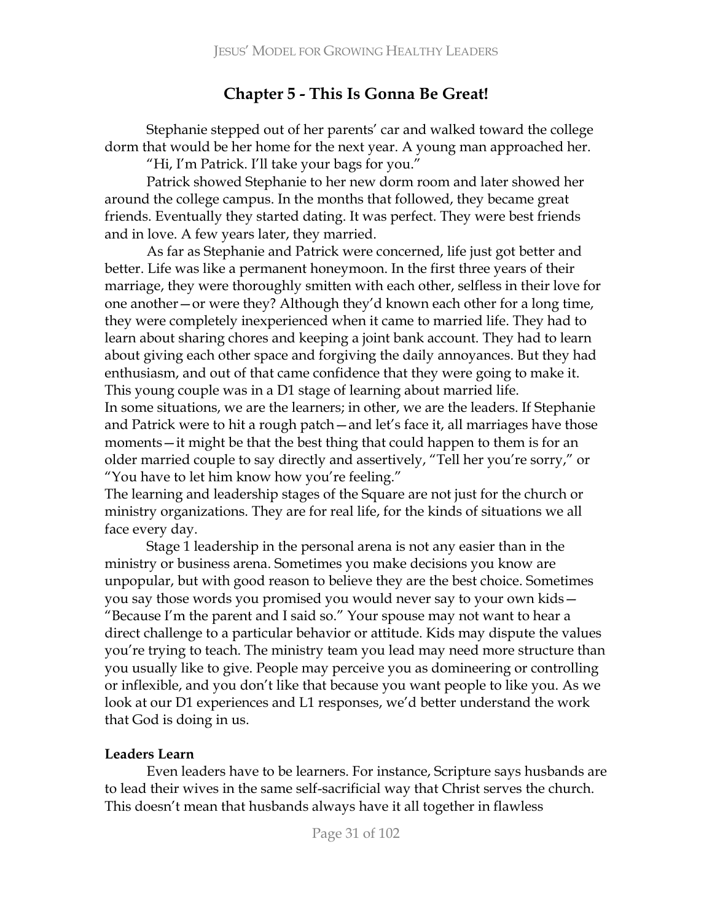# **Chapter 5 - This Is Gonna Be Great!**

Stephanie stepped out of her parents' car and walked toward the college dorm that would be her home for the next year. A young man approached her.

"Hi, I'm Patrick. I'll take your bags for you."

Patrick showed Stephanie to her new dorm room and later showed her around the college campus. In the months that followed, they became great friends. Eventually they started dating. It was perfect. They were best friends and in love. A few years later, they married.

As far as Stephanie and Patrick were concerned, life just got better and better. Life was like a permanent honeymoon. In the first three years of their marriage, they were thoroughly smitten with each other, selfless in their love for one another – or were they? Although they'd known each other for a long time, they were completely inexperienced when it came to married life. They had to learn about sharing chores and keeping a joint bank account. They had to learn about giving each other space and forgiving the daily annoyances. But they had enthusiasm, and out of that came confidence that they were going to make it. This young couple was in a D1 stage of learning about married life.

In some situations, we are the learners; in other, we are the leaders. If Stephanie and Patrick were to hit a rough patch - and let's face it, all marriages have those moments—it might be that the best thing that could happen to them is for an older married couple to say directly and assertively, "Tell her you're sorry," or "You have to let him know how you're feeling."

The learning and leadership stages of the Square are not just for the church or ministry organizations. They are for real life, for the kinds of situations we all face every day.

Stage 1 leadership in the personal arena is not any easier than in the ministry or business arena. Sometimes you make decisions you know are unpopular, but with good reason to believe they are the best choice. Sometimes you say those words you promised you would never say to your own kids – "Because I'm the parent and I said so." Your spouse may not want to hear a direct challenge to a particular behavior or attitude. Kids may dispute the values you're trying to teach. The ministry team you lead may need more structure than you usually like to give. People may perceive you as domineering or controlling or inflexible, and you don't like that because you want people to like you. As we look at our D1 experiences and L1 responses, we'd better understand the work that God is doing in us.

## **Leaders Learn**

Even leaders have to be learners. For instance, Scripture says husbands are to lead their wives in the same self-sacrificial way that Christ serves the church. This doesn't mean that husbands always have it all together in flawless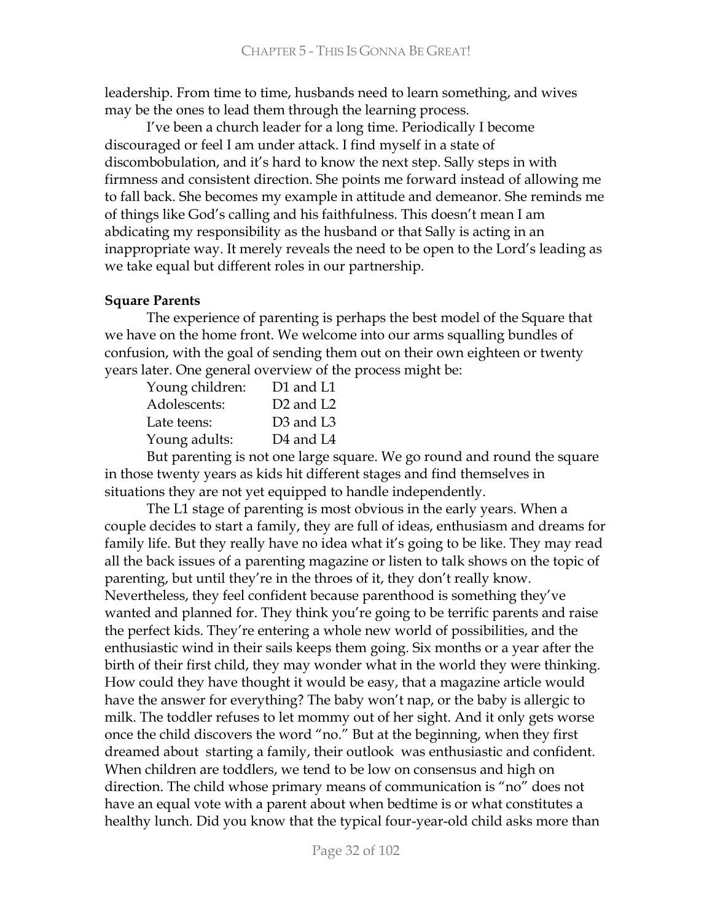leadership. From time to time, husbands need to learn something, and wives may be the ones to lead them through the learning process.

I've been a church leader for a long time. Periodically I become discouraged or feel I am under attack. I find myself in a state of discombobulation, and it's hard to know the next step. Sally steps in with firmness and consistent direction. She points me forward instead of allowing me to fall back. She becomes my example in attitude and demeanor. She reminds me of things like God's calling and his faithfulness. This doesn't mean I am abdicating my responsibility as the husband or that Sally is acting in an inappropriate way. It merely reveals the need to be open to the Lord's leading as we take equal but different roles in our partnership.

## **Square Parents**

The experience of parenting is perhaps the best model of the Square that we have on the home front. We welcome into our arms squalling bundles of confusion, with the goal of sending them out on their own eighteen or twenty years later. One general overview of the process might be:

| Young children: | D1 and L1                         |
|-----------------|-----------------------------------|
| Adolescents:    | D <sub>2</sub> and L <sub>2</sub> |
| Late teens:     | D <sub>3</sub> and L <sub>3</sub> |
| Young adults:   | D <sub>4</sub> and L <sub>4</sub> |
|                 |                                   |

But parenting is not one large square. We go round and round the square in those twenty years as kids hit different stages and find themselves in situations they are not yet equipped to handle independently.

The L1 stage of parenting is most obvious in the early years. When a couple decides to start a family, they are full of ideas, enthusiasm and dreams for family life. But they really have no idea what it's going to be like. They may read all the back issues of a parenting magazine or listen to talk shows on the topic of parenting, but until they're in the throes of it, they don't really know. Nevertheless, they feel confident because parenthood is something they've wanted and planned for. They think you're going to be terrific parents and raise the perfect kids. They're entering a whole new world of possibilities, and the enthusiastic wind in their sails keeps them going. Six months or a year after the birth of their first child, they may wonder what in the world they were thinking. How could they have thought it would be easy, that a magazine article would have the answer for everything? The baby won't nap, or the baby is allergic to milk. The toddler refuses to let mommy out of her sight. And it only gets worse once the child discovers the word "no." But at the beginning, when they first dreamed about starting a family, their outlook was enthusiastic and confident. When children are toddlers, we tend to be low on consensus and high on direction. The child whose primary means of communication is "no" does not have an equal vote with a parent about when bedtime is or what constitutes a healthy lunch. Did you know that the typical four-year-old child asks more than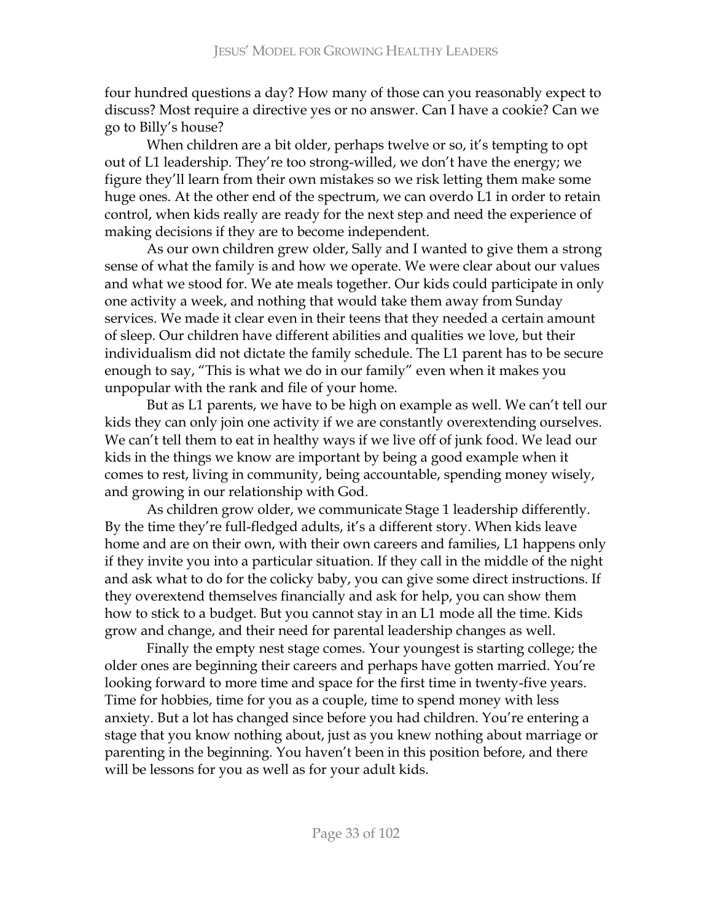four hundred questions a day? How many of those can you reasonably expect to discuss? Most require a directive yes or no answer. Can I have a cookie? Can we go to Billy's house?

When children are a bit older, perhaps twelve or so, it's tempting to opt out of L1 leadership. They're too strong-willed, we don't have the energy; we figure they'll learn from their own mistakes so we risk letting them make some huge ones. At the other end of the spectrum, we can overdo L1 in order to retain control, when kids really are ready for the next step and need the experience of making decisions if they are to become independent.

As our own children grew older, Sally and I wanted to give them a strong sense of what the family is and how we operate. We were clear about our values and what we stood for. We ate meals together. Our kids could participate in only one activity a week, and nothing that would take them away from Sunday services. We made it clear even in their teens that they needed a certain amount of sleep. Our children have different abilities and qualities we love, but their individualism did not dictate the family schedule. The L1 parent has to be secure enough to say, "This is what we do in our family" even when it makes you unpopular with the rank and file of your home.

But as L1 parents, we have to be high on example as well. We can't tell our kids they can only join one activity if we are constantly overextending ourselves. We can't tell them to eat in healthy ways if we live off of junk food. We lead our kids in the things we know are important by being a good example when it comes to rest, living in community, being accountable, spending money wisely, and growing in our relationship with God.

As children grow older, we communicate Stage 1 leadership differently. By the time they're full-fledged adults, it's a different story. When kids leave home and are on their own, with their own careers and families, L1 happens only if they invite you into a particular situation. If they call in the middle of the night and ask what to do for the colicky baby, you can give some direct instructions. If they overextend themselves financially and ask for help, you can show them how to stick to a budget. But you cannot stay in an L1 mode all the time. Kids grow and change, and their need for parental leadership changes as well.

Finally the empty nest stage comes. Your youngest is starting college; the older ones are beginning their careers and perhaps have gotten married. You're looking forward to more time and space for the first time in twenty-five years. Time for hobbies, time for you as a couple, time to spend money with less anxiety. But a lot has changed since before you had children. You're entering a stage that you know nothing about, just as you knew nothing about marriage or parenting in the beginning. You haven't been in this position before, and there will be lessons for you as well as for your adult kids.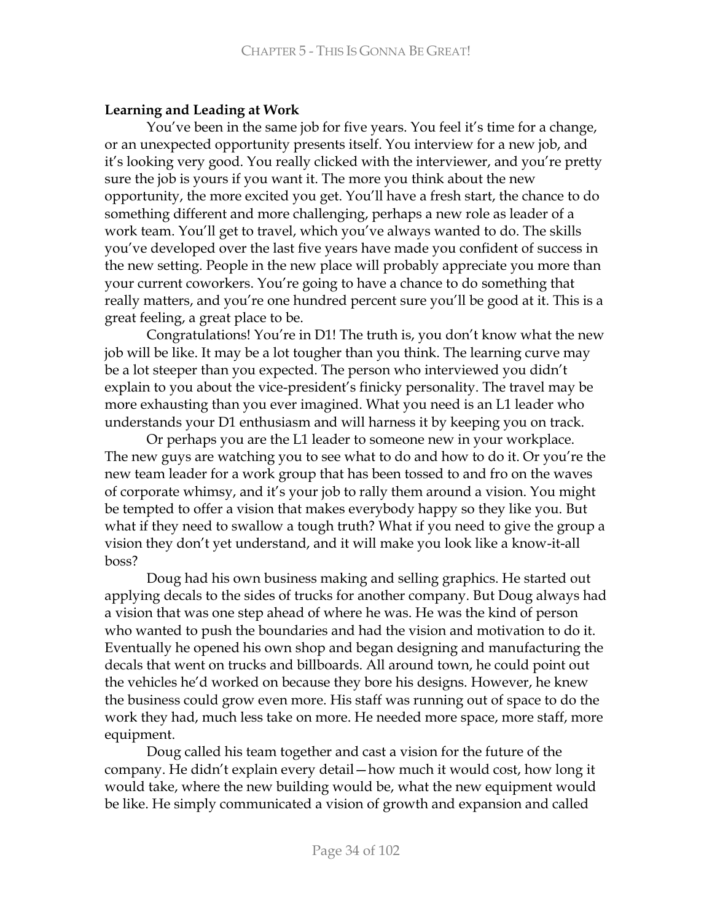## **Learning and Leading at Work**

You've been in the same job for five years. You feel it's time for a change, or an unexpected opportunity presents itself. You interview for a new job, and it's looking very good. You really clicked with the interviewer, and you're pretty sure the job is yours if you want it. The more you think about the new opportunity, the more excited you get. You'll have a fresh start, the chance to do something different and more challenging, perhaps a new role as leader of a work team. You'll get to travel, which you've always wanted to do. The skills you've developed over the last five years have made you confident of success in the new setting. People in the new place will probably appreciate you more than your current coworkers. You're going to have a chance to do something that really matters, and you're one hundred percent sure you'll be good at it. This is a great feeling, a great place to be.

Congratulations! You're in D1! The truth is, you don't know what the new job will be like. It may be a lot tougher than you think. The learning curve may be a lot steeper than you expected. The person who interviewed you didn't explain to you about the vice-president's finicky personality. The travel may be more exhausting than you ever imagined. What you need is an L1 leader who understands your D1 enthusiasm and will harness it by keeping you on track.

Or perhaps you are the L1 leader to someone new in your workplace. The new guys are watching you to see what to do and how to do it. Or you're the new team leader for a work group that has been tossed to and fro on the waves of corporate whimsy, and it's your job to rally them around a vision. You might be tempted to offer a vision that makes everybody happy so they like you. But what if they need to swallow a tough truth? What if you need to give the group a vision they don't yet understand, and it will make you look like a know-it-all boss?

Doug had his own business making and selling graphics. He started out applying decals to the sides of trucks for another company. But Doug always had a vision that was one step ahead of where he was. He was the kind of person who wanted to push the boundaries and had the vision and motivation to do it. Eventually he opened his own shop and began designing and manufacturing the decals that went on trucks and billboards. All around town, he could point out the vehicles he'd worked on because they bore his designs. However, he knew the business could grow even more. His staff was running out of space to do the work they had, much less take on more. He needed more space, more staff, more equipment.

Doug called his team together and cast a vision for the future of the company. He didn't explain every detail-how much it would cost, how long it would take, where the new building would be, what the new equipment would be like. He simply communicated a vision of growth and expansion and called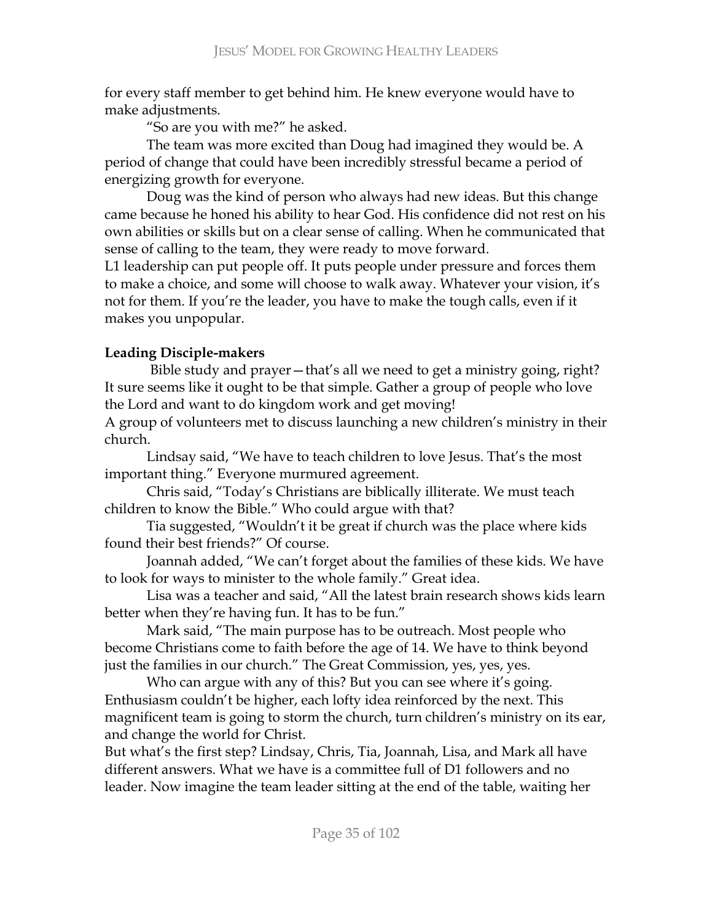for every staff member to get behind him. He knew everyone would have to make adjustments.

"So are you with me?" he asked.

The team was more excited than Doug had imagined they would be. A period of change that could have been incredibly stressful became a period of energizing growth for everyone.

Doug was the kind of person who always had new ideas. But this change came because he honed his ability to hear God. His confidence did not rest on his own abilities or skills but on a clear sense of calling. When he communicated that sense of calling to the team, they were ready to move forward.

L1 leadership can put people off. It puts people under pressure and forces them to make a choice, and some will choose to walk away. Whatever your vision, it's not for them. If you're the leader, you have to make the tough calls, even if it makes you unpopular.

# **Leading Disciple-makers**

Bible study and prayer - that's all we need to get a ministry going, right? It sure seems like it ought to be that simple. Gather a group of people who love the Lord and want to do kingdom work and get moving!

A group of volunteers met to discuss launching a new children's ministry in their church.

Lindsay said, "We have to teach children to love Jesus. That's the most important thing." Everyone murmured agreement.

Chris said, "Today's Christians are biblically illiterate. We must teach children to know the Bible." Who could argue with that?

Tia suggested, "Wouldn't it be great if church was the place where kids found their best friends?" Of course.

Joannah added, "We can't forget about the families of these kids. We have to look for ways to minister to the whole family." Great idea.

Lisa was a teacher and said, "All the latest brain research shows kids learn better when they're having fun. It has to be fun."

Mark said, "The main purpose has to be outreach. Most people who become Christians come to faith before the age of 14. We have to think beyond just the families in our church." The Great Commission, yes, yes, yes.

Who can argue with any of this? But you can see where it's going. Enthusiasm couldn't be higher, each lofty idea reinforced by the next. This magnificent team is going to storm the church, turn children's ministry on its ear, and change the world for Christ.

But what's the first step? Lindsay, Chris, Tia, Joannah, Lisa, and Mark all have different answers. What we have is a committee full of D1 followers and no leader. Now imagine the team leader sitting at the end of the table, waiting her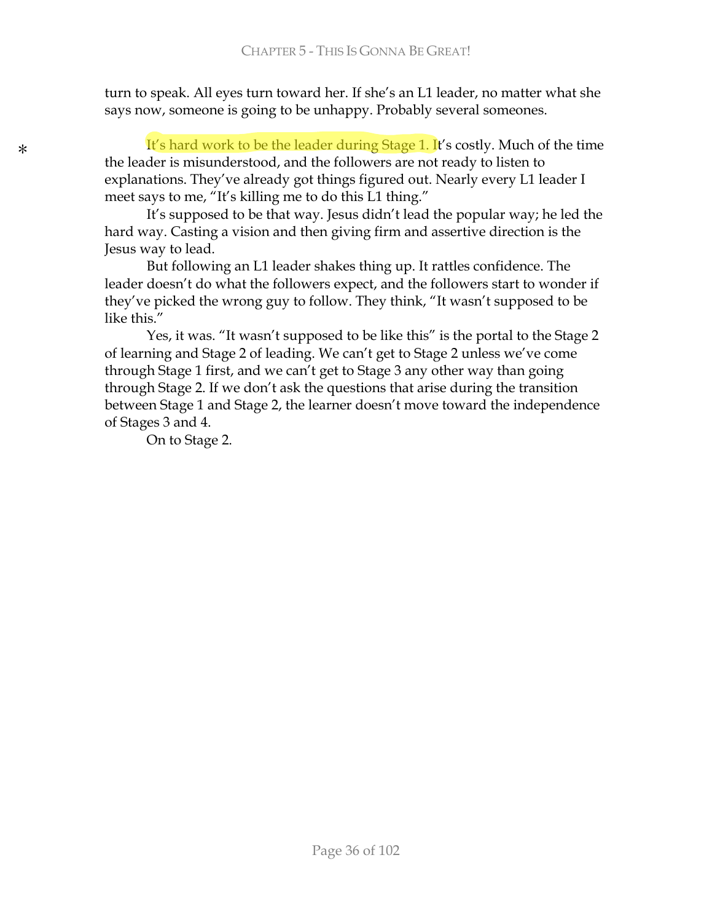turn to speak. All eyes turn toward her. If she's an L1 leader, no matter what she says now, someone is going to be unhappy. Probably several someones.

It's hard work to be the leader during Stage 1. It's costly. Much of the time the leader is misunderstood, and the followers are not ready to listen to explanations. They've already got things figured out. Nearly every L1 leader I meet says to me, "It's killing me to do this L1 thing."

It's supposed to be that way. Jesus didn't lead the popular way; he led the hard way. Casting a vision and then giving firm and assertive direction is the Jesus way to lead.

But following an L1 leader shakes thing up. It rattles confidence. The leader doesn't do what the followers expect, and the followers start to wonder if they've picked the wrong guy to follow. They think, "It wasn't supposed to be like this."

Yes, it was. "It wasn't supposed to be like this" is the portal to the Stage 2 of learning and Stage 2 of leading. We can't get to Stage 2 unless we've come through Stage 1 first, and we can't get to Stage 3 any other way than going through Stage 2. If we don't ask the questions that arise during the transition between Stage 1 and Stage 2, the learner doesn't move toward the independence of Stages 3 and 4.

On to Stage 2.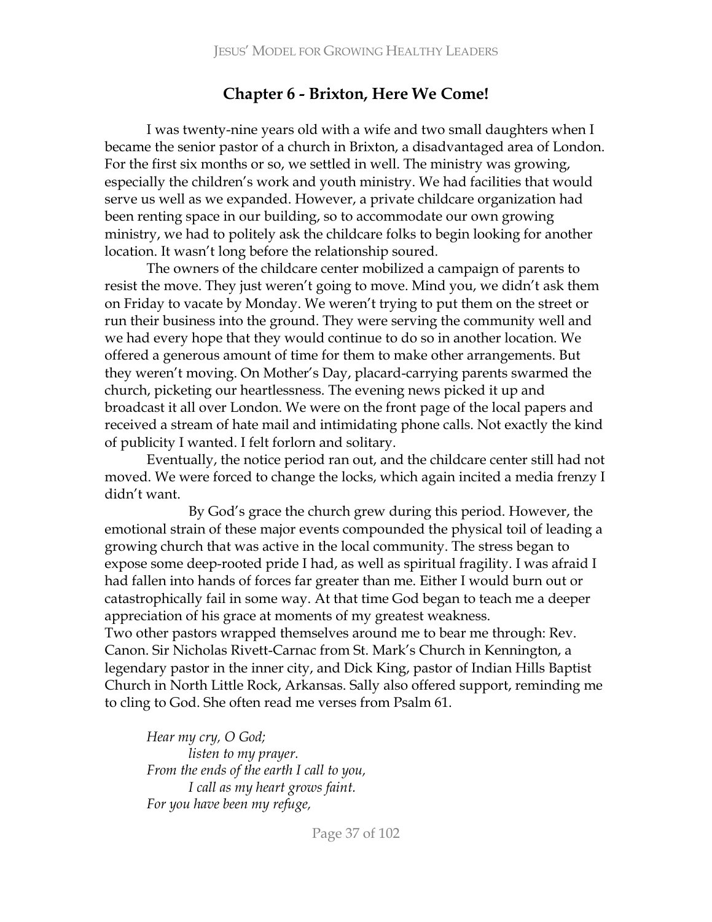# **Chapter 6 - Brixton, Here We Come!**

I was twenty-nine years old with a wife and two small daughters when I became the senior pastor of a church in Brixton, a disadvantaged area of London. For the first six months or so, we settled in well. The ministry was growing, especially the children's work and youth ministry. We had facilities that would serve us well as we expanded. However, a private childcare organization had been renting space in our building, so to accommodate our own growing ministry, we had to politely ask the childcare folks to begin looking for another location. It wasn't long before the relationship soured.

The owners of the childcare center mobilized a campaign of parents to resist the move. They just weren't going to move. Mind you, we didn't ask them on Friday to vacate by Monday. We weren't trying to put them on the street or run their business into the ground. They were serving the community well and we had every hope that they would continue to do so in another location. We offered a generous amount of time for them to make other arrangements. But they weren't moving. On Mother's Day, placard-carrying parents swarmed the church, picketing our heartlessness. The evening news picked it up and broadcast it all over London. We were on the front page of the local papers and received a stream of hate mail and intimidating phone calls. Not exactly the kind of publicity I wanted. I felt forlorn and solitary.

Eventually, the notice period ran out, and the childcare center still had not moved. We were forced to change the locks, which again incited a media frenzy I didn't want.

By God's grace the church grew during this period. However, the emotional strain of these major events compounded the physical toil of leading a growing church that was active in the local community. The stress began to expose some deep-rooted pride I had, as well as spiritual fragility. I was afraid I had fallen into hands of forces far greater than me. Either I would burn out or catastrophically fail in some way. At that time God began to teach me a deeper appreciation of his grace at moments of my greatest weakness.

Two other pastors wrapped themselves around me to bear me through: Rev. Canon. Sir Nicholas Rivett-Carnac from St. Mark's Church in Kennington, a legendary pastor in the inner city, and Dick King, pastor of Indian Hills Baptist Church in North Little Rock, Arkansas. Sally also offered support, reminding me to cling to God. She often read me verses from Psalm 61.

*Hear my cry, O God; listen to my prayer. From the ends of the earth I call to you, I* call as my heart grows faint. *For you have been my refuge,*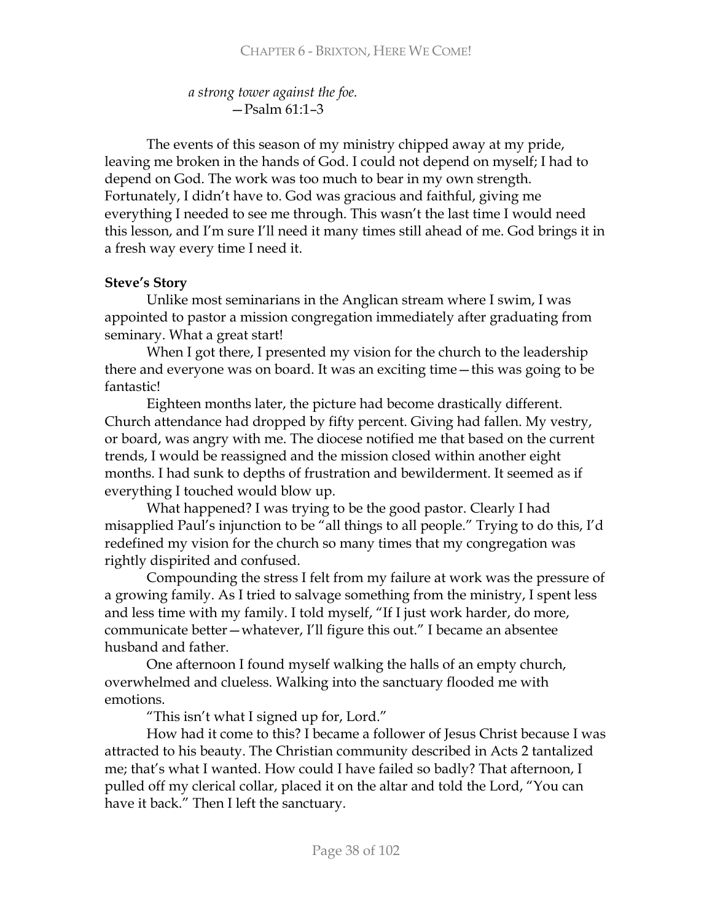*a* strong tower against the foe.  $-$ Psalm 61:1-3

The events of this season of my ministry chipped away at my pride, leaving me broken in the hands of God. I could not depend on myself; I had to depend on God. The work was too much to bear in my own strength. Fortunately, I didn't have to. God was gracious and faithful, giving me everything I needed to see me through. This wasn't the last time I would need this lesson, and I'm sure I'll need it many times still ahead of me. God brings it in a fresh way every time I need it.

# **Steve's Story**

Unlike most seminarians in the Anglican stream where I swim, I was appointed to pastor a mission congregation immediately after graduating from seminary. What a great start!

When I got there, I presented my vision for the church to the leadership there and everyone was on board. It was an exciting time – this was going to be fantastic!

Eighteen months later, the picture had become drastically different. Church attendance had dropped by fifty percent. Giving had fallen. My vestry, or board, was angry with me. The diocese notified me that based on the current trends, I would be reassigned and the mission closed within another eight months. I had sunk to depths of frustration and bewilderment. It seemed as if everything I touched would blow up.

What happened? I was trying to be the good pastor. Clearly I had misapplied Paul's injunction to be "all things to all people." Trying to do this, I'd redefined my vision for the church so many times that my congregation was rightly dispirited and confused.

Compounding the stress I felt from my failure at work was the pressure of a growing family. As I tried to salvage something from the ministry, I spent less and less time with my family. I told myself, "If I just work harder, do more, communicate better - whatever, I'll figure this out." I became an absentee husband and father.

One afternoon I found myself walking the halls of an empty church, overwhelmed and clueless. Walking into the sanctuary flooded me with emotions.

"This isn't what I signed up for, Lord."

How had it come to this? I became a follower of Jesus Christ because I was attracted to his beauty. The Christian community described in Acts 2 tantalized me; that's what I wanted. How could I have failed so badly? That afternoon, I pulled off my clerical collar, placed it on the altar and told the Lord, "You can have it back." Then I left the sanctuary.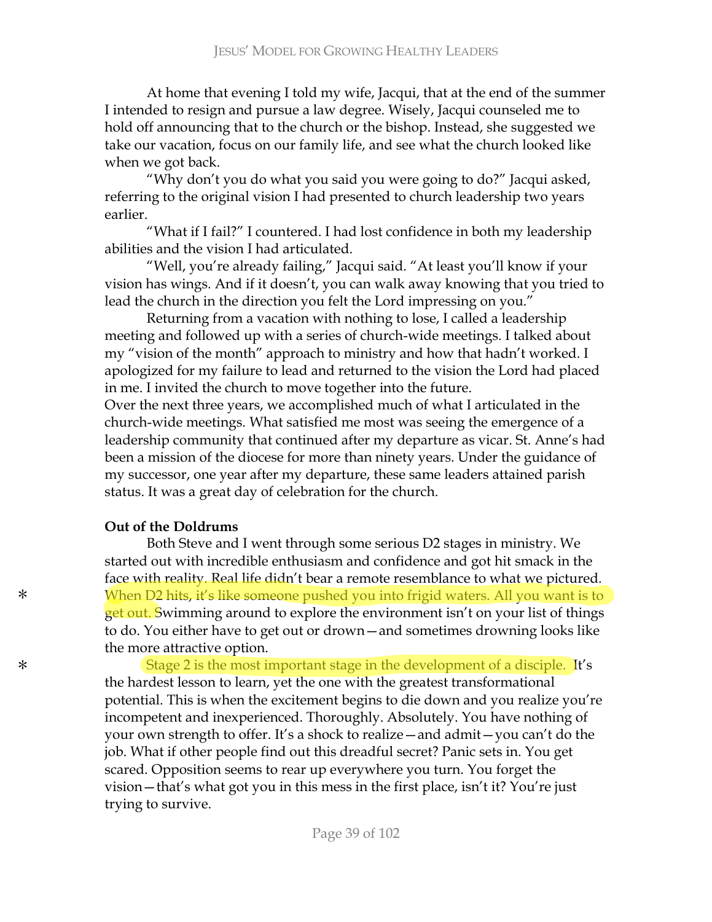At home that evening I told my wife, Jacqui, that at the end of the summer I intended to resign and pursue a law degree. Wisely, Jacqui counseled me to hold off announcing that to the church or the bishop. Instead, she suggested we take our vacation, focus on our family life, and see what the church looked like when we got back.

"Why don't you do what you said you were going to do?" Jacqui asked, referring to the original vision I had presented to church leadership two years earlier.

"What if I fail?" I countered. I had lost confidence in both my leadership abilities and the vision I had articulated.

"Well, you're already failing," Jacqui said. "At least you'll know if your vision has wings. And if it doesn't, you can walk away knowing that you tried to lead the church in the direction you felt the Lord impressing on you."

Returning from a vacation with nothing to lose, I called a leadership meeting and followed up with a series of church-wide meetings. I talked about my "vision of the month" approach to ministry and how that hadn't worked. I apologized for my failure to lead and returned to the vision the Lord had placed in me. I invited the church to move together into the future.

Over the next three years, we accomplished much of what I articulated in the church-wide meetings. What satisfied me most was seeing the emergence of a leadership community that continued after my departure as vicar. St. Anne's had been a mission of the diocese for more than ninety years. Under the guidance of my successor, one year after my departure, these same leaders attained parish status. It was a great day of celebration for the church.

#### **Out of the Doldrums**

\*

\*

Both Steve and I went through some serious D2 stages in ministry. We started out with incredible enthusiasm and confidence and got hit smack in the face with reality. Real life didn't bear a remote resemblance to what we pictured. When D2 hits, it's like someone pushed you into frigid waters. All you want is to get out. Swimming around to explore the environment isn't on your list of things to do. You either have to get out or drown - and sometimes drowning looks like the more attractive option.

Stage 2 is the most important stage in the development of a disciple. It's the hardest lesson to learn, yet the one with the greatest transformational potential. This is when the excitement begins to die down and you realize you're incompetent and inexperienced. Thoroughly. Absolutely. You have nothing of your own strength to offer. It's a shock to realize - and admit - you can't do the job. What if other people find out this dreadful secret? Panic sets in. You get scared. Opposition seems to rear up everywhere you turn. You forget the vision - that's what got you in this mess in the first place, isn't it? You're just trying to survive.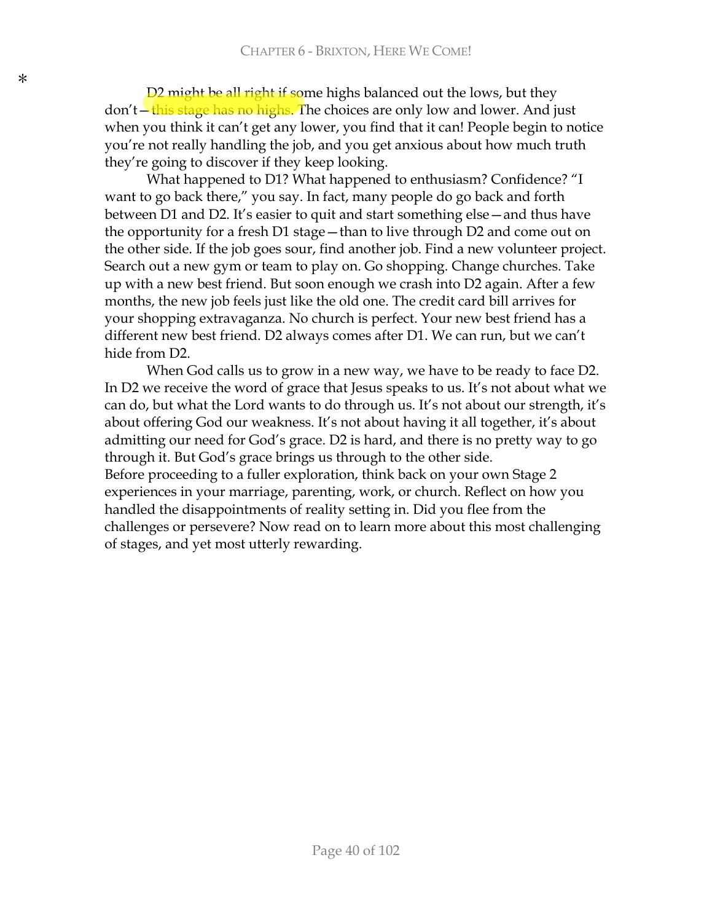D2 might be all right if some highs balanced out the lows, but they don't - this stage has no highs. The choices are only low and lower. And just when you think it can't get any lower, you find that it can! People begin to notice you're not really handling the job, and you get anxious about how much truth they're going to discover if they keep looking.

What happened to D1? What happened to enthusiasm? Confidence? "I want to go back there," you say. In fact, many people do go back and forth between D1 and D2. It's easier to quit and start something else—and thus have the opportunity for a fresh  $D1$  stage  $-$  than to live through  $D2$  and come out on the other side. If the job goes sour, find another job. Find a new volunteer project. Search out a new gym or team to play on. Go shopping. Change churches. Take up with a new best friend. But soon enough we crash into D2 again. After a few months, the new job feels just like the old one. The credit card bill arrives for your shopping extravaganza. No church is perfect. Your new best friend has a different new best friend. D2 always comes after D1. We can run, but we can't hide from D2.

When God calls us to grow in a new way, we have to be ready to face D2. In D2 we receive the word of grace that Jesus speaks to us. It's not about what we can do, but what the Lord wants to do through us. It's not about our strength, it's about offering God our weakness. It's not about having it all together, it's about admitting our need for God's grace. D2 is hard, and there is no pretty way to go through it. But God's grace brings us through to the other side. Before proceeding to a fuller exploration, think back on your own Stage 2 experiences in your marriage, parenting, work, or church. Reflect on how you handled the disappointments of reality setting in. Did you flee from the challenges or persevere? Now read on to learn more about this most challenging of stages, and yet most utterly rewarding.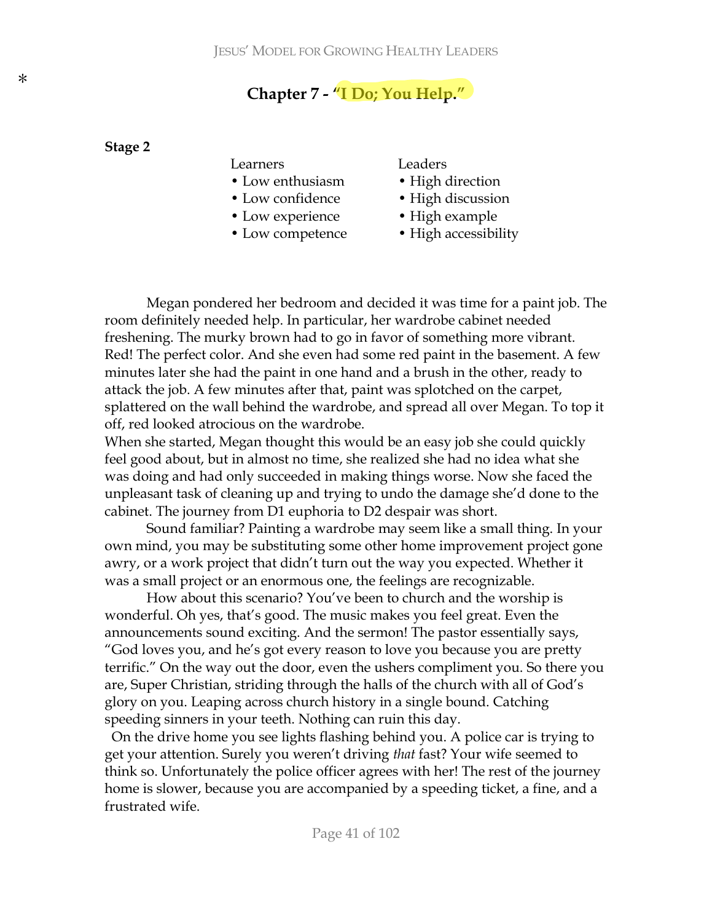# Chapter 7 - "I Do; You Help."

#### Stage 2

#### Learners

- Low enthusiasm
- Low confidence
- Low experience
- Low competence

#### Leaders

- High direction
- High discussion
- High example
- High accessibility

Megan pondered her bedroom and decided it was time for a paint job. The room definitely needed help. In particular, her wardrobe cabinet needed freshening. The murky brown had to go in favor of something more vibrant. Red! The perfect color. And she even had some red paint in the basement. A few minutes later she had the paint in one hand and a brush in the other, ready to attack the job. A few minutes after that, paint was splotched on the carpet, splattered on the wall behind the wardrobe, and spread all over Megan. To top it off, red looked atrocious on the wardrobe.

When she started, Megan thought this would be an easy job she could quickly feel good about, but in almost no time, she realized she had no idea what she was doing and had only succeeded in making things worse. Now she faced the unpleasant task of cleaning up and trying to undo the damage she'd done to the cabinet. The journey from D1 euphoria to D2 despair was short.

Sound familiar? Painting a wardrobe may seem like a small thing. In your own mind, you may be substituting some other home improvement project gone awry, or a work project that didn't turn out the way you expected. Whether it was a small project or an enormous one, the feelings are recognizable.

How about this scenario? You've been to church and the worship is wonderful. Oh yes, that's good. The music makes you feel great. Even the announcements sound exciting. And the sermon! The pastor essentially says, "God loves you, and he's got every reason to love you because you are pretty terrific." On the way out the door, even the ushers compliment you. So there you are, Super Christian, striding through the halls of the church with all of God's glory on you. Leaping across church history in a single bound. Catching speeding sinners in your teeth. Nothing can ruin this day.

On the drive home you see lights flashing behind you. A police car is trying to get your attention. Surely you weren't driving that fast? Your wife seemed to think so. Unfortunately the police officer agrees with her! The rest of the journey home is slower, because you are accompanied by a speeding ticket, a fine, and a frustrated wife.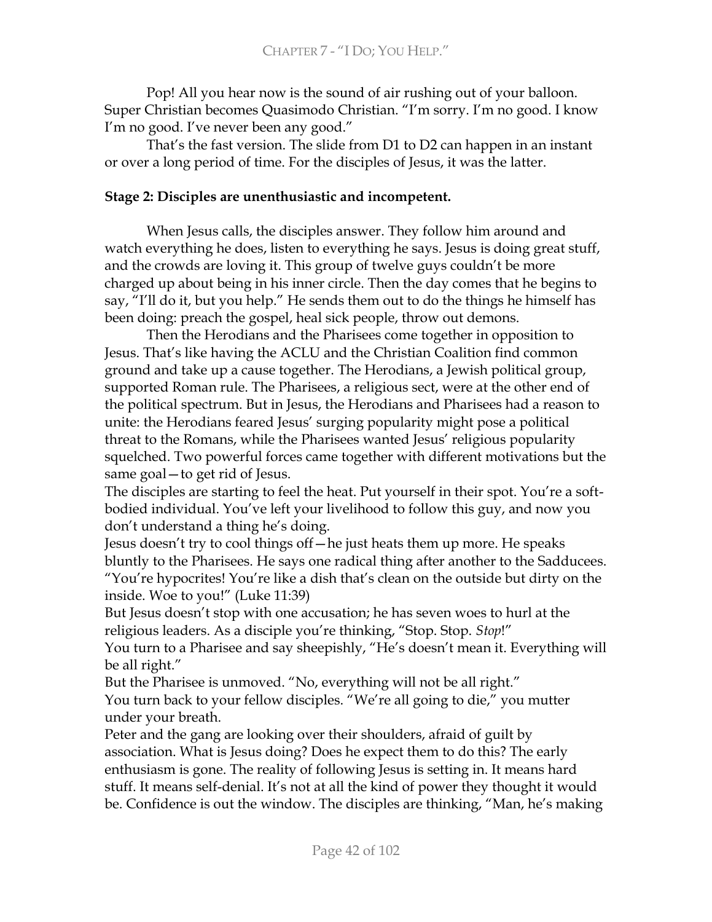Pop! All you hear now is the sound of air rushing out of your balloon. Super Christian becomes Quasimodo Christian. "I'm sorry. I'm no good. I know I'm no good. I've never been any good."

That's the fast version. The slide from D1 to D2 can happen in an instant or over a long period of time. For the disciples of Jesus, it was the latter.

## Stage 2: Disciples are unenthusiastic and incompetent.

When Jesus calls, the disciples answer. They follow him around and watch everything he does, listen to everything he says. Jesus is doing great stuff, and the crowds are loving it. This group of twelve guys couldn't be more charged up about being in his inner circle. Then the day comes that he begins to say, "I'll do it, but you help." He sends them out to do the things he himself has been doing: preach the gospel, heal sick people, throw out demons.

Then the Herodians and the Pharisees come together in opposition to Jesus. That's like having the ACLU and the Christian Coalition find common ground and take up a cause together. The Herodians, a Jewish political group, supported Roman rule. The Pharisees, a religious sect, were at the other end of the political spectrum. But in Jesus, the Herodians and Pharisees had a reason to unite: the Herodians feared Jesus' surging popularity might pose a political threat to the Romans, while the Pharisees wanted Jesus' religious popularity squelched. Two powerful forces came together with different motivations but the same goal – to get rid of Jesus.

The disciples are starting to feel the heat. Put yourself in their spot. You're a softbodied individual. You've left your livelihood to follow this guy, and now you don't understand a thing he's doing.

Jesus doesn't try to cool things off—he just heats them up more. He speaks bluntly to the Pharisees. He says one radical thing after another to the Sadducees. "You're hypocrites! You're like a dish that's clean on the outside but dirty on the inside. Woe to you!" (Luke 11:39)

But Jesus doesn't stop with one accusation; he has seven woes to hurl at the religious leaders. As a disciple you're thinking, "Stop. Stop. Stop!"

You turn to a Pharisee and say sheepishly, "He's doesn't mean it. Everything will be all right."

But the Pharisee is unmoved. "No, everything will not be all right." You turn back to your fellow disciples. "We're all going to die," you mutter under your breath.

Peter and the gang are looking over their shoulders, afraid of guilt by association. What is Jesus doing? Does he expect them to do this? The early enthusiasm is gone. The reality of following Jesus is setting in. It means hard stuff. It means self-denial. It's not at all the kind of power they thought it would be. Confidence is out the window. The disciples are thinking, "Man, he's making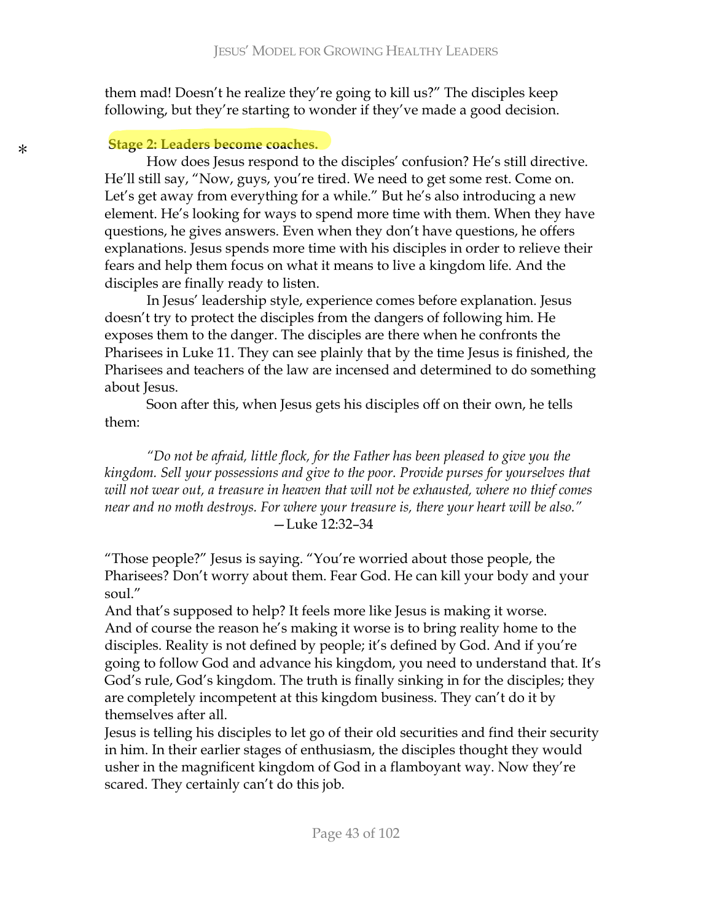them mad! Doesn't he realize they're going to kill us?" The disciples keep following, but they're starting to wonder if they've made a good decision.

### **Stage 2: Leaders become coaches.**

How does Jesus respond to the disciples' confusion? He's still directive. He'll still say, "Now, guys, you're tired. We need to get some rest. Come on. Let's get away from everything for a while." But he's also introducing a new element. He's looking for ways to spend more time with them. When they have questions, he gives answers. Even when they don't have questions, he offers explanations. Jesus spends more time with his disciples in order to relieve their fears and help them focus on what it means to live a kingdom life. And the disciples are finally ready to listen.

In Jesus' leadership style, experience comes before explanation. Jesus doesn't try to protect the disciples from the dangers of following him. He exposes them to the danger. The disciples are there when he confronts the Pharisees in Luke 11. They can see plainly that by the time Jesus is finished, the Pharisees and teachers of the law are incensed and determined to do something about Jesus.

Soon after this, when Jesus gets his disciples off on their own, he tells  $then.$ 

"Do not be afraid, little flock, for the Father has been pleased to give you the kingdom. Sell your possessions and give to the poor. Provide purses for yourselves that will not wear out, a treasure in heaven that will not be exhausted, where no thief comes near and no moth destroys. For where your treasure is, there your heart will be also."  $-Luke 12:32-34$ 

"Those people?" Jesus is saying. "You're worried about those people, the Pharisees? Don't worry about them. Fear God. He can kill your body and your soul."

And that's supposed to help? It feels more like Jesus is making it worse. And of course the reason he's making it worse is to bring reality home to the disciples. Reality is not defined by people; it's defined by God. And if you're going to follow God and advance his kingdom, you need to understand that. It's God's rule, God's kingdom. The truth is finally sinking in for the disciples; they are completely incompetent at this kingdom business. They can't do it by themselves after all.

Jesus is telling his disciples to let go of their old securities and find their security in him. In their earlier stages of enthusiasm, the disciples thought they would usher in the magnificent kingdom of God in a flamboyant way. Now they're scared. They certainly can't do this job.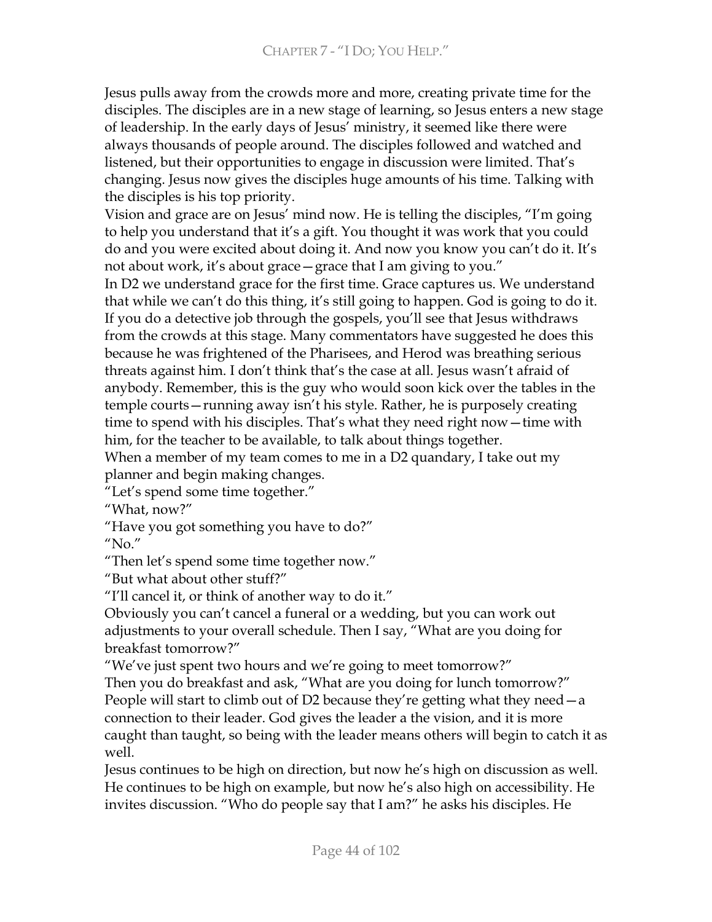Jesus pulls away from the crowds more and more, creating private time for the disciples. The disciples are in a new stage of learning, so Jesus enters a new stage of leadership. In the early days of Jesus' ministry, it seemed like there were always thousands of people around. The disciples followed and watched and listened, but their opportunities to engage in discussion were limited. That's changing. Jesus now gives the disciples huge amounts of his time. Talking with the disciples is his top priority.

Vision and grace are on Jesus' mind now. He is telling the disciples, "I'm going to help you understand that it's a gift. You thought it was work that you could do and you were excited about doing it. And now you know you can't do it. It's not about work, it's about grace – grace that I am giving to you."

In D2 we understand grace for the first time. Grace captures us. We understand that while we can't do this thing, it's still going to happen. God is going to do it. If you do a detective job through the gospels, you'll see that Jesus withdraws from the crowds at this stage. Many commentators have suggested he does this because he was frightened of the Pharisees, and Herod was breathing serious threats against him. I don't think that's the case at all. Jesus wasn't afraid of anybody. Remember, this is the guy who would soon kick over the tables in the temple courts - running away isn't his style. Rather, he is purposely creating time to spend with his disciples. That's what they need right now – time with him, for the teacher to be available, to talk about things together.

When a member of my team comes to me in a D2 quandary, I take out my planner and begin making changes.

"Let's spend some time together."

"What, now?"

"Have you got something you have to do?"

"No"

"Then let's spend some time together now."

"But what about other stuff?"

"I'll cancel it, or think of another way to do it."

Obviously you can't cancel a funeral or a wedding, but you can work out adjustments to your overall schedule. Then I say, "What are you doing for breakfast tomorrow?"

"We've just spent two hours and we're going to meet tomorrow?"

Then you do breakfast and ask, "What are you doing for lunch tomorrow?" People will start to climb out of D2 because they're getting what they need  $-a$ connection to their leader. God gives the leader a the vision, and it is more caught than taught, so being with the leader means others will begin to catch it as well.

Jesus continues to be high on direction, but now he's high on discussion as well. He continues to be high on example, but now he's also high on accessibility. He invites discussion. "Who do people say that I am?" he asks his disciples. He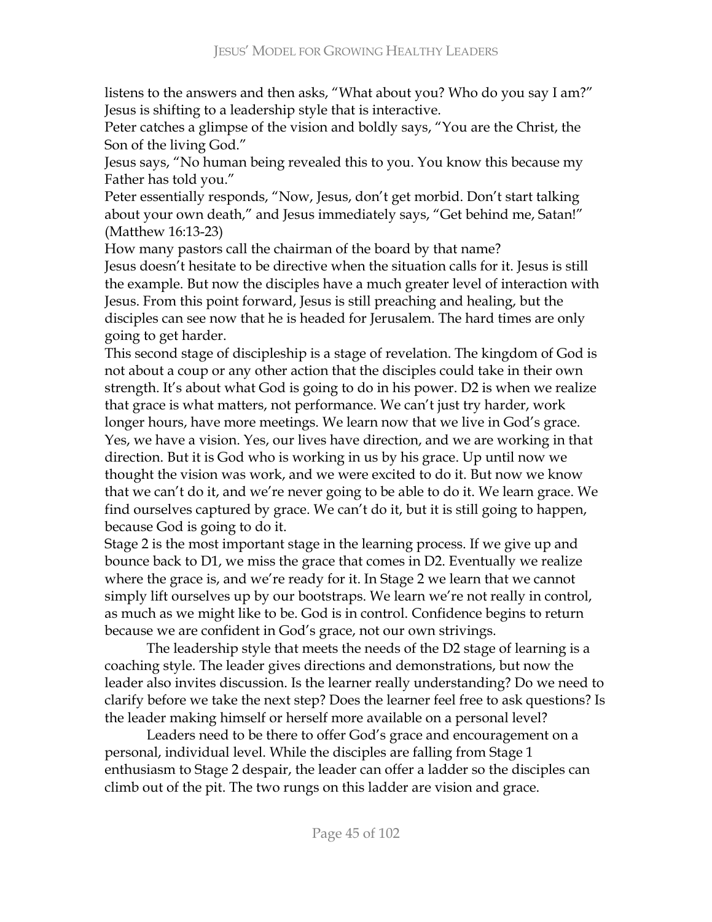listens to the answers and then asks, "What about you? Who do you say I am?" Jesus is shifting to a leadership style that is interactive.

Peter catches a glimpse of the vision and boldly says, "You are the Christ, the Son of the living God."

Jesus says, "No human being revealed this to you. You know this because my Father has told you."

Peter essentially responds, "Now, Jesus, don't get morbid. Don't start talking about your own death," and Jesus immediately says, "Get behind me, Satan!" (Matthew 16:13-23)

How many pastors call the chairman of the board by that name?

Jesus doesn't hesitate to be directive when the situation calls for it. Jesus is still the example. But now the disciples have a much greater level of interaction with Jesus. From this point forward, Jesus is still preaching and healing, but the disciples can see now that he is headed for Jerusalem. The hard times are only going to get harder.

This second stage of discipleship is a stage of revelation. The kingdom of God is not about a coup or any other action that the disciples could take in their own strength. It's about what God is going to do in his power. D2 is when we realize that grace is what matters, not performance. We can't just try harder, work longer hours, have more meetings. We learn now that we live in God's grace. Yes, we have a vision. Yes, our lives have direction, and we are working in that direction. But it is God who is working in us by his grace. Up until now we thought the vision was work, and we were excited to do it. But now we know that we can't do it, and we're never going to be able to do it. We learn grace. We find ourselves captured by grace. We can't do it, but it is still going to happen, because God is going to do it.

Stage 2 is the most important stage in the learning process. If we give up and bounce back to D1, we miss the grace that comes in D2. Eventually we realize where the grace is, and we're ready for it. In Stage 2 we learn that we cannot simply lift ourselves up by our bootstraps. We learn we're not really in control, as much as we might like to be. God is in control. Confidence begins to return because we are confident in God's grace, not our own strivings.

The leadership style that meets the needs of the D2 stage of learning is a coaching style. The leader gives directions and demonstrations, but now the leader also invites discussion. Is the learner really understanding? Do we need to clarify before we take the next step? Does the learner feel free to ask questions? Is the leader making himself or herself more available on a personal level?

Leaders need to be there to offer God's grace and encouragement on a personal, individual level. While the disciples are falling from Stage 1 enthusiasm to Stage 2 despair, the leader can offer a ladder so the disciples can climb out of the pit. The two rungs on this ladder are vision and grace.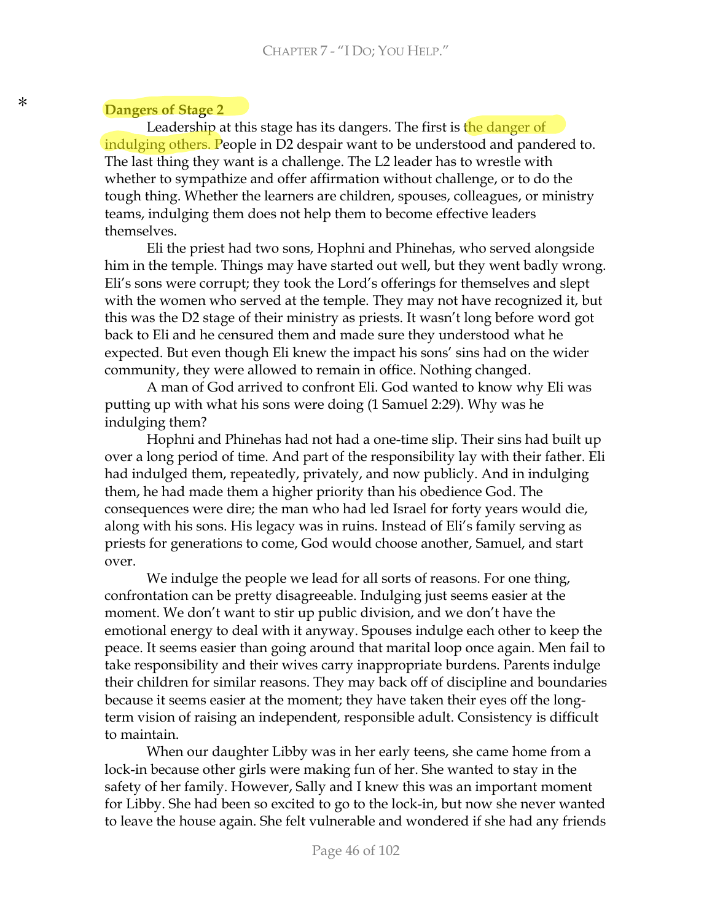#### **Dangers of Stage 2**

Leadership at this stage has its dangers. The first is the danger of indulging others. People in D2 despair want to be understood and pandered to. The last thing they want is a challenge. The L2 leader has to wrestle with whether to sympathize and offer affirmation without challenge, or to do the tough thing. Whether the learners are children, spouses, colleagues, or ministry teams, indulging them does not help them to become effective leaders themselves.

Eli the priest had two sons, Hophni and Phinehas, who served alongside him in the temple. Things may have started out well, but they went badly wrong. Eli's sons were corrupt; they took the Lord's offerings for themselves and slept with the women who served at the temple. They may not have recognized it, but this was the D2 stage of their ministry as priests. It wasn't long before word got back to Eli and he censured them and made sure they understood what he expected. But even though Eli knew the impact his sons' sins had on the wider community, they were allowed to remain in office. Nothing changed.

A man of God arrived to confront Eli. God wanted to know why Eli was putting up with what his sons were doing (1 Samuel 2:29). Why was he indulging them?

Hophni and Phinehas had not had a one-time slip. Their sins had built up over a long period of time. And part of the responsibility lay with their father. Eli had indulged them, repeatedly, privately, and now publicly. And in indulging them, he had made them a higher priority than his obedience God. The consequences were dire; the man who had led Israel for forty years would die, along with his sons. His legacy was in ruins. Instead of Eli's family serving as priests for generations to come, God would choose another, Samuel, and start over.

We indulge the people we lead for all sorts of reasons. For one thing, confrontation can be pretty disagreeable. Indulging just seems easier at the moment. We don't want to stir up public division, and we don't have the emotional energy to deal with it anyway. Spouses indulge each other to keep the peace. It seems easier than going around that marital loop once again. Men fail to take responsibility and their wives carry inappropriate burdens. Parents indulge their children for similar reasons. They may back off of discipline and boundaries because it seems easier at the moment; they have taken their eyes off the longterm vision of raising an independent, responsible adult. Consistency is difficult to maintain.

When our daughter Libby was in her early teens, she came home from a lock-in because other girls were making fun of her. She wanted to stay in the safety of her family. However, Sally and I knew this was an important moment for Libby. She had been so excited to go to the lock-in, but now she never wanted to leave the house again. She felt vulnerable and wondered if she had any friends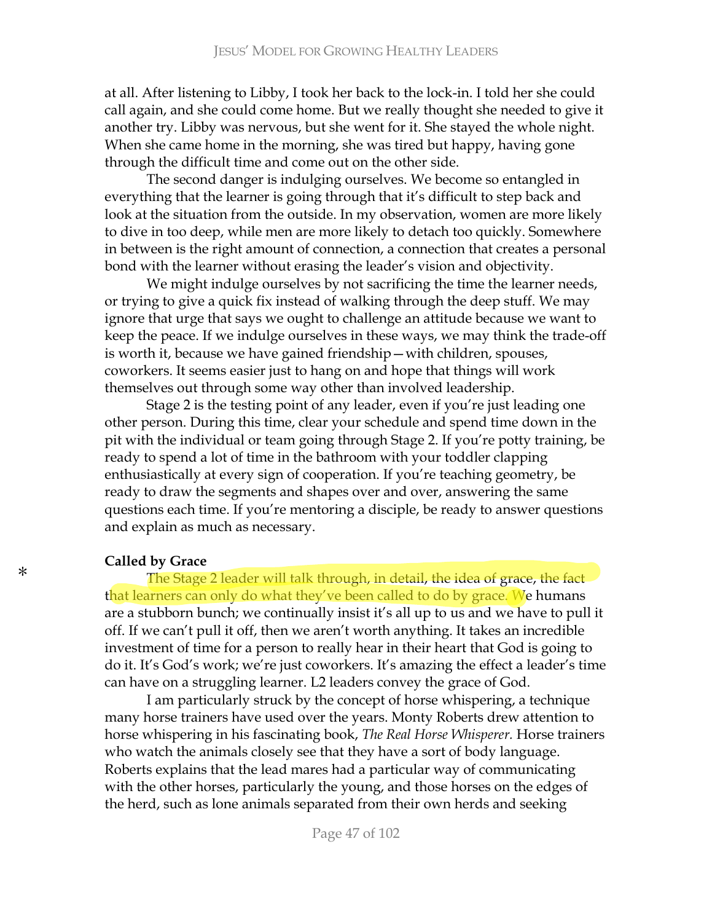at all. After listening to Libby, I took her back to the lock-in. I told her she could call again, and she could come home. But we really thought she needed to give it another try. Libby was nervous, but she went for it. She stayed the whole night. When she came home in the morning, she was tired but happy, having gone through the difficult time and come out on the other side.

The second danger is indulging ourselves. We become so entangled in everything that the learner is going through that it's difficult to step back and look at the situation from the outside. In my observation, women are more likely to dive in too deep, while men are more likely to detach too quickly. Somewhere in between is the right amount of connection, a connection that creates a personal bond with the learner without erasing the leader's vision and objectivity.

We might indulge ourselves by not sacrificing the time the learner needs, or trying to give a quick fix instead of walking through the deep stuff. We may ignore that urge that says we ought to challenge an attitude because we want to keep the peace. If we indulge ourselves in these ways, we may think the trade-off is worth it, because we have gained friendship – with children, spouses, coworkers. It seems easier just to hang on and hope that things will work themselves out through some way other than involved leadership.

Stage 2 is the testing point of any leader, even if you're just leading one other person. During this time, clear your schedule and spend time down in the pit with the individual or team going through Stage 2. If you're potty training, be ready to spend a lot of time in the bathroom with your toddler clapping enthusiastically at every sign of cooperation. If you're teaching geometry, be ready to draw the segments and shapes over and over, answering the same questions each time. If you're mentoring a disciple, be ready to answer questions and explain as much as necessary.

#### **Called by Grace**

The Stage 2 leader will talk through, in detail, the idea of grace, the fact that learners can only do what they've been called to do by grace. We humans are a stubborn bunch; we continually insist it's all up to us and we have to pull it off. If we can't pull it off, then we aren't worth anything. It takes an incredible investment of time for a person to really hear in their heart that God is going to do it. It's God's work; we're just coworkers. It's amazing the effect a leader's time can have on a struggling learner. L2 leaders convey the grace of God.

I am particularly struck by the concept of horse whispering, a technique many horse trainers have used over the years. Monty Roberts drew attention to horse whispering in his fascinating book, *The Real Horse Whisperer*. Horse trainers who watch the animals closely see that they have a sort of body language. Roberts explains that the lead mares had a particular way of communicating with the other horses, particularly the young, and those horses on the edges of the herd, such as lone animals separated from their own herds and seeking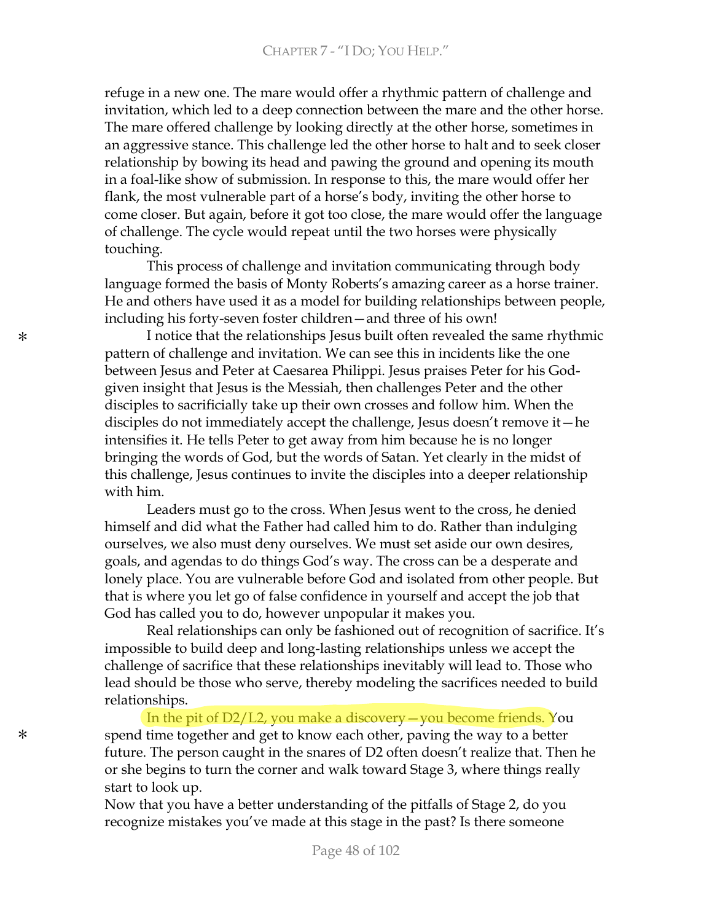refuge in a new one. The mare would offer a rhythmic pattern of challenge and invitation, which led to a deep connection between the mare and the other horse. The mare offered challenge by looking directly at the other horse, sometimes in an aggressive stance. This challenge led the other horse to halt and to seek closer relationship by bowing its head and pawing the ground and opening its mouth in a foal-like show of submission. In response to this, the mare would offer her flank, the most vulnerable part of a horse's body, inviting the other horse to come closer. But again, before it got too close, the mare would offer the language of challenge. The cycle would repeat until the two horses were physically touching.

This process of challenge and invitation communicating through body language formed the basis of Monty Roberts's amazing career as a horse trainer. He and others have used it as a model for building relationships between people, including his forty-seven foster children-and three of his own!

I notice that the relationships Jesus built often revealed the same rhythmic pattern of challenge and invitation. We can see this in incidents like the one between Jesus and Peter at Caesarea Philippi. Jesus praises Peter for his Godgiven insight that Jesus is the Messiah, then challenges Peter and the other disciples to sacrificially take up their own crosses and follow him. When the disciples do not immediately accept the challenge, Jesus doesn't remove it—he intensifies it. He tells Peter to get away from him because he is no longer bringing the words of God, but the words of Satan. Yet clearly in the midst of this challenge, Jesus continues to invite the disciples into a deeper relationship with him.

Leaders must go to the cross. When Jesus went to the cross, he denied himself and did what the Father had called him to do. Rather than indulging ourselves, we also must deny ourselves. We must set aside our own desires, goals, and agendas to do things God's way. The cross can be a desperate and lonely place. You are vulnerable before God and isolated from other people. But that is where you let go of false confidence in yourself and accept the job that God has called you to do, however unpopular it makes you.

Real relationships can only be fashioned out of recognition of sacrifice. It's impossible to build deep and long-lasting relationships unless we accept the challenge of sacrifice that these relationships inevitably will lead to. Those who lead should be those who serve, thereby modeling the sacrifices needed to build relationships.

In the pit of  $D2/L2$ , you make a discovery — you become friends. You spend time together and get to know each other, paving the way to a better future. The person caught in the snares of D2 often doesn't realize that. Then he or she begins to turn the corner and walk toward Stage 3, where things really start to look up.

Now that you have a better understanding of the pitfalls of Stage 2, do you recognize mistakes you've made at this stage in the past? Is there someone

 $\ast$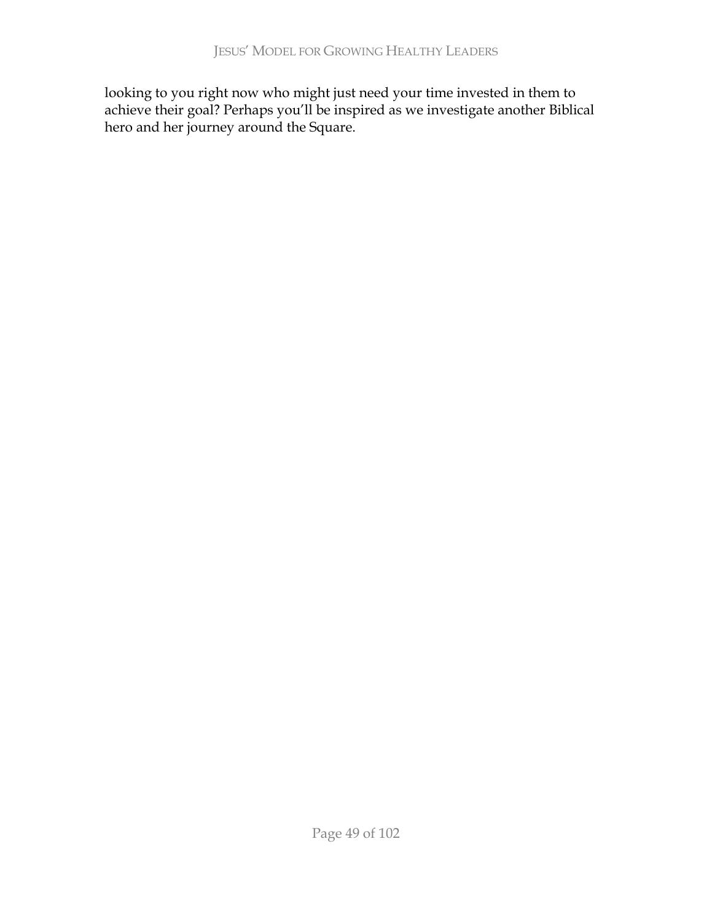looking to you right now who might just need your time invested in them to achieve their goal? Perhaps you'll be inspired as we investigate another Biblical hero and her journey around the Square.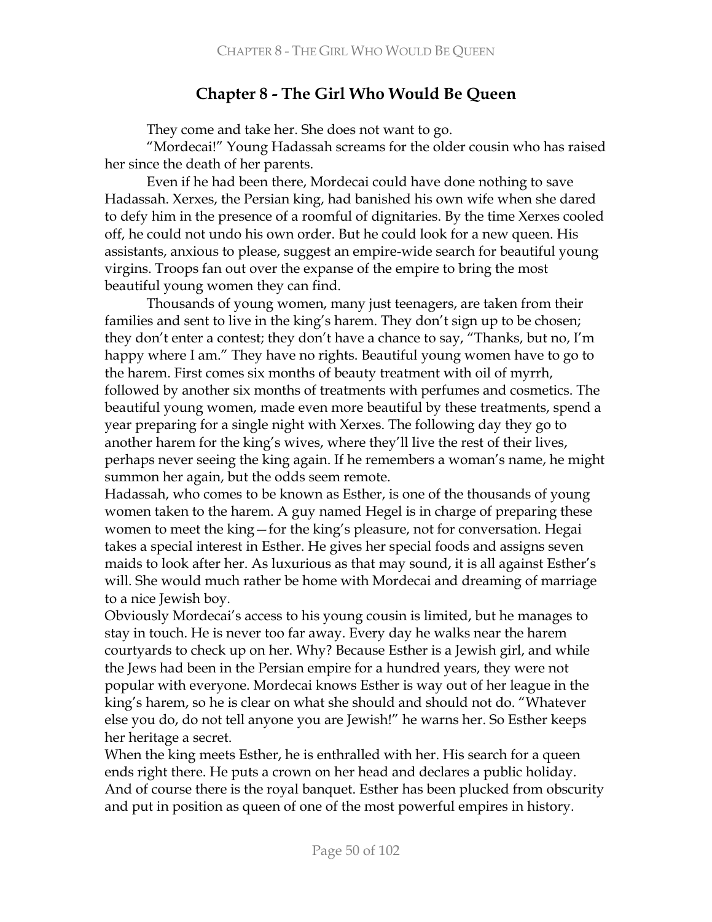# **Chapter 8 - The Girl Who Would Be Queen**

They come and take her. She does not want to go.

"Mordecai!" Young Hadassah screams for the older cousin who has raised her since the death of her parents.

Even if he had been there, Mordecai could have done nothing to save Hadassah. Xerxes, the Persian king, had banished his own wife when she dared to defy him in the presence of a roomful of dignitaries. By the time Xerxes cooled off, he could not undo his own order. But he could look for a new queen. His assistants, anxious to please, suggest an empire-wide search for beautiful young virgins. Troops fan out over the expanse of the empire to bring the most beautiful young women they can find.

Thousands of young women, many just teenagers, are taken from their families and sent to live in the king's harem. They don't sign up to be chosen; they don't enter a contest; they don't have a chance to say, "Thanks, but no, I'm happy where I am." They have no rights. Beautiful young women have to go to the harem. First comes six months of beauty treatment with oil of myrrh, followed by another six months of treatments with perfumes and cosmetics. The beautiful young women, made even more beautiful by these treatments, spend a year preparing for a single night with Xerxes. The following day they go to another harem for the king's wives, where they'll live the rest of their lives, perhaps never seeing the king again. If he remembers a woman's name, he might summon her again, but the odds seem remote.

Hadassah, who comes to be known as Esther, is one of the thousands of young women taken to the harem. A guy named Hegel is in charge of preparing these women to meet the king-for the king's pleasure, not for conversation. Hegai takes a special interest in Esther. He gives her special foods and assigns seven maids to look after her. As luxurious as that may sound, it is all against Esther's will. She would much rather be home with Mordecai and dreaming of marriage to a nice Jewish boy.

Obviously Mordecai's access to his young cousin is limited, but he manages to stay in touch. He is never too far away. Every day he walks near the harem courtyards to check up on her. Why? Because Esther is a Jewish girl, and while the Jews had been in the Persian empire for a hundred years, they were not popular with everyone. Mordecai knows Esther is way out of her league in the king's harem, so he is clear on what she should and should not do. "Whatever else you do, do not tell anyone you are Jewish!" he warns her. So Esther keeps her heritage a secret.

When the king meets Esther, he is enthralled with her. His search for a queen ends right there. He puts a crown on her head and declares a public holiday. And of course there is the royal banquet. Esther has been plucked from obscurity and put in position as queen of one of the most powerful empires in history.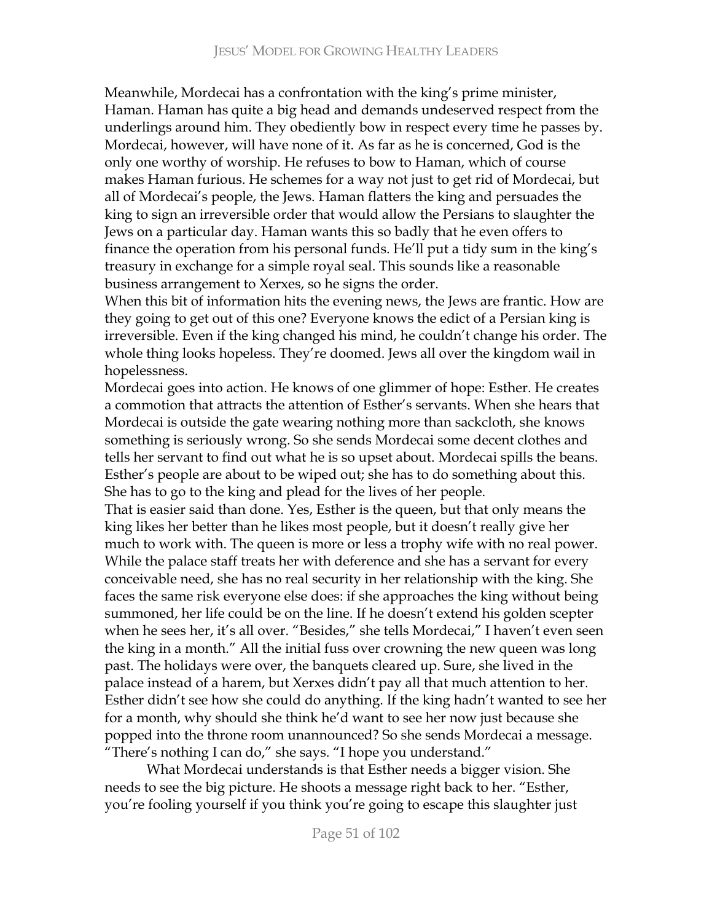Meanwhile, Mordecai has a confrontation with the king's prime minister, Haman. Haman has quite a big head and demands undeserved respect from the underlings around him. They obediently bow in respect every time he passes by. Mordecai, however, will have none of it. As far as he is concerned, God is the only one worthy of worship. He refuses to bow to Haman, which of course makes Haman furious. He schemes for a way not just to get rid of Mordecai, but all of Mordecai's people, the Jews. Haman flatters the king and persuades the king to sign an irreversible order that would allow the Persians to slaughter the Jews on a particular day. Haman wants this so badly that he even offers to finance the operation from his personal funds. He'll put a tidy sum in the king's treasury in exchange for a simple royal seal. This sounds like a reasonable business arrangement to Xerxes, so he signs the order.

When this bit of information hits the evening news, the Jews are frantic. How are they going to get out of this one? Everyone knows the edict of a Persian king is irreversible. Even if the king changed his mind, he couldn't change his order. The whole thing looks hopeless. They're doomed. Jews all over the kingdom wail in hopelessness.

Mordecai goes into action. He knows of one glimmer of hope: Esther. He creates a commotion that attracts the attention of Esther's servants. When she hears that Mordecai is outside the gate wearing nothing more than sackcloth, she knows something is seriously wrong. So she sends Mordecai some decent clothes and tells her servant to find out what he is so upset about. Mordecai spills the beans. Esther's people are about to be wiped out; she has to do something about this. She has to go to the king and plead for the lives of her people.

That is easier said than done. Yes, Esther is the queen, but that only means the king likes her better than he likes most people, but it doesn't really give her much to work with. The queen is more or less a trophy wife with no real power. While the palace staff treats her with deference and she has a servant for every conceivable need, she has no real security in her relationship with the king. She faces the same risk everyone else does: if she approaches the king without being summoned, her life could be on the line. If he doesn't extend his golden scepter when he sees her, it's all over. "Besides," she tells Mordecai," I haven't even seen the king in a month." All the initial fuss over crowning the new queen was long past. The holidays were over, the banquets cleared up. Sure, she lived in the palace instead of a harem, but Xerxes didn't pay all that much attention to her. Esther didn't see how she could do anything. If the king hadn't wanted to see her for a month, why should she think he'd want to see her now just because she popped into the throne room unannounced? So she sends Mordecai a message. "There's nothing I can do," she says. "I hope you understand."

What Mordecai understands is that Esther needs a bigger vision. She needs to see the big picture. He shoots a message right back to her. "Esther, you're fooling yourself if you think you're going to escape this slaughter just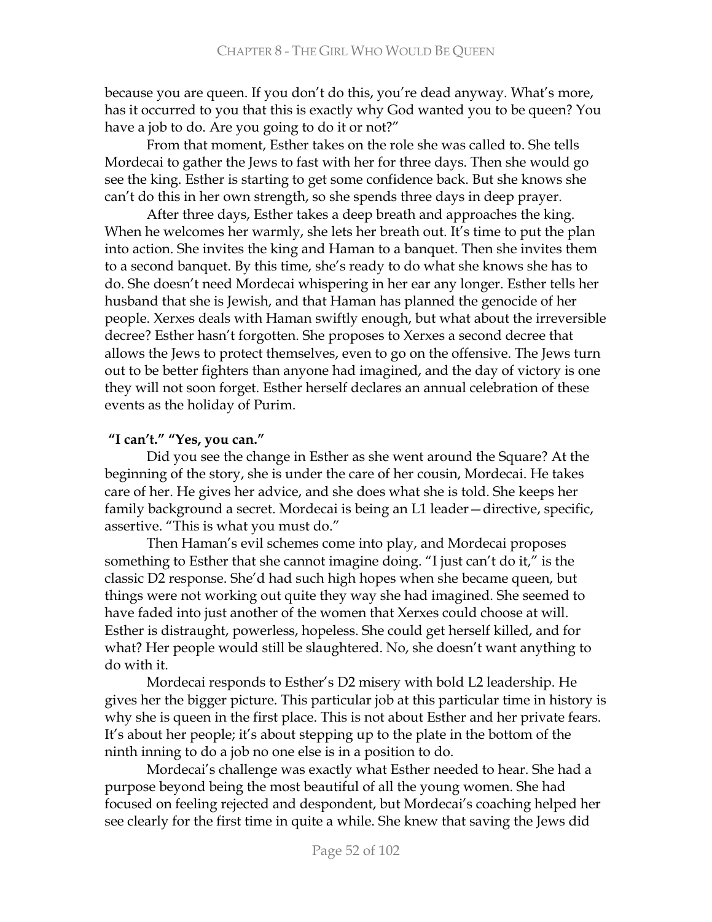because you are queen. If you don't do this, you're dead anyway. What's more, has it occurred to you that this is exactly why God wanted you to be queen? You have a job to do. Are you going to do it or not?"

From that moment, Esther takes on the role she was called to. She tells Mordecai to gather the Jews to fast with her for three days. Then she would go see the king. Esther is starting to get some confidence back. But she knows she can't do this in her own strength, so she spends three days in deep prayer.

After three days, Esther takes a deep breath and approaches the king. When he welcomes her warmly, she lets her breath out. It's time to put the plan into action. She invites the king and Haman to a banquet. Then she invites them to a second banquet. By this time, she's ready to do what she knows she has to do. She doesn't need Mordecai whispering in her ear any longer. Esther tells her husband that she is Jewish, and that Haman has planned the genocide of her people. Xerxes deals with Haman swiftly enough, but what about the irreversible decree? Esther hasn't forgotten. She proposes to Xerxes a second decree that allows the Jews to protect themselves, even to go on the offensive. The Jews turn out to be better fighters than anyone had imagined, and the day of victory is one they will not soon forget. Esther herself declares an annual celebration of these events as the holiday of Purim.

### "I can't." "Yes, you can."

Did you see the change in Esther as she went around the Square? At the beginning of the story, she is under the care of her cousin, Mordecai. He takes care of her. He gives her advice, and she does what she is told. She keeps her family background a secret. Mordecai is being an L1 leader - directive, specific, assertive. "This is what you must do."

Then Haman's evil schemes come into play, and Mordecai proposes something to Esther that she cannot imagine doing. "I just can't do it," is the classic D2 response. She'd had such high hopes when she became queen, but things were not working out quite they way she had imagined. She seemed to have faded into just another of the women that Xerxes could choose at will. Esther is distraught, powerless, hopeless. She could get herself killed, and for what? Her people would still be slaughtered. No, she doesn't want anything to do with it.

Mordecai responds to Esther's D2 misery with bold L2 leadership. He gives her the bigger picture. This particular job at this particular time in history is why she is queen in the first place. This is not about Esther and her private fears. It's about her people; it's about stepping up to the plate in the bottom of the ninth inning to do a job no one else is in a position to do.

Mordecai's challenge was exactly what Esther needed to hear. She had a purpose beyond being the most beautiful of all the young women. She had focused on feeling rejected and despondent, but Mordecai's coaching helped her see clearly for the first time in quite a while. She knew that saving the Jews did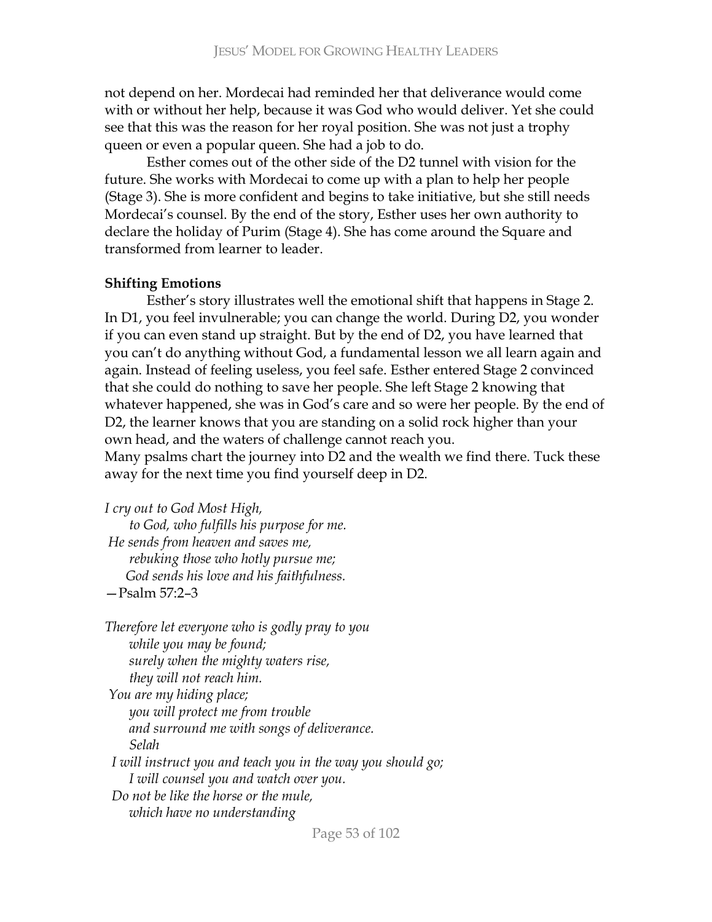not depend on her. Mordecai had reminded her that deliverance would come with or without her help, because it was God who would deliver. Yet she could see that this was the reason for her royal position. She was not just a trophy queen or even a popular queen. She had a job to do.

Esther comes out of the other side of the D2 tunnel with vision for the future. She works with Mordecai to come up with a plan to help her people (Stage 3). She is more confident and begins to take initiative, but she still needs Mordecai's counsel. By the end of the story, Esther uses her own authority to declare the holiday of Purim (Stage 4). She has come around the Square and transformed from learner to leader.

#### **Shifting Emotions**

Esther's story illustrates well the emotional shift that happens in Stage 2. In D1, you feel invulnerable; you can change the world. During D2, you wonder if you can even stand up straight. But by the end of D2, you have learned that you can't do anything without God, a fundamental lesson we all learn again and again. Instead of feeling useless, you feel safe. Esther entered Stage 2 convinced that she could do nothing to save her people. She left Stage 2 knowing that whatever happened, she was in God's care and so were her people. By the end of D2, the learner knows that you are standing on a solid rock higher than your own head, and the waters of challenge cannot reach you.

Many psalms chart the journey into D2 and the wealth we find there. Tuck these away for the next time you find yourself deep in  $D2$ .

*I* cry out to God Most High,

*to God, who fulfills his purpose for me. He sends from heaven and saves me, rebuking those who hotly pursue me; God sends his love and his faithfulness.* 

-Psalm 57:2-3

*Therefore let everyone who is godly pray to you while you may be found; surely when the mighty waters rise, they will not reach him. You are my hiding place; you will protect me from trouble and surround me with songs of deliverance. ++++++ @'&.(+ I* will instruct you and teach you in the way you should go; *I* will counsel you and watch over you. *Do not be like the horse or the mule,*  $$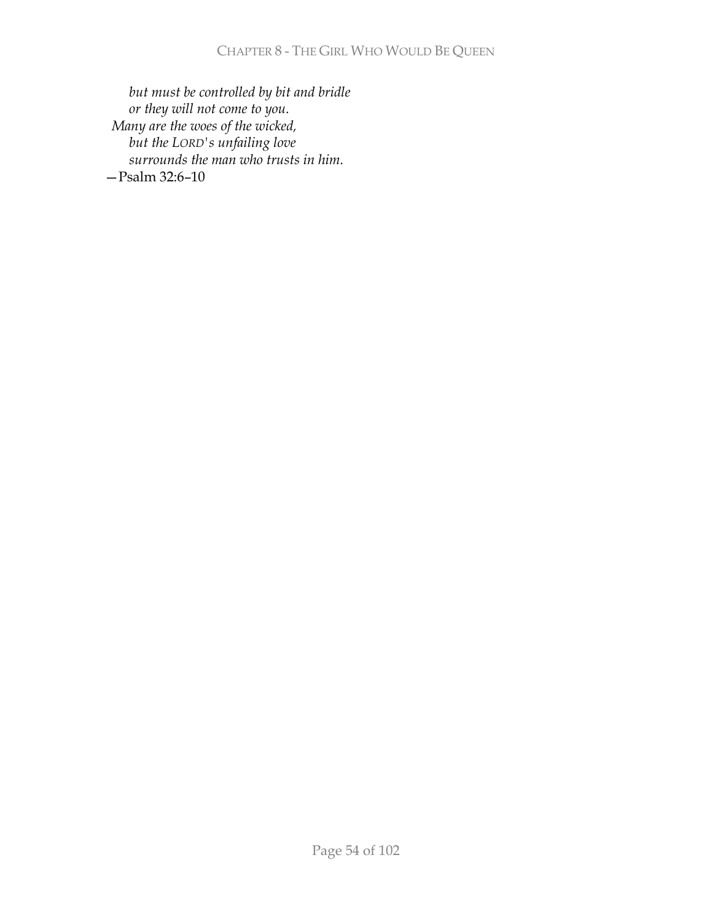but must be controlled by bit and bridle or they will not come to you. Many are the woes of the wicked, but the LORD's unfailing love surrounds the man who trusts in him.  $-$ Psalm 32:6-10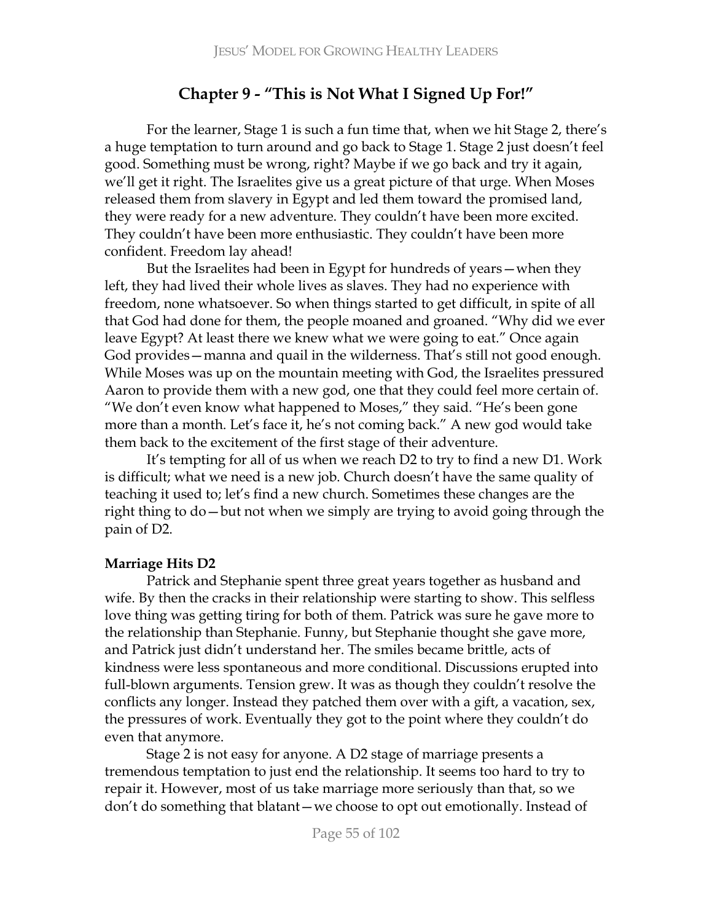# Chapter 9 - "This is Not What I Signed Up For!"

For the learner, Stage 1 is such a fun time that, when we hit Stage 2, there's a huge temptation to turn around and go back to Stage 1. Stage 2 just doesn't feel good. Something must be wrong, right? Maybe if we go back and try it again, we'll get it right. The Israelites give us a great picture of that urge. When Moses released them from slavery in Egypt and led them toward the promised land, they were ready for a new adventure. They couldn't have been more excited. They couldn't have been more enthusiastic. They couldn't have been more confident. Freedom lay ahead!

But the Israelites had been in Egypt for hundreds of years - when they left, they had lived their whole lives as slaves. They had no experience with freedom, none whatsoever. So when things started to get difficult, in spite of all that God had done for them, the people moaned and groaned. "Why did we ever leave Egypt? At least there we knew what we were going to eat." Once again God provides – manna and quail in the wilderness. That's still not good enough. While Moses was up on the mountain meeting with God, the Israelites pressured Aaron to provide them with a new god, one that they could feel more certain of. "We don't even know what happened to Moses," they said. "He's been gone more than a month. Let's face it, he's not coming back." A new god would take them back to the excitement of the first stage of their adventure.

It's tempting for all of us when we reach D2 to try to find a new D1. Work is difficult; what we need is a new job. Church doesn't have the same quality of teaching it used to; let's find a new church. Sometimes these changes are the right thing to do – but not when we simply are trying to avoid going through the pain of D2.

#### **Marriage Hits D2**

Patrick and Stephanie spent three great years together as husband and wife. By then the cracks in their relationship were starting to show. This selfless love thing was getting tiring for both of them. Patrick was sure he gave more to the relationship than Stephanie. Funny, but Stephanie thought she gave more, and Patrick just didn't understand her. The smiles became brittle, acts of kindness were less spontaneous and more conditional. Discussions erupted into full-blown arguments. Tension grew. It was as though they couldn't resolve the conflicts any longer. Instead they patched them over with a gift, a vacation, sex, the pressures of work. Eventually they got to the point where they couldn't do even that anymore.

Stage 2 is not easy for anyone. A D2 stage of marriage presents a tremendous temptation to just end the relationship. It seems too hard to try to repair it. However, most of us take marriage more seriously than that, so we don't do something that blatant – we choose to opt out emotionally. Instead of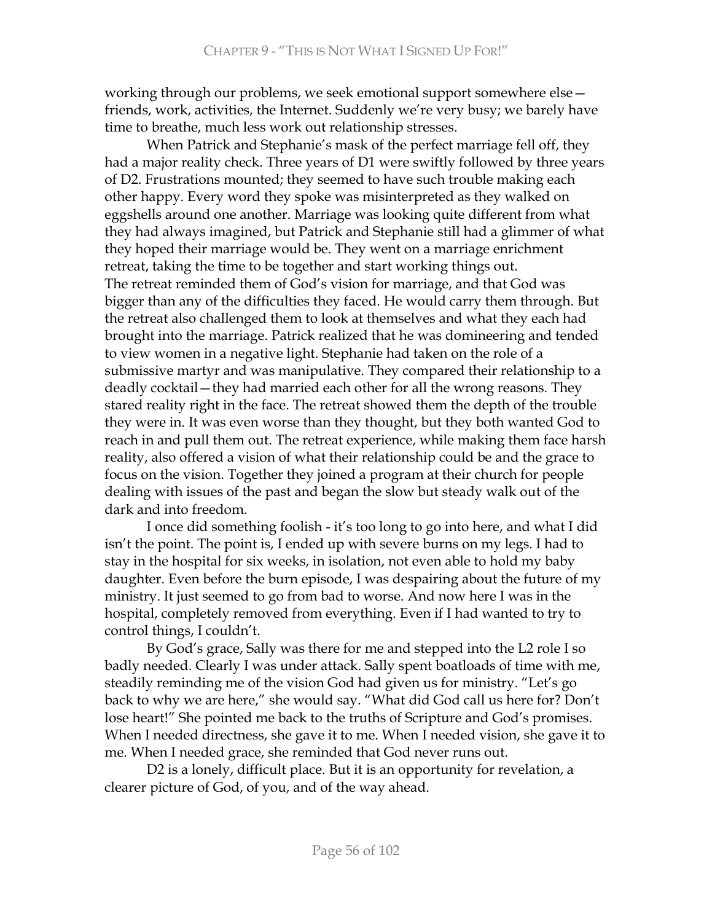working through our problems, we seek emotional support somewhere else friends, work, activities, the Internet. Suddenly we're very busy; we barely have time to breathe, much less work out relationship stresses.

When Patrick and Stephanie's mask of the perfect marriage fell off, they had a major reality check. Three years of D1 were swiftly followed by three years of D2. Frustrations mounted; they seemed to have such trouble making each other happy. Every word they spoke was misinterpreted as they walked on eggshells around one another. Marriage was looking quite different from what they had always imagined, but Patrick and Stephanie still had a glimmer of what they hoped their marriage would be. They went on a marriage enrichment retreat, taking the time to be together and start working things out. The retreat reminded them of God's vision for marriage, and that God was bigger than any of the difficulties they faced. He would carry them through. But the retreat also challenged them to look at themselves and what they each had brought into the marriage. Patrick realized that he was domineering and tended to view women in a negative light. Stephanie had taken on the role of a submissive martyr and was manipulative. They compared their relationship to a deadly cocktail – they had married each other for all the wrong reasons. They stared reality right in the face. The retreat showed them the depth of the trouble they were in. It was even worse than they thought, but they both wanted God to reach in and pull them out. The retreat experience, while making them face harsh reality, also offered a vision of what their relationship could be and the grace to focus on the vision. Together they joined a program at their church for people dealing with issues of the past and began the slow but steady walk out of the dark and into freedom.

I once did something foolish - it's too long to go into here, and what I did isn't the point. The point is, I ended up with severe burns on my legs. I had to stay in the hospital for six weeks, in isolation, not even able to hold my baby daughter. Even before the burn episode, I was despairing about the future of my ministry. It just seemed to go from bad to worse. And now here I was in the hospital, completely removed from everything. Even if I had wanted to try to control things, I couldn't.

By God's grace, Sally was there for me and stepped into the L2 role I so badly needed. Clearly I was under attack. Sally spent boatloads of time with me, steadily reminding me of the vision God had given us for ministry. "Let's go back to why we are here," she would say. "What did God call us here for? Don't lose heart!" She pointed me back to the truths of Scripture and God's promises. When I needed directness, she gave it to me. When I needed vision, she gave it to me. When I needed grace, she reminded that God never runs out.

D2 is a lonely, difficult place. But it is an opportunity for revelation, a clearer picture of God, of you, and of the way ahead.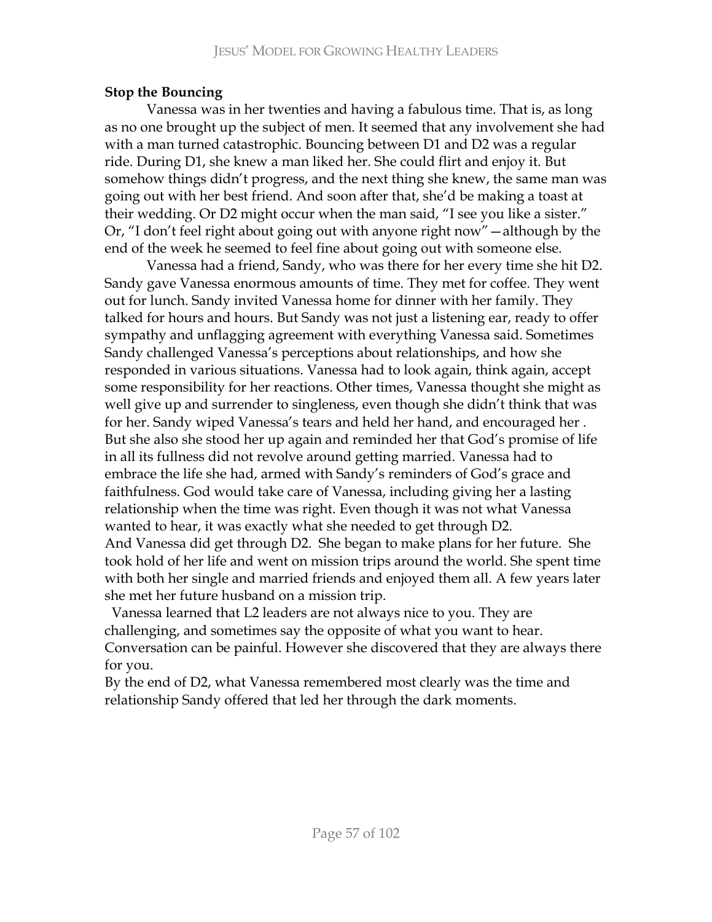# **Stop the Bouncing**

Vanessa was in her twenties and having a fabulous time. That is, as long as no one brought up the subject of men. It seemed that any involvement she had with a man turned catastrophic. Bouncing between D1 and D2 was a regular ride. During D1, she knew a man liked her. She could flirt and enjoy it. But somehow things didn't progress, and the next thing she knew, the same man was going out with her best friend. And soon after that, she'd be making a toast at their wedding. Or D2 might occur when the man said, "I see you like a sister." Or, "I don't feel right about going out with anyone right now" - although by the end of the week he seemed to feel fine about going out with someone else.

Vanessa had a friend, Sandy, who was there for her every time she hit D2. Sandy gave Vanessa enormous amounts of time. They met for coffee. They went out for lunch. Sandy invited Vanessa home for dinner with her family. They talked for hours and hours. But Sandy was not just a listening ear, ready to offer sympathy and unflagging agreement with everything Vanessa said. Sometimes Sandy challenged Vanessa's perceptions about relationships, and how she responded in various situations. Vanessa had to look again, think again, accept some responsibility for her reactions. Other times, Vanessa thought she might as well give up and surrender to singleness, even though she didn't think that was for her. Sandy wiped Vanessa's tears and held her hand, and encouraged her. But she also she stood her up again and reminded her that God's promise of life in all its fullness did not revolve around getting married. Vanessa had to embrace the life she had, armed with Sandy's reminders of God's grace and faithfulness. God would take care of Vanessa, including giving her a lasting relationship when the time was right. Even though it was not what Vanessa wanted to hear, it was exactly what she needed to get through D2. And Vanessa did get through D2. She began to make plans for her future. She took hold of her life and went on mission trips around the world. She spent time with both her single and married friends and enjoyed them all. A few years later she met her future husband on a mission trip.

Vanessa learned that L2 leaders are not always nice to you. They are challenging, and sometimes say the opposite of what you want to hear. Conversation can be painful. However she discovered that they are always there for you.

By the end of D2, what Vanessa remembered most clearly was the time and relationship Sandy offered that led her through the dark moments.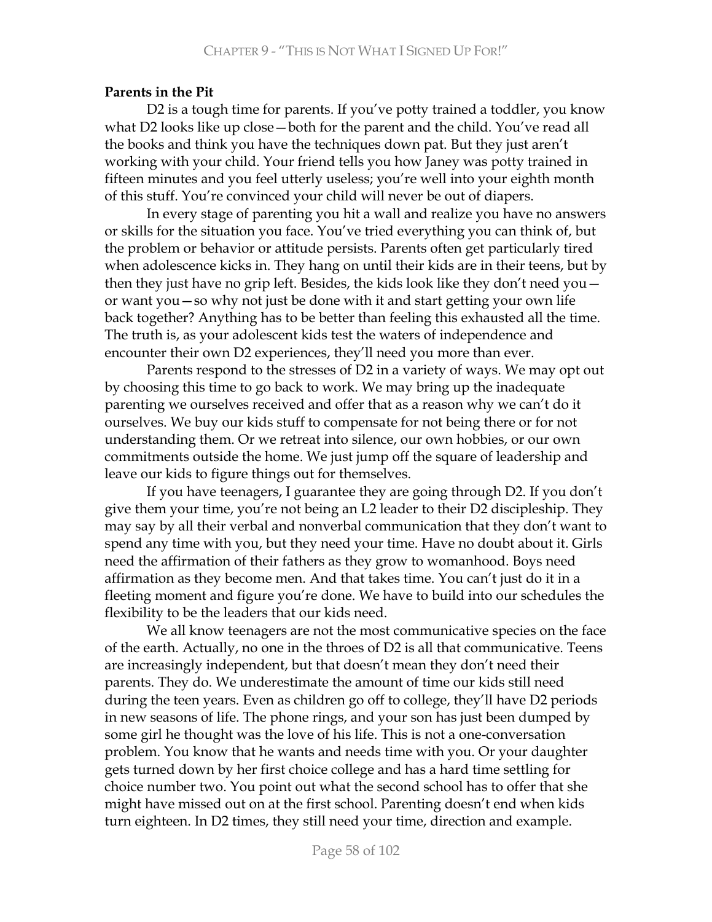### **Parents in the Pit**

D2 is a tough time for parents. If you've potty trained a toddler, you know what D2 looks like up close – both for the parent and the child. You've read all the books and think you have the techniques down pat. But they just aren't working with your child. Your friend tells you how Janey was potty trained in fifteen minutes and you feel utterly useless; you're well into your eighth month of this stuff. You're convinced your child will never be out of diapers.

In every stage of parenting you hit a wall and realize you have no answers or skills for the situation you face. You've tried everything you can think of, but the problem or behavior or attitude persists. Parents often get particularly tired when adolescence kicks in. They hang on until their kids are in their teens, but by then they just have no grip left. Besides, the kids look like they don't need you  $$ or want you – so why not just be done with it and start getting your own life back together? Anything has to be better than feeling this exhausted all the time. The truth is, as your adolescent kids test the waters of independence and encounter their own D2 experiences, they'll need you more than ever.

Parents respond to the stresses of D2 in a variety of ways. We may opt out by choosing this time to go back to work. We may bring up the inadequate parenting we ourselves received and offer that as a reason why we can't do it ourselves. We buy our kids stuff to compensate for not being there or for not understanding them. Or we retreat into silence, our own hobbies, or our own commitments outside the home. We just jump off the square of leadership and leave our kids to figure things out for themselves.

If you have teenagers, I guarantee they are going through D2. If you don't give them your time, you're not being an L2 leader to their D2 discipleship. They may say by all their verbal and nonverbal communication that they don't want to spend any time with you, but they need your time. Have no doubt about it. Girls need the affirmation of their fathers as they grow to womanhood. Boys need affirmation as they become men. And that takes time. You can't just do it in a fleeting moment and figure you're done. We have to build into our schedules the flexibility to be the leaders that our kids need.

We all know teenagers are not the most communicative species on the face of the earth. Actually, no one in the throes of D2 is all that communicative. Teens are increasingly independent, but that doesn't mean they don't need their parents. They do. We underestimate the amount of time our kids still need during the teen years. Even as children go off to college, they'll have D2 periods in new seasons of life. The phone rings, and your son has just been dumped by some girl he thought was the love of his life. This is not a one-conversation problem. You know that he wants and needs time with you. Or your daughter gets turned down by her first choice college and has a hard time settling for choice number two. You point out what the second school has to offer that she might have missed out on at the first school. Parenting doesn't end when kids turn eighteen. In D2 times, they still need your time, direction and example.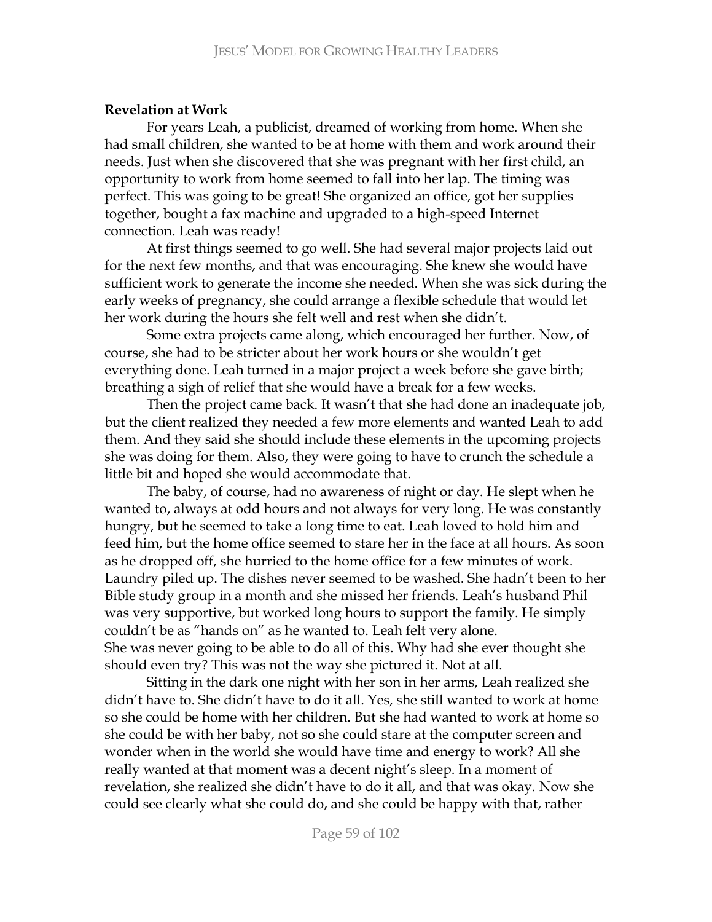# **Revelation at Work**

For years Leah, a publicist, dreamed of working from home. When she had small children, she wanted to be at home with them and work around their needs. Just when she discovered that she was pregnant with her first child, an opportunity to work from home seemed to fall into her lap. The timing was perfect. This was going to be great! She organized an office, got her supplies together, bought a fax machine and upgraded to a high-speed Internet connection. Leah was ready!

At first things seemed to go well. She had several major projects laid out for the next few months, and that was encouraging. She knew she would have sufficient work to generate the income she needed. When she was sick during the early weeks of pregnancy, she could arrange a flexible schedule that would let her work during the hours she felt well and rest when she didn't.

Some extra projects came along, which encouraged her further. Now, of course, she had to be stricter about her work hours or she wouldn't get  ${\rm everything}$  done. Leah turned in a major project a week before she gave birth; breathing a sigh of relief that she would have a break for a few weeks.

Then the project came back. It wasn't that she had done an inadequate job, but the client realized they needed a few more elements and wanted Leah to add them. And they said she should include these elements in the upcoming projects she was doing for them. Also, they were going to have to crunch the schedule a little bit and hoped she would accommodate that.

The baby, of course, had no awareness of night or day. He slept when he wanted to, always at odd hours and not always for very long. He was constantly hungry, but he seemed to take a long time to eat. Leah loved to hold him and feed him, but the home office seemed to stare her in the face at all hours. As soon as he dropped off, she hurried to the home office for a few minutes of work. Laundry piled up. The dishes never seemed to be washed. She hadn't been to her Bible study group in a month and she missed her friends. Leah's husband Phil was very supportive, but worked long hours to support the family. He simply couldn't be as "hands on" as he wanted to. Leah felt very alone. She was never going to be able to do all of this. Why had she ever thought she should even try? This was not the way she pictured it. Not at all.

Sitting in the dark one night with her son in her arms, Leah realized she didn't have to. She didn't have to do it all. Yes, she still wanted to work at home so she could be home with her children. But she had wanted to work at home so she could be with her baby, not so she could stare at the computer screen and wonder when in the world she would have time and energy to work? All she really wanted at that moment was a decent night's sleep. In a moment of revelation, she realized she didn't have to do it all, and that was okay. Now she could see clearly what she could do, and she could be happy with that, rather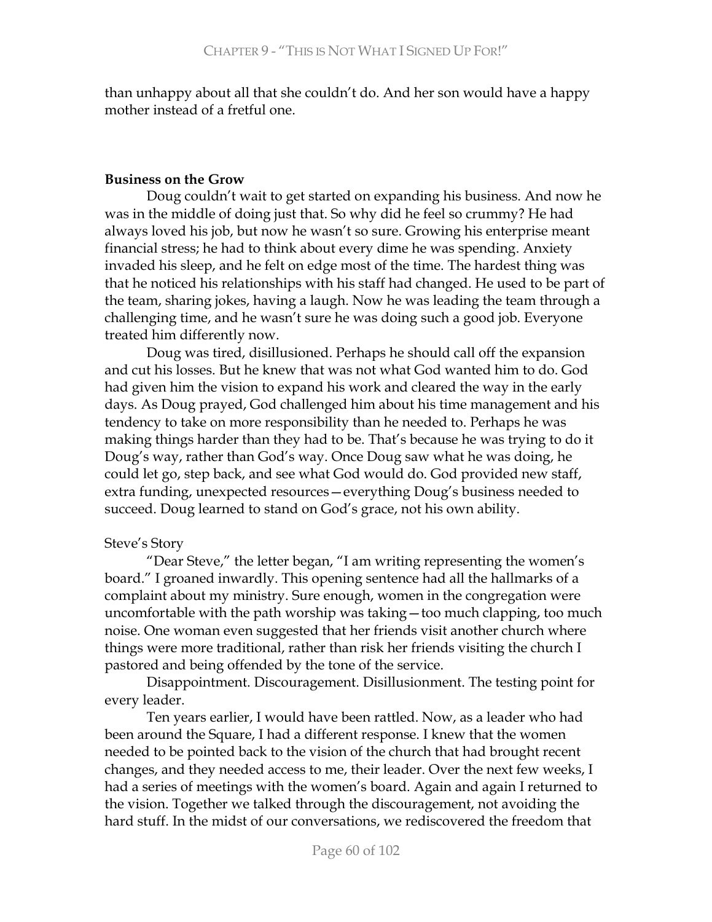than unhappy about all that she couldn't do. And her son would have a happy mother instead of a fretful one.

### **Business on the Grow**

Doug couldn't wait to get started on expanding his business. And now he was in the middle of doing just that. So why did he feel so crummy? He had always loved his job, but now he wasn't so sure. Growing his enterprise meant financial stress; he had to think about every dime he was spending. Anxiety invaded his sleep, and he felt on edge most of the time. The hardest thing was that he noticed his relationships with his staff had changed. He used to be part of the team, sharing jokes, having a laugh. Now he was leading the team through a challenging time, and he wasn't sure he was doing such a good job. Everyone treated him differently now.

Doug was tired, disillusioned. Perhaps he should call off the expansion and cut his losses. But he knew that was not what God wanted him to do. God had given him the vision to expand his work and cleared the way in the early days. As Doug prayed, God challenged him about his time management and his tendency to take on more responsibility than he needed to. Perhaps he was making things harder than they had to be. That's because he was trying to do it Doug's way, rather than God's way. Once Doug saw what he was doing, he could let go, step back, and see what God would do. God provided new staff, extra funding, unexpected resources - everything Doug's business needed to succeed. Doug learned to stand on God's grace, not his own ability.

### Steve's Story

"Dear Steve," the letter began, "I am writing representing the women's board." I groaned inwardly. This opening sentence had all the hallmarks of a complaint about my ministry. Sure enough, women in the congregation were uncomfortable with the path worship was taking - too much clapping, too much noise. One woman even suggested that her friends visit another church where things were more traditional, rather than risk her friends visiting the church I pastored and being offended by the tone of the service.

Disappointment. Discouragement. Disillusionment. The testing point for every leader.

Ten years earlier, I would have been rattled. Now, as a leader who had been around the Square, I had a different response. I knew that the women needed to be pointed back to the vision of the church that had brought recent changes, and they needed access to me, their leader. Over the next few weeks, I had a series of meetings with the women's board. Again and again I returned to the vision. Together we talked through the discouragement, not avoiding the hard stuff. In the midst of our conversations, we rediscovered the freedom that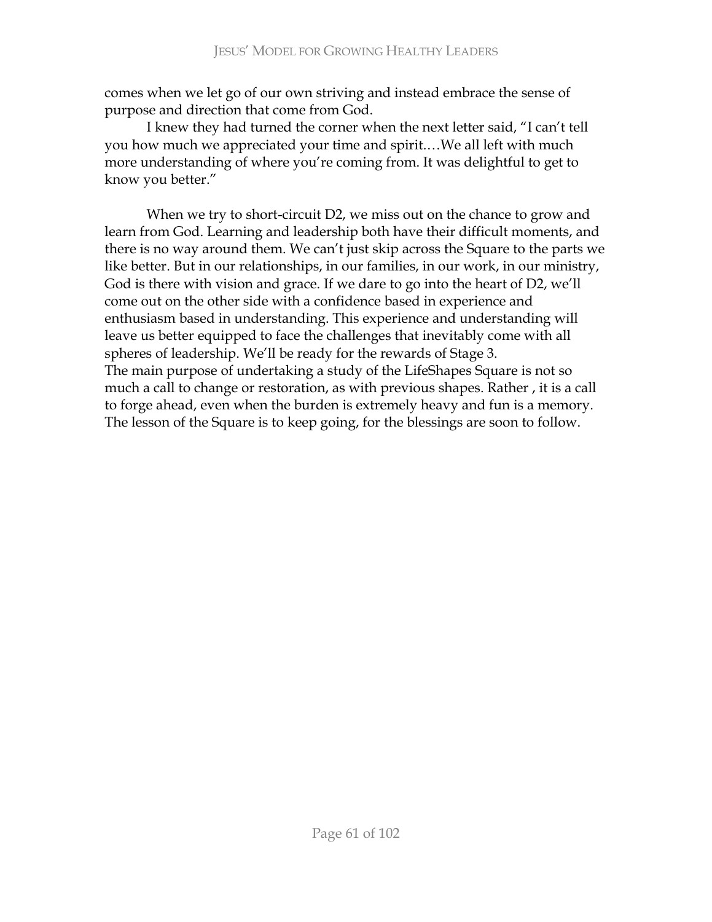comes when we let go of our own striving and instead embrace the sense of purpose and direction that come from God.

I knew they had turned the corner when the next letter said, "I can't tell you how much we appreciated your time and spirit....We all left with much more understanding of where you're coming from. It was delightful to get to know you better."

When we try to short-circuit D2, we miss out on the chance to grow and learn from God. Learning and leadership both have their difficult moments, and there is no way around them. We can't just skip across the Square to the parts we like better. But in our relationships, in our families, in our work, in our ministry, God is there with vision and grace. If we dare to go into the heart of D2, we'll come out on the other side with a confidence based in experience and enthusiasm based in understanding. This experience and understanding will leave us better equipped to face the challenges that inevitably come with all spheres of leadership. We'll be ready for the rewards of Stage 3. The main purpose of undertaking a study of the LifeShapes Square is not so much a call to change or restoration, as with previous shapes. Rather, it is a call to forge ahead, even when the burden is extremely heavy and fun is a memory. The lesson of the Square is to keep going, for the blessings are soon to follow.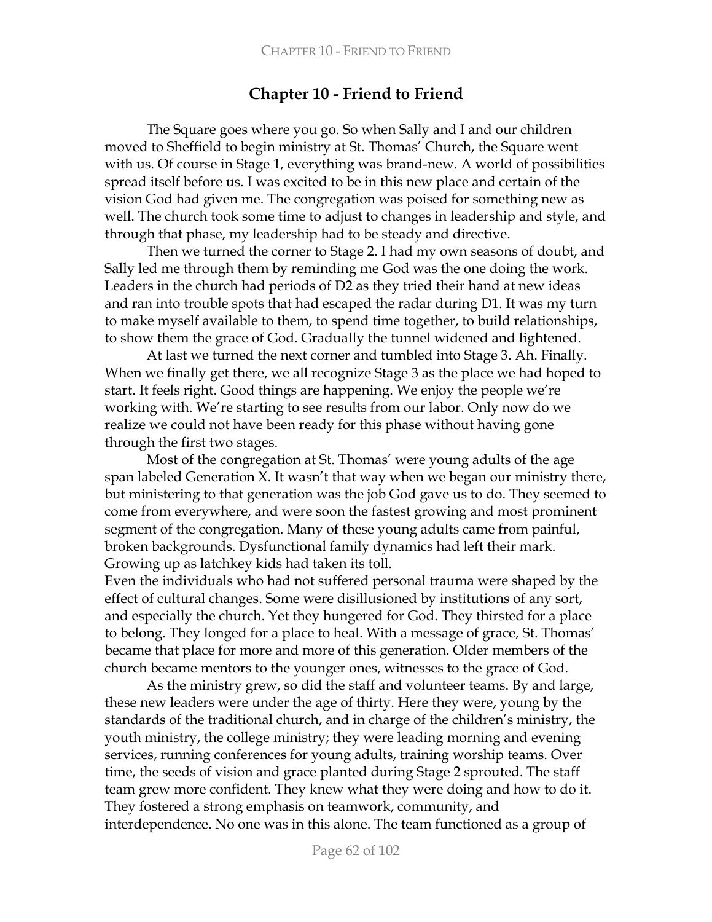# **Chapter 10 - Friend to Friend**

The Square goes where you go. So when Sally and I and our children moved to Sheffield to begin ministry at St. Thomas' Church, the Square went with us. Of course in Stage 1, everything was brand-new. A world of possibilities spread itself before us. I was excited to be in this new place and certain of the vision God had given me. The congregation was poised for something new as well. The church took some time to adjust to changes in leadership and style, and through that phase, my leadership had to be steady and directive.

Then we turned the corner to Stage 2. I had my own seasons of doubt, and Sally led me through them by reminding me God was the one doing the work. Leaders in the church had periods of D2 as they tried their hand at new ideas and ran into trouble spots that had escaped the radar during D1. It was my turn to make myself available to them, to spend time together, to build relationships, to show them the grace of God. Gradually the tunnel widened and lightened.

At last we turned the next corner and tumbled into Stage 3. Ah. Finally. When we finally get there, we all recognize Stage 3 as the place we had hoped to start. It feels right. Good things are happening. We enjoy the people we're working with. We're starting to see results from our labor. Only now do we realize we could not have been ready for this phase without having gone through the first two stages.

Most of the congregation at St. Thomas' were young adults of the age span labeled Generation X. It wasn't that way when we began our ministry there, but ministering to that generation was the job God gave us to do. They seemed to come from everywhere, and were soon the fastest growing and most prominent segment of the congregation. Many of these young adults came from painful, broken backgrounds. Dysfunctional family dynamics had left their mark. Growing up as latchkey kids had taken its toll.

Even the individuals who had not suffered personal trauma were shaped by the effect of cultural changes. Some were disillusioned by institutions of any sort, and especially the church. Yet they hungered for God. They thirsted for a place to belong. They longed for a place to heal. With a message of grace, St. Thomas' became that place for more and more of this generation. Older members of the church became mentors to the younger ones, witnesses to the grace of God.

As the ministry grew, so did the staff and volunteer teams. By and large, these new leaders were under the age of thirty. Here they were, young by the standards of the traditional church, and in charge of the children's ministry, the youth ministry, the college ministry; they were leading morning and evening services, running conferences for young adults, training worship teams. Over time, the seeds of vision and grace planted during Stage 2 sprouted. The staff team grew more confident. They knew what they were doing and how to do it. They fostered a strong emphasis on teamwork, community, and interdependence. No one was in this alone. The team functioned as a group of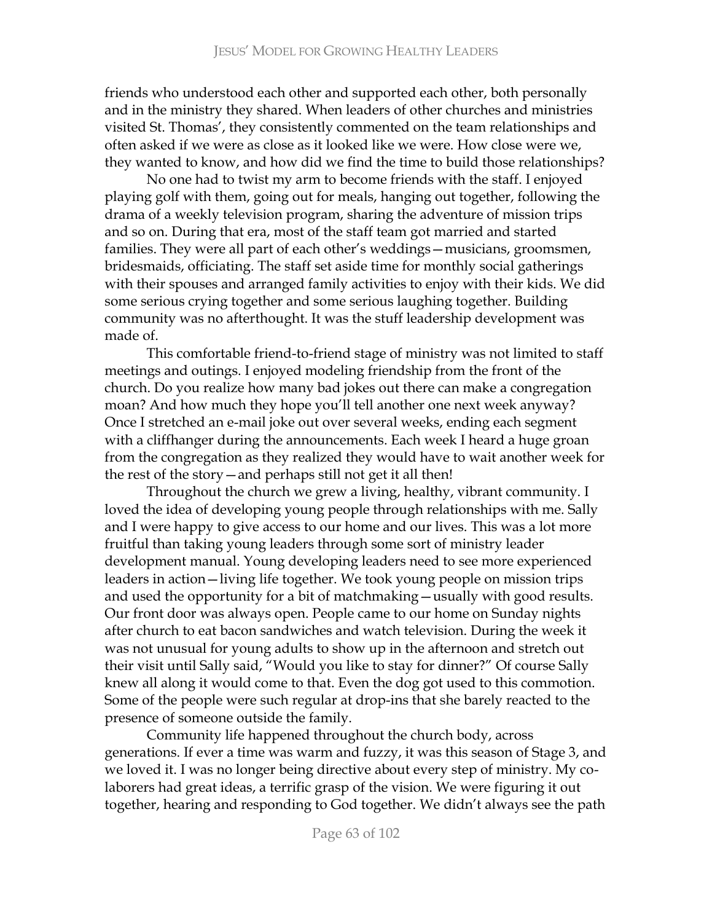friends who understood each other and supported each other, both personally and in the ministry they shared. When leaders of other churches and ministries visited St. Thomas', they consistently commented on the team relationships and often asked if we were as close as it looked like we were. How close were we, they wanted to know, and how did we find the time to build those relationships?

No one had to twist my arm to become friends with the staff. I enjoyed playing golf with them, going out for meals, hanging out together, following the drama of a weekly television program, sharing the adventure of mission trips and so on. During that era, most of the staff team got married and started families. They were all part of each other's weddings - musicians, groomsmen, bridesmaids, officiating. The staff set aside time for monthly social gatherings with their spouses and arranged family activities to enjoy with their kids. We did some serious crying together and some serious laughing together. Building community was no afterthought. It was the stuff leadership development was made of.

This comfortable friend-to-friend stage of ministry was not limited to staff meetings and outings. I enjoyed modeling friendship from the front of the church. Do you realize how many bad jokes out there can make a congregation moan? And how much they hope you'll tell another one next week anyway? Once I stretched an e-mail joke out over several weeks, ending each segment with a cliffhanger during the announcements. Each week I heard a huge groan from the congregation as they realized they would have to wait another week for the rest of the story – and perhaps still not get it all then!

Throughout the church we grew a living, healthy, vibrant community. I loved the idea of developing young people through relationships with me. Sally and I were happy to give access to our home and our lives. This was a lot more fruitful than taking young leaders through some sort of ministry leader development manual. Young developing leaders need to see more experienced leaders in action - living life together. We took young people on mission trips and used the opportunity for a bit of matchmaking - usually with good results. Our front door was always open. People came to our home on Sunday nights after church to eat bacon sandwiches and watch television. During the week it was not unusual for young adults to show up in the afternoon and stretch out their visit until Sally said, "Would you like to stay for dinner?" Of course Sally knew all along it would come to that. Even the dog got used to this commotion. Some of the people were such regular at drop-ins that she barely reacted to the presence of someone outside the family.

Community life happened throughout the church body, across generations. If ever a time was warm and fuzzy, it was this season of Stage 3, and we loved it. I was no longer being directive about every step of ministry. My colaborers had great ideas, a terrific grasp of the vision. We were figuring it out together, hearing and responding to God together. We didn't always see the path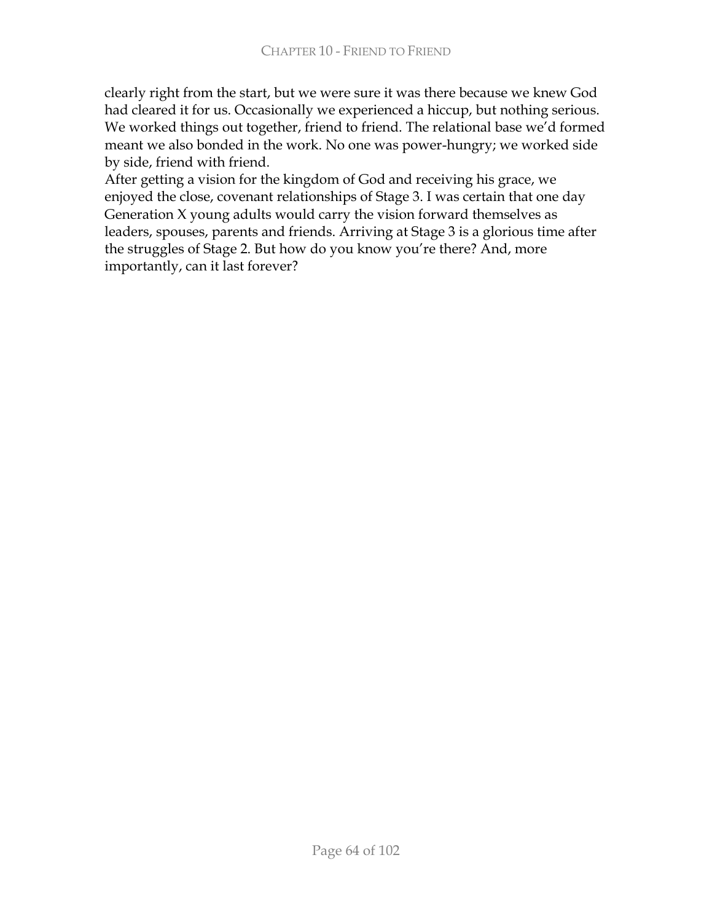clearly right from the start, but we were sure it was there because we knew God had cleared it for us. Occasionally we experienced a hiccup, but nothing serious. We worked things out together, friend to friend. The relational base we'd formed meant we also bonded in the work. No one was power-hungry; we worked side by side, friend with friend.

After getting a vision for the kingdom of God and receiving his grace, we enjoyed the close, covenant relationships of Stage 3. I was certain that one day Generation X young adults would carry the vision forward themselves as leaders, spouses, parents and friends. Arriving at Stage 3 is a glorious time after the struggles of Stage 2. But how do you know you're there? And, more importantly, can it last forever?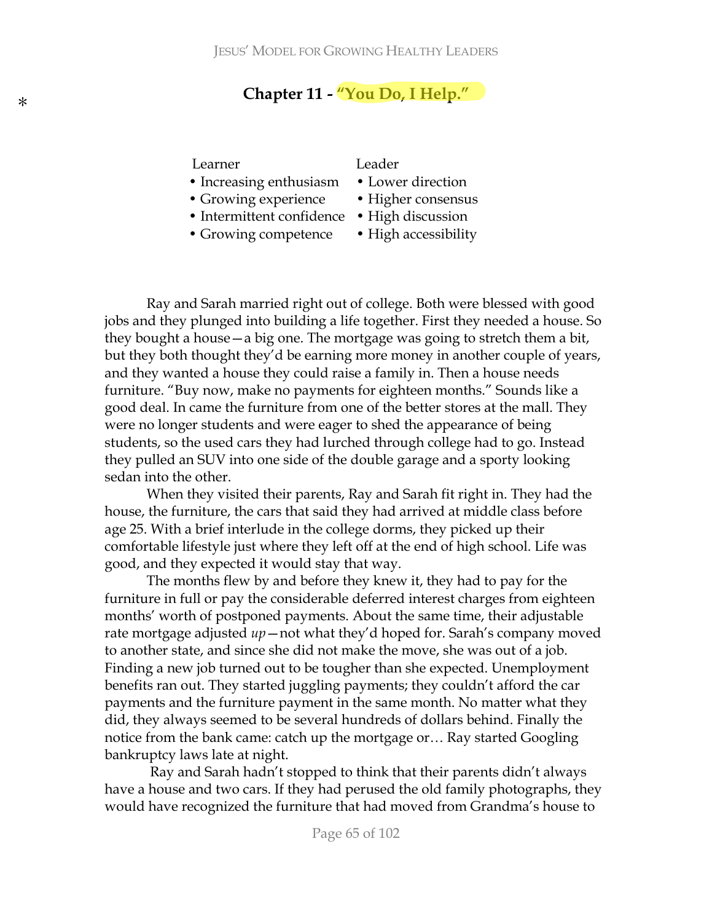# Chapter 11 - "You Do, I Help."

#### Learner

- Increasing enthusiasm
- Growing experience
- Intermittent confidence High discussion
- Growing competence

#### Leader

- Lower direction
- Higher consensus
- 
- High accessibility

Ray and Sarah married right out of college. Both were blessed with good jobs and they plunged into building a life together. First they needed a house. So they bought a house — a big one. The mortgage was going to stretch them a bit, but they both thought they'd be earning more money in another couple of years, and they wanted a house they could raise a family in. Then a house needs furniture. "Buy now, make no payments for eighteen months." Sounds like a good deal. In came the furniture from one of the better stores at the mall. They were no longer students and were eager to shed the appearance of being students, so the used cars they had lurched through college had to go. Instead they pulled an SUV into one side of the double garage and a sporty looking sedan into the other.

When they visited their parents, Ray and Sarah fit right in. They had the house, the furniture, the cars that said they had arrived at middle class before age 25. With a brief interlude in the college dorms, they picked up their comfortable lifestyle just where they left off at the end of high school. Life was good, and they expected it would stay that way.

The months flew by and before they knew it, they had to pay for the furniture in full or pay the considerable deferred interest charges from eighteen months' worth of postponed payments. About the same time, their adjustable rate mortgage adjusted  $up$  – not what they'd hoped for. Sarah's company moved to another state, and since she did not make the move, she was out of a job. Finding a new job turned out to be tougher than she expected. Unemployment benefits ran out. They started juggling payments; they couldn't afford the car payments and the furniture payment in the same month. No matter what they did, they always seemed to be several hundreds of dollars behind. Finally the notice from the bank came: catch up the mortgage or... Ray started Googling bankruptcy laws late at night.

Ray and Sarah hadn't stopped to think that their parents didn't always have a house and two cars. If they had perused the old family photographs, they would have recognized the furniture that had moved from Grandma's house to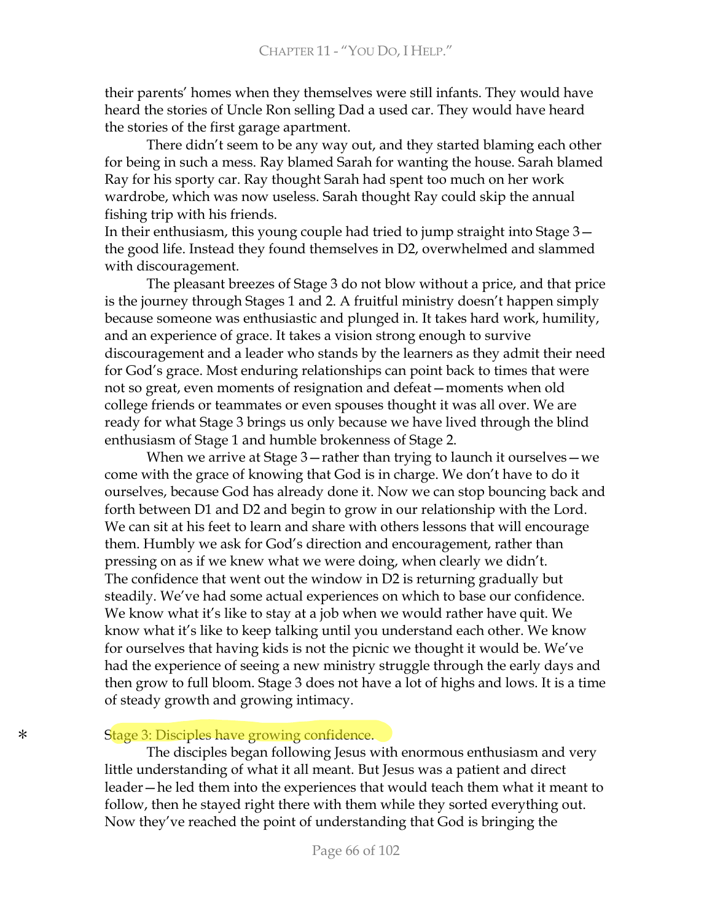their parents' homes when they themselves were still infants. They would have heard the stories of Uncle Ron selling Dad a used car. They would have heard the stories of the first garage apartment.

There didn't seem to be any way out, and they started blaming each other for being in such a mess. Ray blamed Sarah for wanting the house. Sarah blamed Ray for his sporty car. Ray thought Sarah had spent too much on her work wardrobe, which was now useless. Sarah thought Ray could skip the annual fishing trip with his friends.

In their enthusiasm, this young couple had tried to jump straight into Stage  $3$ the good life. Instead they found themselves in D2, overwhelmed and slammed with discouragement.

The pleasant breezes of Stage 3 do not blow without a price, and that price is the journey through Stages 1 and 2. A fruitful ministry doesn't happen simply because someone was enthusiastic and plunged in. It takes hard work, humility, and an experience of grace. It takes a vision strong enough to survive discouragement and a leader who stands by the learners as they admit their need for God's grace. Most enduring relationships can point back to times that were not so great, even moments of resignation and defeat – moments when old college friends or teammates or even spouses thought it was all over. We are ready for what Stage 3 brings us only because we have lived through the blind enthusiasm of Stage 1 and humble brokenness of Stage 2.

When we arrive at Stage  $3$  -rather than trying to launch it ourselves - we come with the grace of knowing that God is in charge. We don't have to do it ourselves, because God has already done it. Now we can stop bouncing back and forth between D1 and D2 and begin to grow in our relationship with the Lord. We can sit at his feet to learn and share with others lessons that will encourage them. Humbly we ask for God's direction and encouragement, rather than pressing on as if we knew what we were doing, when clearly we didn't. The confidence that went out the window in D2 is returning gradually but steadily. We've had some actual experiences on which to base our confidence. We know what it's like to stay at a job when we would rather have quit. We know what it's like to keep talking until you understand each other. We know for ourselves that having kids is not the picnic we thought it would be. We've had the experience of seeing a new ministry struggle through the early days and then grow to full bloom. Stage 3 does not have a lot of highs and lows. It is a time of steady growth and growing intimacy.

#### Stage 3: Disciples have growing confidence.

The disciples began following Jesus with enormous enthusiasm and very little understanding of what it all meant. But Jesus was a patient and direct leader—he led them into the experiences that would teach them what it meant to follow, then he stayed right there with them while they sorted everything out. Now they've reached the point of understanding that God is bringing the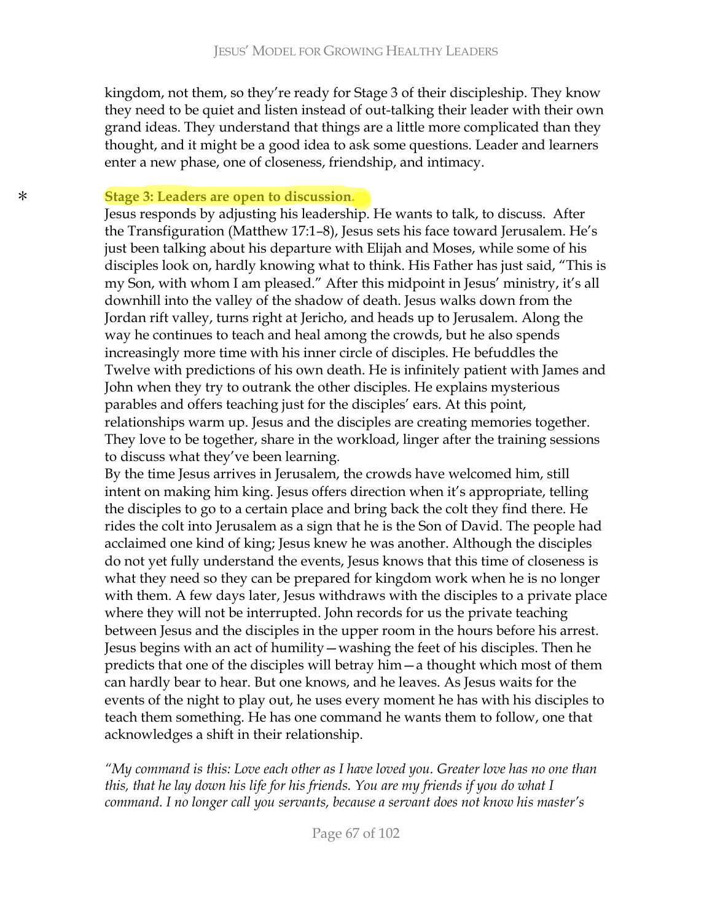kingdom, not them, so they're ready for Stage 3 of their discipleship. They know they need to be quiet and listen instead of out-talking their leader with their own grand ideas. They understand that things are a little more complicated than they thought, and it might be a good idea to ask some questions. Leader and learners enter a new phase, one of closeness, friendship, and intimacy.

#### *Stage 3: Leaders are open to discussion.*

Jesus responds by adjusting his leadership. He wants to talk, to discuss. After the Transfiguration (Matthew 17:1-8), Jesus sets his face toward Jerusalem. He's just been talking about his departure with Elijah and Moses, while some of his disciples look on, hardly knowing what to think. His Father has just said, "This is my Son, with whom I am pleased." After this midpoint in Jesus' ministry, it's all downhill into the valley of the shadow of death. Jesus walks down from the Jordan rift valley, turns right at Jericho, and heads up to Jerusalem. Along the way he continues to teach and heal among the crowds, but he also spends increasingly more time with his inner circle of disciples. He befuddles the Twelve with predictions of his own death. He is infinitely patient with James and John when they try to outrank the other disciples. He explains mysterious parables and offers teaching just for the disciples' ears. At this point, relationships warm up. Jesus and the disciples are creating memories together. They love to be together, share in the workload, linger after the training sessions to discuss what they've been learning.

By the time Jesus arrives in Jerusalem, the crowds have welcomed him, still intent on making him king. Jesus offers direction when it's appropriate, telling the disciples to go to a certain place and bring back the colt they find there. He rides the colt into Jerusalem as a sign that he is the Son of David. The people had acclaimed one kind of king; Jesus knew he was another. Although the disciples do not yet fully understand the events, Jesus knows that this time of closeness is what they need so they can be prepared for kingdom work when he is no longer with them. A few days later, Jesus withdraws with the disciples to a private place where they will not be interrupted. John records for us the private teaching between Jesus and the disciples in the upper room in the hours before his arrest. Jesus begins with an act of humility – washing the feet of his disciples. Then he predicts that one of the disciples will betray him - a thought which most of them can hardly bear to hear. But one knows, and he leaves. As Jesus waits for the events of the night to play out, he uses every moment he has with his disciples to teach them something. He has one command he wants them to follow, one that acknowledges a shift in their relationship.

"My command is this: Love each other as I have loved you. Greater love has no one than this, that he lay down his life for his friends. You are my friends if you do what I command. I no longer call you servants, because a servant does not know his master's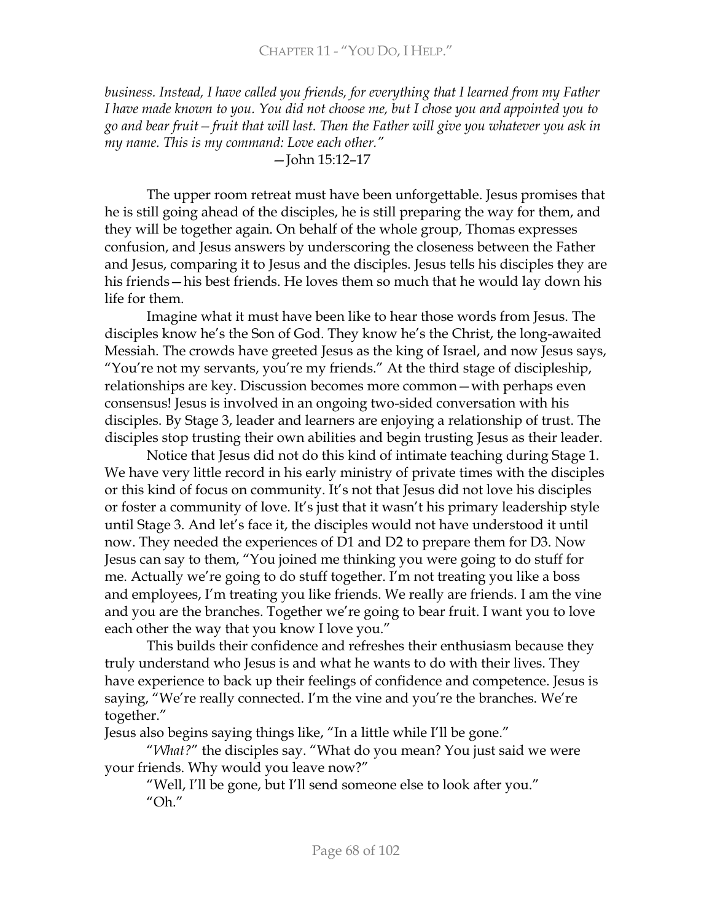business. Instead, I have called you friends, for everything that I learned from my Father I have made known to you. You did not choose me, but I chose you and appointed you to go and bear fruit – fruit that will last. Then the Father will give you whatever you ask in my name. This is my command: Love each other."

#### $-$ John 15:12-17

The upper room retreat must have been unforgettable. Jesus promises that he is still going ahead of the disciples, he is still preparing the way for them, and they will be together again. On behalf of the whole group, Thomas expresses confusion, and Jesus answers by underscoring the closeness between the Father and Jesus, comparing it to Jesus and the disciples. Jesus tells his disciples they are his friends—his best friends. He loves them so much that he would lay down his life for them.

Imagine what it must have been like to hear those words from Jesus. The disciples know he's the Son of God. They know he's the Christ, the long-awaited Messiah. The crowds have greeted Jesus as the king of Israel, and now Jesus says, "You're not my servants, you're my friends." At the third stage of discipleship, relationships are key. Discussion becomes more common-with perhaps even consensus! Jesus is involved in an ongoing two-sided conversation with his disciples. By Stage 3, leader and learners are enjoying a relationship of trust. The disciples stop trusting their own abilities and begin trusting Jesus as their leader.

Notice that Jesus did not do this kind of intimate teaching during Stage 1. We have very little record in his early ministry of private times with the disciples or this kind of focus on community. It's not that Jesus did not love his disciples or foster a community of love. It's just that it wasn't his primary leadership style until Stage 3. And let's face it, the disciples would not have understood it until now. They needed the experiences of D1 and D2 to prepare them for D3. Now Jesus can say to them, "You joined me thinking you were going to do stuff for me. Actually we're going to do stuff together. I'm not treating you like a boss and employees, I'm treating you like friends. We really are friends. I am the vine and you are the branches. Together we're going to bear fruit. I want you to love each other the way that you know I love you."

This builds their confidence and refreshes their enthusiasm because they truly understand who Jesus is and what he wants to do with their lives. They have experience to back up their feelings of confidence and competence. Jesus is saying, "We're really connected. I'm the vine and you're the branches. We're together."

Jesus also begins saying things like, "In a little while I'll be gone."

"What?" the disciples say. "What do you mean? You just said we were your friends. Why would you leave now?"

"Well, I'll be gone, but I'll send someone else to look after you." " $Oh."$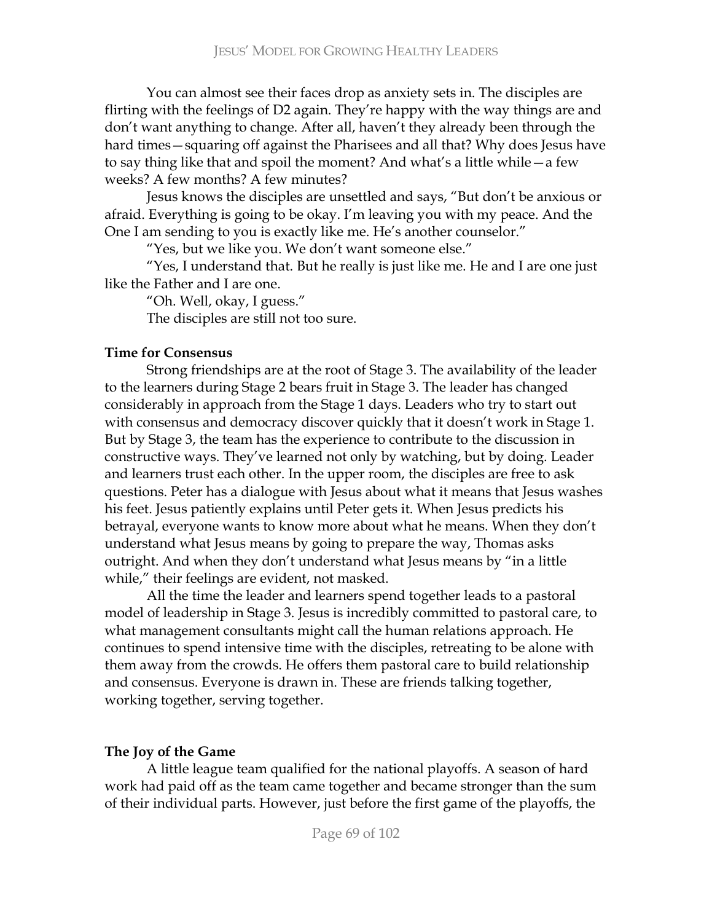You can almost see their faces drop as anxiety sets in. The disciples are flirting with the feelings of D2 again. They're happy with the way things are and don't want anything to change. After all, haven't they already been through the hard times - squaring off against the Pharisees and all that? Why does Jesus have to say thing like that and spoil the moment? And what's a little while – a few weeks? A few months? A few minutes?

Jesus knows the disciples are unsettled and says, "But don't be anxious or afraid. Everything is going to be okay. I'm leaving you with my peace. And the One I am sending to you is exactly like me. He's another counselor."

"Yes, but we like you. We don't want someone else."

"Yes, I understand that. But he really is just like me. He and I are one just like the Father and I are one.

"Oh. Well, okay, I guess."

The disciples are still not too sure.

### **Time for Consensus**

Strong friendships are at the root of Stage 3. The availability of the leader to the learners during Stage 2 bears fruit in Stage 3. The leader has changed considerably in approach from the Stage 1 days. Leaders who try to start out with consensus and democracy discover quickly that it doesn't work in Stage 1. But by Stage 3, the team has the experience to contribute to the discussion in constructive ways. They've learned not only by watching, but by doing. Leader and learners trust each other. In the upper room, the disciples are free to ask questions. Peter has a dialogue with Jesus about what it means that Jesus washes his feet. Jesus patiently explains until Peter gets it. When Jesus predicts his betrayal, everyone wants to know more about what he means. When they don't understand what Jesus means by going to prepare the way, Thomas asks outright. And when they don't understand what Jesus means by "in a little while," their feelings are evident, not masked.

All the time the leader and learners spend together leads to a pastoral model of leadership in Stage 3. Jesus is incredibly committed to pastoral care, to what management consultants might call the human relations approach. He continues to spend intensive time with the disciples, retreating to be alone with them away from the crowds. He offers them pastoral care to build relationship and consensus. Everyone is drawn in. These are friends talking together, working together, serving together.

### **The Joy of the Game**

A little league team qualified for the national playoffs. A season of hard work had paid off as the team came together and became stronger than the sum of their individual parts. However, just before the first game of the playoffs, the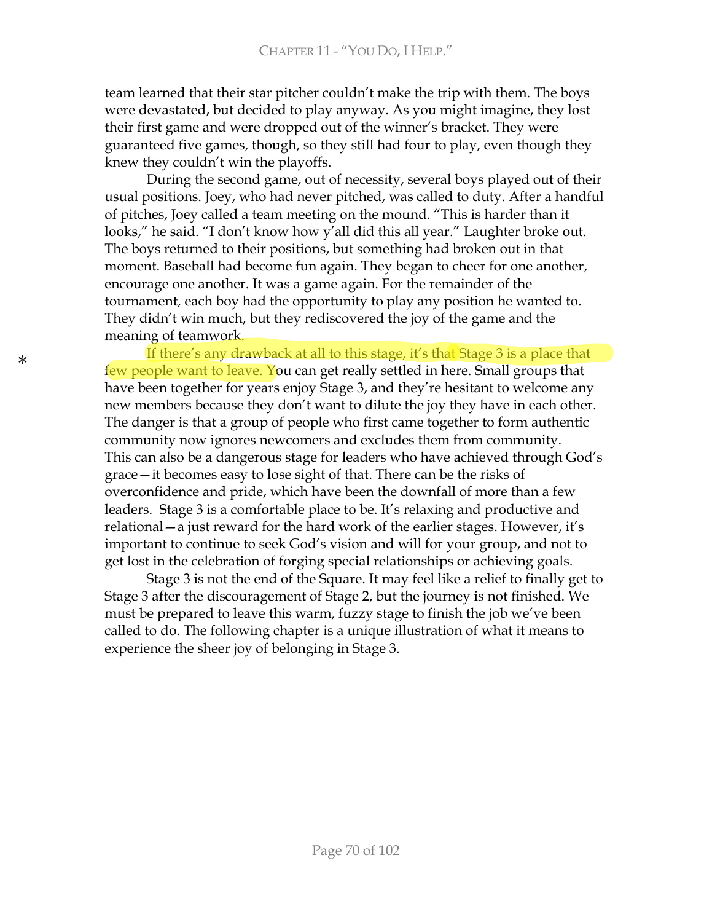team learned that their star pitcher couldn't make the trip with them. The boys were devastated, but decided to play anyway. As you might imagine, they lost their first game and were dropped out of the winner's bracket. They were guaranteed five games, though, so they still had four to play, even though they knew they couldn't win the playoffs.

During the second game, out of necessity, several boys played out of their usual positions. Joey, who had never pitched, was called to duty. After a handful of pitches, Joey called a team meeting on the mound. "This is harder than it looks," he said. "I don't know how y'all did this all year." Laughter broke out. The boys returned to their positions, but something had broken out in that moment. Baseball had become fun again. They began to cheer for one another, encourage one another. It was a game again. For the remainder of the tournament, each boy had the opportunity to play any position he wanted to. They didn't win much, but they rediscovered the joy of the game and the meaning of teamwork.

If there's any drawback at all to this stage, it's that Stage 3 is a place that few people want to leave. You can get really settled in here. Small groups that have been together for years enjoy Stage 3, and they're hesitant to welcome any new members because they don't want to dilute the joy they have in each other. The danger is that a group of people who first came together to form authentic community now ignores newcomers and excludes them from community. This can also be a dangerous stage for leaders who have achieved through God's  $grace - it$  becomes easy to lose sight of that. There can be the risks of overconfidence and pride, which have been the downfall of more than a few leaders. Stage 3 is a comfortable place to be. It's relaxing and productive and relational – a just reward for the hard work of the earlier stages. However, it's important to continue to seek God's vision and will for your group, and not to get lost in the celebration of forging special relationships or achieving goals.

Stage 3 is not the end of the Square. It may feel like a relief to finally get to Stage 3 after the discouragement of Stage 2, but the journey is not finished. We must be prepared to leave this warm, fuzzy stage to finish the job we've been called to do. The following chapter is a unique illustration of what it means to experience the sheer joy of belonging in Stage 3.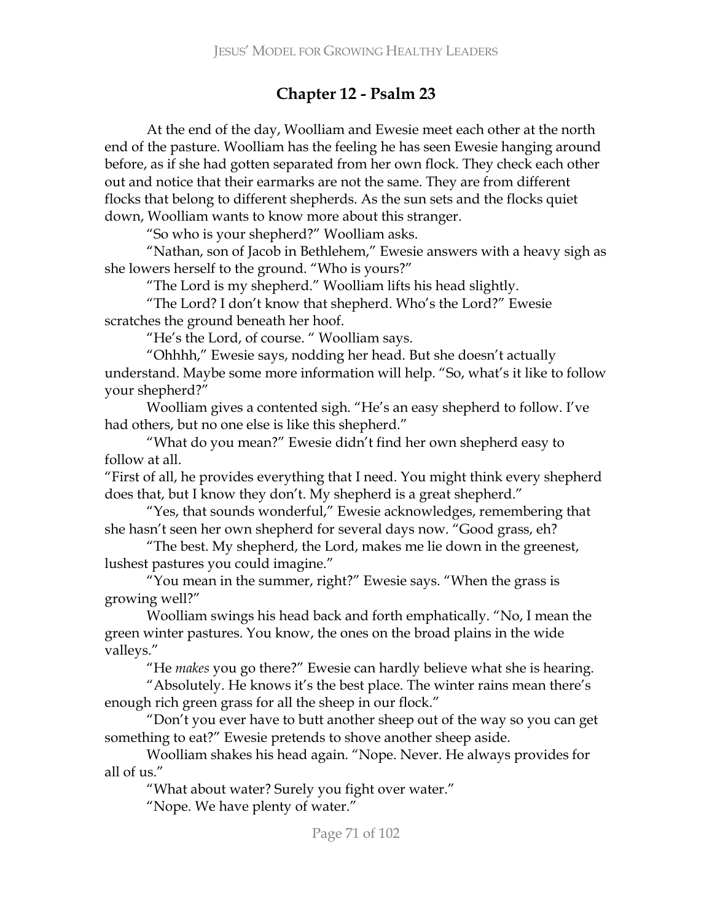# Chapter 12 - Psalm 23

At the end of the day, Woolliam and Ewesie meet each other at the north end of the pasture. Woolliam has the feeling he has seen Ewesie hanging around before, as if she had gotten separated from her own flock. They check each other out and notice that their earmarks are not the same. They are from different flocks that belong to different shepherds. As the sun sets and the flocks quiet down, Woolliam wants to know more about this stranger.

"So who is your shepherd?" Woolliam asks.

"Nathan, son of Jacob in Bethlehem," Ewesie answers with a heavy sigh as she lowers herself to the ground. "Who is yours?"

"The Lord is my shepherd." Woolliam lifts his head slightly.

"The Lord? I don't know that shepherd. Who's the Lord?" Ewesie scratches the ground beneath her hoof.

"He's the Lord, of course. "Woolliam says.

"Ohhhh," Ewesie says, nodding her head. But she doesn't actually understand. Maybe some more information will help. "So, what's it like to follow your shepherd?"

Woolliam gives a contented sigh. "He's an easy shepherd to follow. I've had others, but no one else is like this shepherd."

"What do you mean?" Ewesie didn't find her own shepherd easy to follow at all.

"First of all, he provides everything that I need. You might think every shepherd does that, but I know they don't. My shepherd is a great shepherd."

"Yes, that sounds wonderful," Ewesie acknowledges, remembering that she hasn't seen her own shepherd for several days now. "Good grass, eh?

"The best. My shepherd, the Lord, makes me lie down in the greenest, lushest pastures you could imagine."

"You mean in the summer, right?" Ewesie says. "When the grass is growing well?"

Woolliam swings his head back and forth emphatically. "No, I mean the green winter pastures. You know, the ones on the broad plains in the wide valleys."

"He makes you go there?" Ewesie can hardly believe what she is hearing.

"Absolutely. He knows it's the best place. The winter rains mean there's enough rich green grass for all the sheep in our flock."

"Don't you ever have to butt another sheep out of the way so you can get something to eat?" Ewesie pretends to shove another sheep aside.

Woolliam shakes his head again. "Nope. Never. He always provides for all of us."

"What about water? Surely you fight over water."

"Nope. We have plenty of water."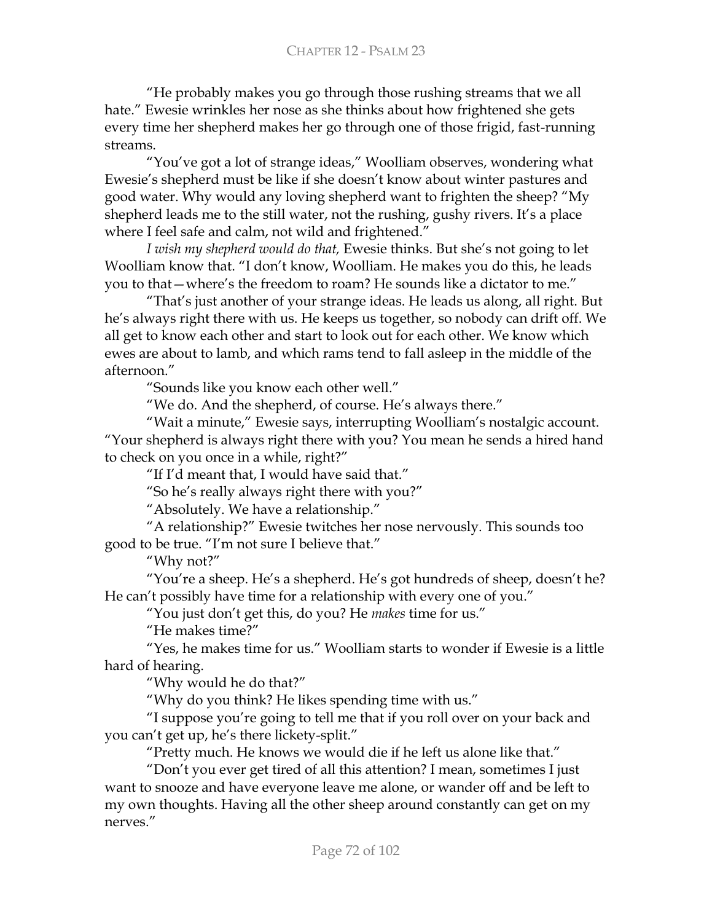"He probably makes you go through those rushing streams that we all hate." Ewesie wrinkles her nose as she thinks about how frightened she gets every time her shepherd makes her go through one of those frigid, fast-running streams

"You've got a lot of strange ideas," Woolliam observes, wondering what Ewesie's shepherd must be like if she doesn't know about winter pastures and good water. Why would any loving shepherd want to frighten the sheep? "My shepherd leads me to the still water, not the rushing, gushy rivers. It's a place where I feel safe and calm, not wild and frightened."

I wish my shepherd would do that, Ewesie thinks. But she's not going to let Woolliam know that. "I don't know, Woolliam. He makes you do this, he leads you to that – where's the freedom to roam? He sounds like a dictator to me."

"That's just another of your strange ideas. He leads us along, all right. But he's always right there with us. He keeps us together, so nobody can drift off. We all get to know each other and start to look out for each other. We know which ewes are about to lamb, and which rams tend to fall asleep in the middle of the afternoon."

"Sounds like you know each other well."

"We do. And the shepherd, of course. He's always there."

"Wait a minute," Ewesie says, interrupting Woolliam's nostalgic account. "Your shepherd is always right there with you? You mean he sends a hired hand to check on you once in a while, right?"

"If I'd meant that, I would have said that."

"So he's really always right there with you?"

"Absolutely. We have a relationship."

"A relationship?" Ewesie twitches her nose nervously. This sounds too good to be true. "I'm not sure I believe that."

"Why not?"

"You're a sheep. He's a shepherd. He's got hundreds of sheep, doesn't he? He can't possibly have time for a relationship with every one of you."

"You just don't get this, do you? He makes time for us."

"He makes time?"

"Yes, he makes time for us." Woolliam starts to wonder if Ewesie is a little hard of hearing.

"Why would he do that?"

"Why do you think? He likes spending time with us."

"I suppose you're going to tell me that if you roll over on your back and you can't get up, he's there lickety-split."

"Pretty much. He knows we would die if he left us alone like that."

"Don't you ever get tired of all this attention? I mean, sometimes I just want to snooze and have everyone leave me alone, or wander off and be left to my own thoughts. Having all the other sheep around constantly can get on my nerves"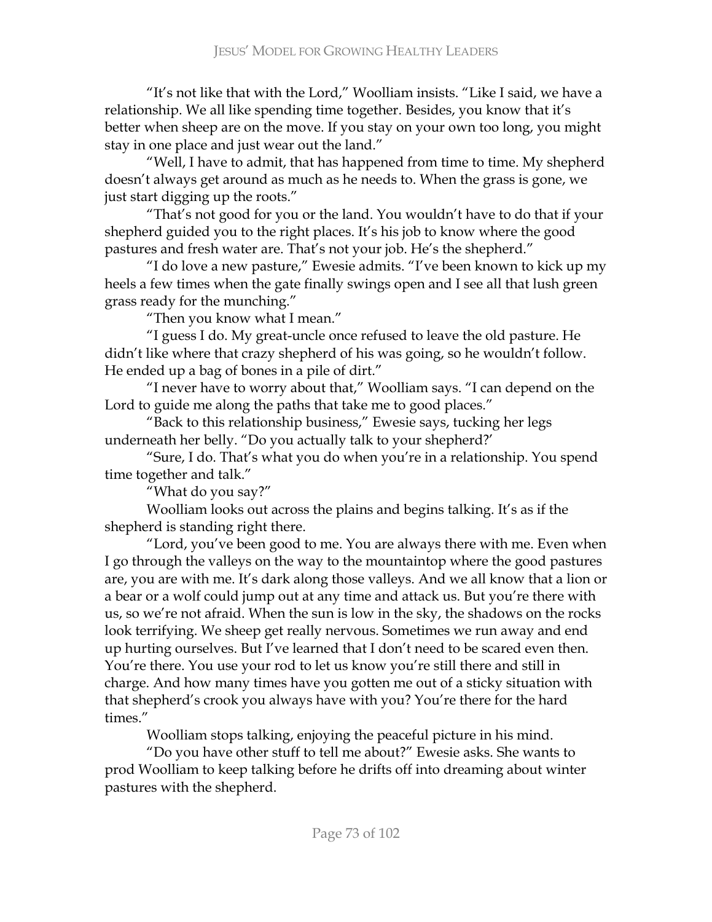"It's not like that with the Lord," Woolliam insists. "Like I said, we have a relationship. We all like spending time together. Besides, you know that it's better when sheep are on the move. If you stay on your own too long, you might stay in one place and just wear out the land."

"Well, I have to admit, that has happened from time to time. My shepherd doesn't always get around as much as he needs to. When the grass is gone, we just start digging up the roots."

"That's not good for you or the land. You wouldn't have to do that if your shepherd guided you to the right places. It's his job to know where the good pastures and fresh water are. That's not your job. He's the shepherd."

"I do love a new pasture," Ewesie admits. "I've been known to kick up my heels a few times when the gate finally swings open and I see all that lush green grass ready for the munching."

"Then you know what I mean."

"I guess I do. My great-uncle once refused to leave the old pasture. He didn't like where that crazy shepherd of his was going, so he wouldn't follow. He ended up a bag of bones in a pile of dirt."

"I never have to worry about that," Woolliam says. "I can depend on the Lord to guide me along the paths that take me to good places."

"Back to this relationship business," Ewesie says, tucking her legs underneath her belly. "Do you actually talk to your shepherd?'

"Sure, I do. That's what you do when you're in a relationship. You spend time together and talk."

"What do you say?"

Woolliam looks out across the plains and begins talking. It's as if the shepherd is standing right there.

"Lord, you've been good to me. You are always there with me. Even when I go through the valleys on the way to the mountaintop where the good pastures are, you are with me. It's dark along those valleys. And we all know that a lion or a bear or a wolf could jump out at any time and attack us. But you're there with us, so we're not afraid. When the sun is low in the sky, the shadows on the rocks look terrifying. We sheep get really nervous. Sometimes we run away and end up hurting ourselves. But I've learned that I don't need to be scared even then. You're there. You use your rod to let us know you're still there and still in charge. And how many times have you gotten me out of a sticky situation with that shepherd's crook you always have with you? You're there for the hard times."

Woolliam stops talking, enjoying the peaceful picture in his mind.

"Do you have other stuff to tell me about?" Ewesie asks. She wants to prod Woolliam to keep talking before he drifts off into dreaming about winter pastures with the shepherd.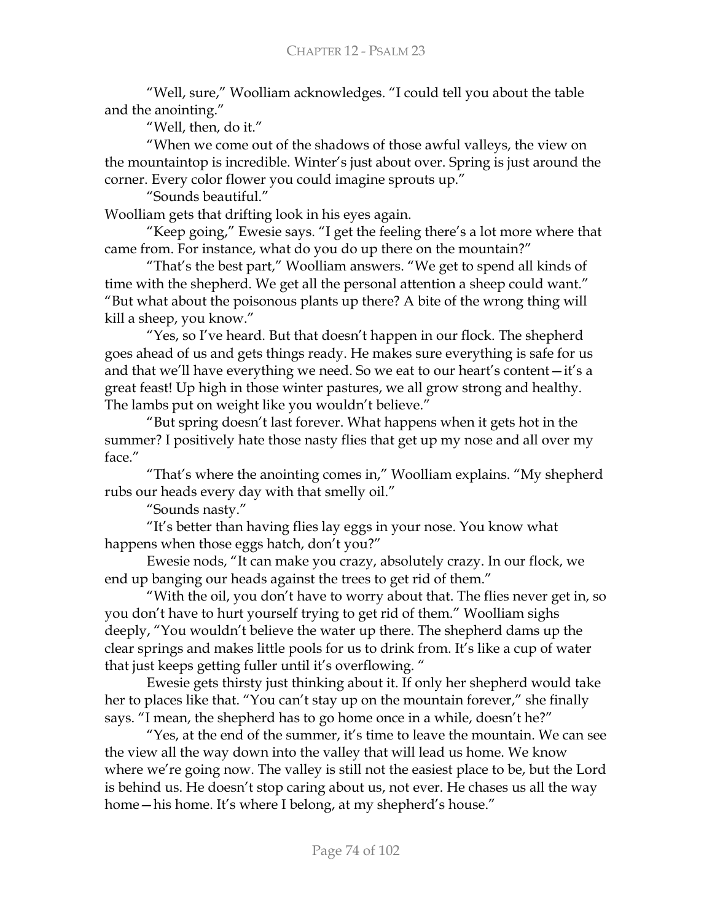"Well, sure," Woolliam acknowledges. "I could tell you about the table and the anointing."

"Well, then, do it."

"When we come out of the shadows of those awful valleys, the view on the mountaintop is incredible. Winter's just about over. Spring is just around the corner. Every color flower you could imagine sprouts up."

"Sounds beautiful."

Woolliam gets that drifting look in his eyes again.

"Keep going," Ewesie says. "I get the feeling there's a lot more where that came from. For instance, what do you do up there on the mountain?"

"That's the best part," Woolliam answers. "We get to spend all kinds of time with the shepherd. We get all the personal attention a sheep could want." "But what about the poisonous plants up there? A bite of the wrong thing will kill a sheep, you know."

"Yes, so I've heard. But that doesn't happen in our flock. The shepherd goes ahead of us and gets things ready. He makes sure everything is safe for us and that we'll have everything we need. So we eat to our heart's content $-i$ t's a great feast! Up high in those winter pastures, we all grow strong and healthy. The lambs put on weight like you wouldn't believe."

"But spring doesn't last forever. What happens when it gets hot in the summer? I positively hate those nasty flies that get up my nose and all over my face."

"That's where the anointing comes in," Woolliam explains. "My shepherd rubs our heads every day with that smelly oil."

"Sounds nasty."

"It's better than having flies lay eggs in your nose. You know what happens when those eggs hatch, don't you?"

Ewesie nods, "It can make you crazy, absolutely crazy. In our flock, we end up banging our heads against the trees to get rid of them."

"With the oil, you don't have to worry about that. The flies never get in, so you don't have to hurt yourself trying to get rid of them." Woolliam sighs deeply, "You wouldn't believe the water up there. The shepherd dams up the clear springs and makes little pools for us to drink from. It's like a cup of water that just keeps getting fuller until it's overflowing."

Ewesie gets thirsty just thinking about it. If only her shepherd would take her to places like that. "You can't stay up on the mountain forever," she finally says. "I mean, the shepherd has to go home once in a while, doesn't he?"

"Yes, at the end of the summer, it's time to leave the mountain. We can see the view all the way down into the valley that will lead us home. We know where we're going now. The valley is still not the easiest place to be, but the Lord is behind us. He doesn't stop caring about us, not ever. He chases us all the way home – his home. It's where I belong, at my shepherd's house."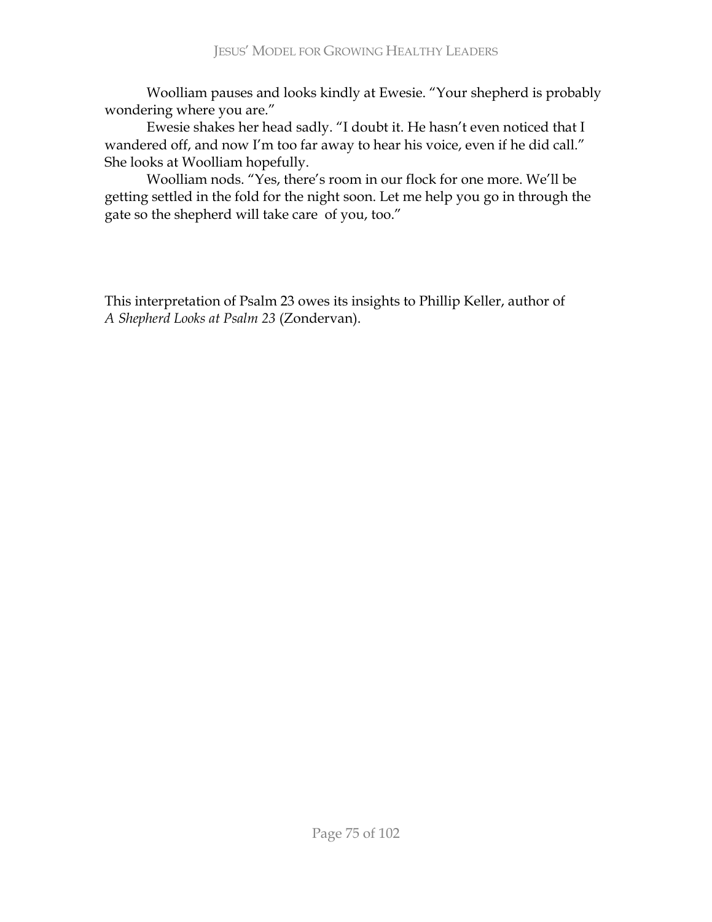Woolliam pauses and looks kindly at Ewesie. "Your shepherd is probably wondering where you are."

Ewesie shakes her head sadly. "I doubt it. He hasn't even noticed that I wandered off, and now I'm too far away to hear his voice, even if he did call." She looks at Woolliam hopefully.

Woolliam nods. "Yes, there's room in our flock for one more. We'll be getting settled in the fold for the night soon. Let me help you go in through the gate so the shepherd will take care of you, too."

This interpretation of Psalm 23 owes its insights to Phillip Keller, author of A Shepherd Looks at Psalm 23 (Zondervan).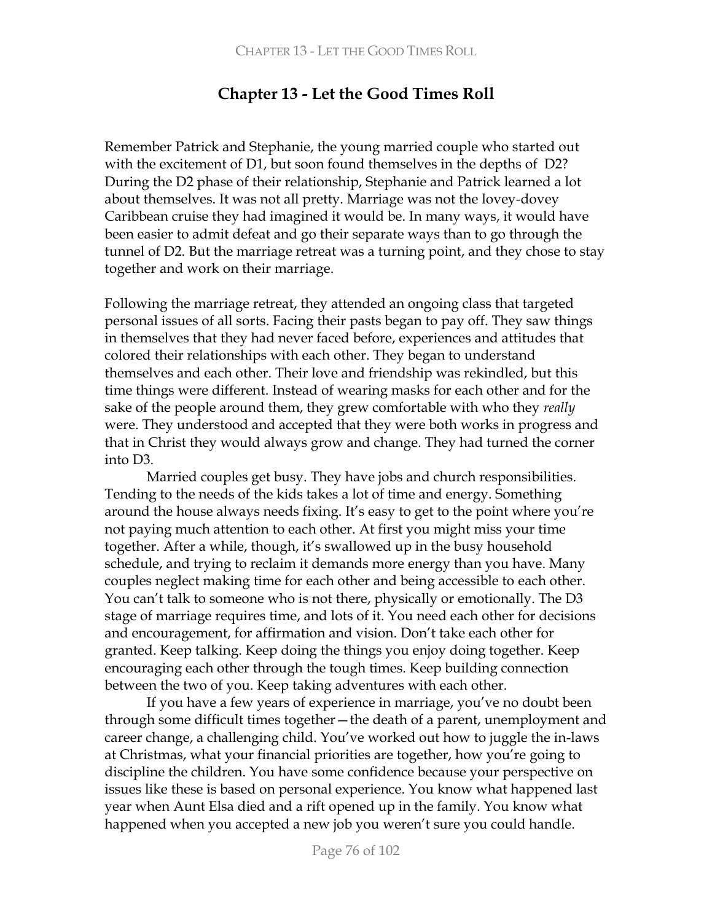# **Chapter 13 - Let the Good Times Roll**

Remember Patrick and Stephanie, the young married couple who started out with the excitement of  $D1$ , but soon found themselves in the depths of  $D2$ ? During the D2 phase of their relationship, Stephanie and Patrick learned a lot about themselves. It was not all pretty. Marriage was not the lovey-dovey Caribbean cruise they had imagined it would be. In many ways, it would have been easier to admit defeat and go their separate ways than to go through the tunnel of D2. But the marriage retreat was a turning point, and they chose to stay together and work on their marriage.

Following the marriage retreat, they attended an ongoing class that targeted personal issues of all sorts. Facing their pasts began to pay off. They saw things in themselves that they had never faced before, experiences and attitudes that colored their relationships with each other. They began to understand themselves and each other. Their love and friendship was rekindled, but this time things were different. Instead of wearing masks for each other and for the sake of the people around them, they grew comfortable with who they *really* were. They understood and accepted that they were both works in progress and that in Christ they would always grow and change. They had turned the corner  $into D3.$ 

Married couples get busy. They have jobs and church responsibilities. Tending to the needs of the kids takes a lot of time and energy. Something around the house always needs fixing. It's easy to get to the point where you're not paying much attention to each other. At first you might miss your time together. After a while, though, it's swallowed up in the busy household schedule, and trying to reclaim it demands more energy than you have. Many couples neglect making time for each other and being accessible to each other. You can't talk to someone who is not there, physically or emotionally. The D3 stage of marriage requires time, and lots of it. You need each other for decisions and encouragement, for affirmation and vision. Don't take each other for granted. Keep talking. Keep doing the things you enjoy doing together. Keep encouraging each other through the tough times. Keep building connection between the two of you. Keep taking adventures with each other.

If you have a few years of experience in marriage, you've no doubt been through some difficult times together - the death of a parent, unemployment and career change, a challenging child. You've worked out how to juggle the in-laws at Christmas, what your financial priorities are together, how you're going to discipline the children. You have some confidence because your perspective on issues like these is based on personal experience. You know what happened last year when Aunt Elsa died and a rift opened up in the family. You know what happened when you accepted a new job you weren't sure you could handle.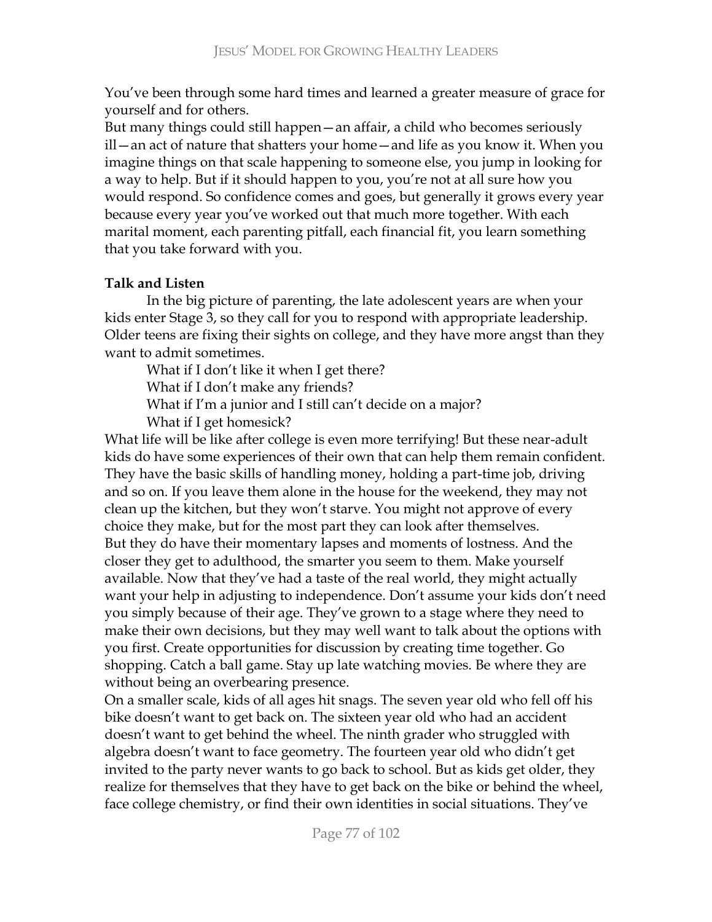You've been through some hard times and learned a greater measure of grace for yourself and for others.

But many things could still happen - an affair, a child who becomes seriously ill - an act of nature that shatters your home - and life as you know it. When you imagine things on that scale happening to someone else, you jump in looking for a way to help. But if it should happen to you, you're not at all sure how you would respond. So confidence comes and goes, but generally it grows every year because every year you've worked out that much more together. With each marital moment, each parenting pitfall, each financial fit, you learn something that you take forward with you.

# **Talk and Listen**

In the big picture of parenting, the late adolescent years are when your kids enter Stage 3, so they call for you to respond with appropriate leadership. Older teens are fixing their sights on college, and they have more angst than they want to admit sometimes.

What if I don't like it when I get there? What if I don't make any friends? What if I'm a junior and I still can't decide on a major? What if I get homesick?

What life will be like after college is even more terrifying! But these near-adult kids do have some experiences of their own that can help them remain confident. They have the basic skills of handling money, holding a part-time job, driving and so on. If you leave them alone in the house for the weekend, they may not clean up the kitchen, but they won't starve. You might not approve of every choice they make, but for the most part they can look after themselves. But they do have their momentary lapses and moments of lostness. And the closer they get to adulthood, the smarter you seem to them. Make yourself available. Now that they've had a taste of the real world, they might actually want your help in adjusting to independence. Don't assume your kids don't need you simply because of their age. They've grown to a stage where they need to make their own decisions, but they may well want to talk about the options with you first. Create opportunities for discussion by creating time together. Go shopping. Catch a ball game. Stay up late watching movies. Be where they are without being an overbearing presence.

On a smaller scale, kids of all ages hit snags. The seven year old who fell off his bike doesn't want to get back on. The sixteen year old who had an accident doesn't want to get behind the wheel. The ninth grader who struggled with algebra doesn't want to face geometry. The fourteen year old who didn't get invited to the party never wants to go back to school. But as kids get older, they realize for themselves that they have to get back on the bike or behind the wheel, face college chemistry, or find their own identities in social situations. They've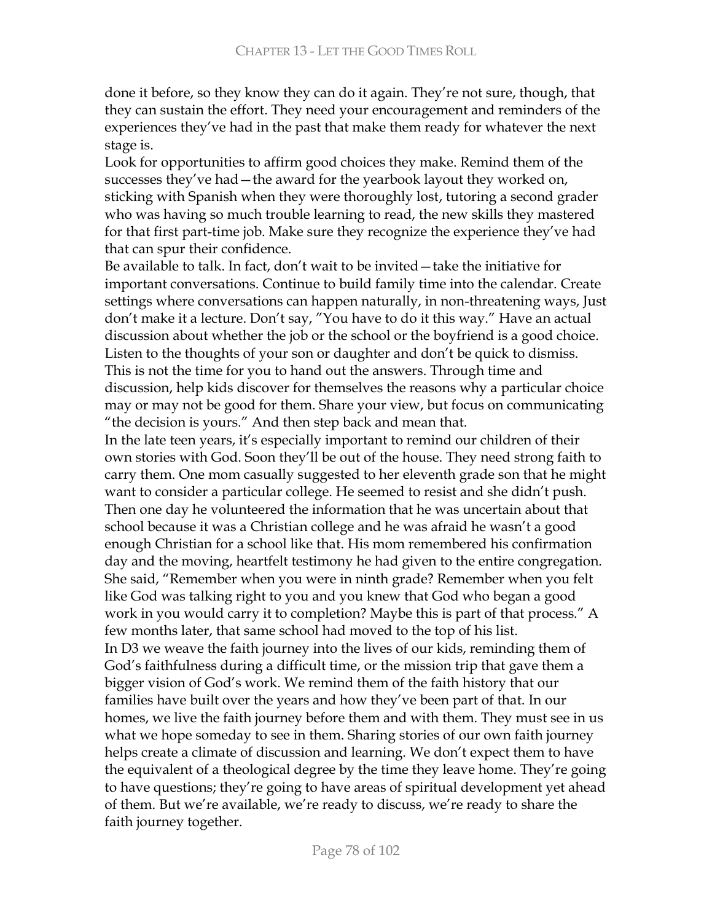done it before, so they know they can do it again. They're not sure, though, that they can sustain the effort. They need your encouragement and reminders of the experiences they've had in the past that make them ready for whatever the next stage is.

Look for opportunities to affirm good choices they make. Remind them of the successes they've had - the award for the yearbook layout they worked on, sticking with Spanish when they were thoroughly lost, tutoring a second grader who was having so much trouble learning to read, the new skills they mastered for that first part-time job. Make sure they recognize the experience they've had that can spur their confidence.

Be available to talk. In fact, don't wait to be invited – take the initiative for important conversations. Continue to build family time into the calendar. Create settings where conversations can happen naturally, in non-threatening ways, Just don't make it a lecture. Don't say, "You have to do it this way." Have an actual discussion about whether the job or the school or the boyfriend is a good choice. Listen to the thoughts of your son or daughter and don't be quick to dismiss. This is not the time for you to hand out the answers. Through time and discussion, help kids discover for themselves the reasons why a particular choice may or may not be good for them. Share your view, but focus on communicating "the decision is yours." And then step back and mean that.

In the late teen years, it's especially important to remind our children of their own stories with God. Soon they'll be out of the house. They need strong faith to carry them. One mom casually suggested to her eleventh grade son that he might want to consider a particular college. He seemed to resist and she didn't push. Then one day he volunteered the information that he was uncertain about that school because it was a Christian college and he was afraid he wasn't a good enough Christian for a school like that. His mom remembered his confirmation day and the moving, heartfelt testimony he had given to the entire congregation. She said, "Remember when you were in ninth grade? Remember when you felt like God was talking right to you and you knew that God who began a good work in you would carry it to completion? Maybe this is part of that process." A few months later, that same school had moved to the top of his list. In D3 we weave the faith journey into the lives of our kids, reminding them of God's faithfulness during a difficult time, or the mission trip that gave them a bigger vision of God's work. We remind them of the faith history that our families have built over the years and how they've been part of that. In our homes, we live the faith journey before them and with them. They must see in us what we hope someday to see in them. Sharing stories of our own faith journey helps create a climate of discussion and learning. We don't expect them to have the equivalent of a theological degree by the time they leave home. They're going to have questions; they're going to have areas of spiritual development yet ahead of them. But we're available, we're ready to discuss, we're ready to share the faith journey together.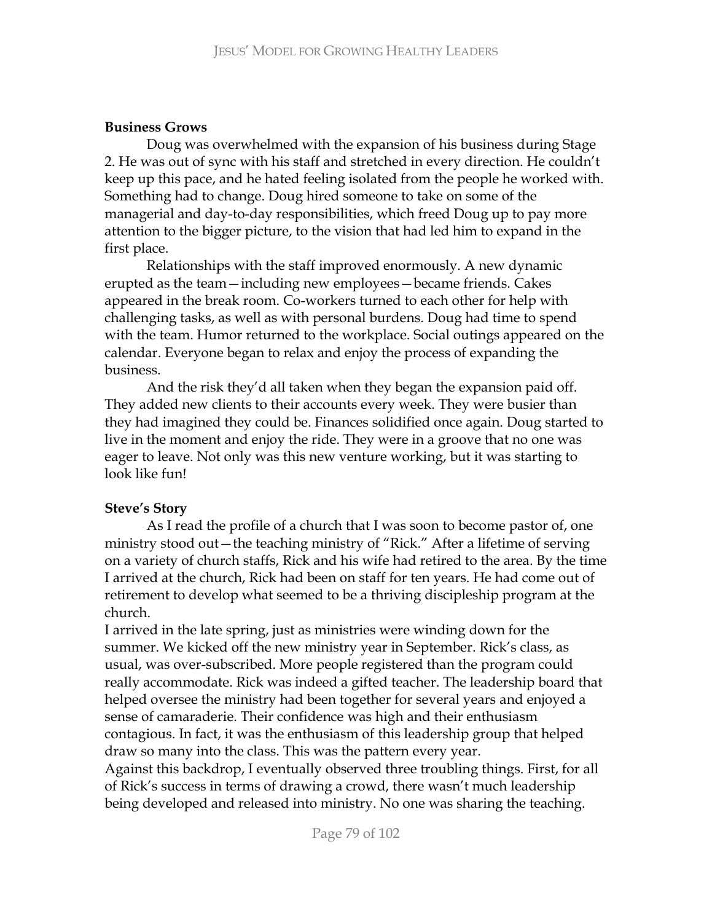### **Business Grows**

Doug was overwhelmed with the expansion of his business during Stage 2. He was out of sync with his staff and stretched in every direction. He couldn't keep up this pace, and he hated feeling isolated from the people he worked with. Something had to change. Doug hired someone to take on some of the managerial and day-to-day responsibilities, which freed Doug up to pay more attention to the bigger picture, to the vision that had led him to expand in the first place.

Relationships with the staff improved enormously. A new dynamic erupted as the team - including new employees - became friends. Cakes appeared in the break room. Co-workers turned to each other for help with challenging tasks, as well as with personal burdens. Doug had time to spend with the team. Humor returned to the workplace. Social outings appeared on the calendar. Everyone began to relax and enjoy the process of expanding the business.

And the risk they'd all taken when they began the expansion paid off. They added new clients to their accounts every week. They were busier than they had imagined they could be. Finances solidified once again. Doug started to live in the moment and enjoy the ride. They were in a groove that no one was eager to leave. Not only was this new venture working, but it was starting to look like fun!

## **Steve's Story**

As I read the profile of a church that I was soon to become pastor of, one ministry stood out—the teaching ministry of "Rick." After a lifetime of serving on a variety of church staffs, Rick and his wife had retired to the area. By the time I arrived at the church, Rick had been on staff for ten years. He had come out of retirement to develop what seemed to be a thriving discipleship program at the church.

I arrived in the late spring, just as ministries were winding down for the summer. We kicked off the new ministry year in September. Rick's class, as usual, was over-subscribed. More people registered than the program could really accommodate. Rick was indeed a gifted teacher. The leadership board that helped oversee the ministry had been together for several years and enjoyed a sense of camaraderie. Their confidence was high and their enthusiasm contagious. In fact, it was the enthusiasm of this leadership group that helped draw so many into the class. This was the pattern every year.

Against this backdrop, I eventually observed three troubling things. First, for all of Rick's success in terms of drawing a crowd, there wasn't much leadership being developed and released into ministry. No one was sharing the teaching.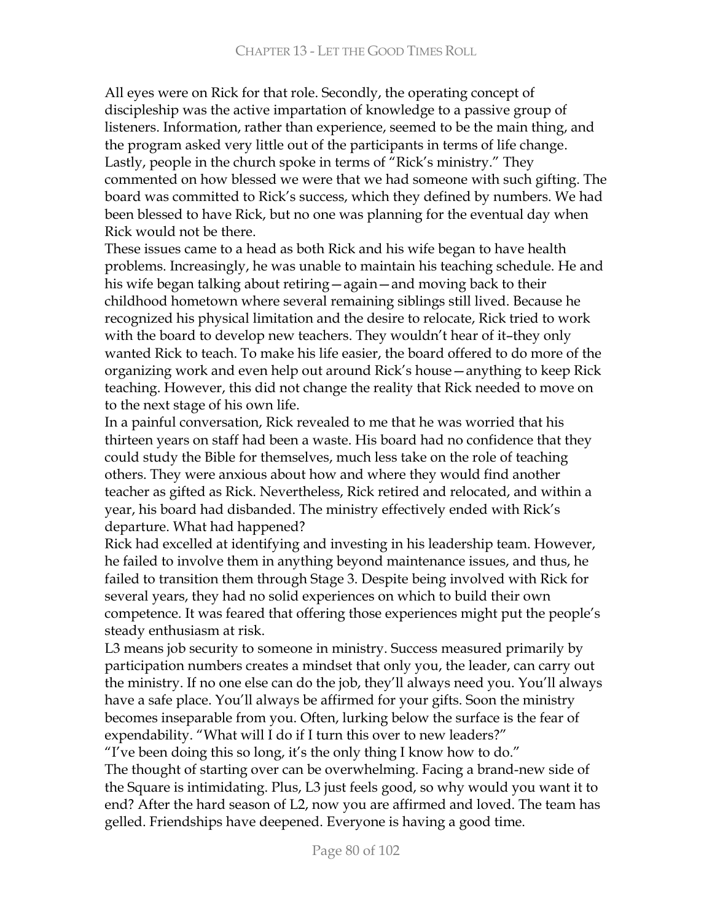All eyes were on Rick for that role. Secondly, the operating concept of discipleship was the active impartation of knowledge to a passive group of listeners. Information, rather than experience, seemed to be the main thing, and the program asked very little out of the participants in terms of life change. Lastly, people in the church spoke in terms of "Rick's ministry." They commented on how blessed we were that we had someone with such gifting. The board was committed to Rick's success, which they defined by numbers. We had been blessed to have Rick, but no one was planning for the eventual day when Rick would not be there.

These issues came to a head as both Rick and his wife began to have health problems. Increasingly, he was unable to maintain his teaching schedule. He and his wife began talking about retiring - again - and moving back to their childhood hometown where several remaining siblings still lived. Because he recognized his physical limitation and the desire to relocate, Rick tried to work with the board to develop new teachers. They wouldn't hear of it-they only wanted Rick to teach. To make his life easier, the board offered to do more of the organizing work and even help out around Rick's house - anything to keep Rick teaching. However, this did not change the reality that Rick needed to move on to the next stage of his own life.

In a painful conversation, Rick revealed to me that he was worried that his thirteen years on staff had been a waste. His board had no confidence that they could study the Bible for themselves, much less take on the role of teaching others. They were anxious about how and where they would find another teacher as gifted as Rick. Nevertheless, Rick retired and relocated, and within a year, his board had disbanded. The ministry effectively ended with Rick's departure. What had happened?

Rick had excelled at identifying and investing in his leadership team. However, he failed to involve them in anything beyond maintenance issues, and thus, he failed to transition them through Stage 3. Despite being involved with Rick for several years, they had no solid experiences on which to build their own competence. It was feared that offering those experiences might put the people's steady enthusiasm at risk.

L3 means job security to someone in ministry. Success measured primarily by participation numbers creates a mindset that only you, the leader, can carry out the ministry. If no one else can do the job, they'll always need you. You'll always have a safe place. You'll always be affirmed for your gifts. Soon the ministry becomes inseparable from you. Often, lurking below the surface is the fear of expendability. "What will I do if I turn this over to new leaders?"

"I've been doing this so long, it's the only thing I know how to do." The thought of starting over can be overwhelming. Facing a brand-new side of the Square is intimidating. Plus, L3 just feels good, so why would you want it to end? After the hard season of L2, now you are affirmed and loved. The team has gelled. Friendships have deepened. Everyone is having a good time.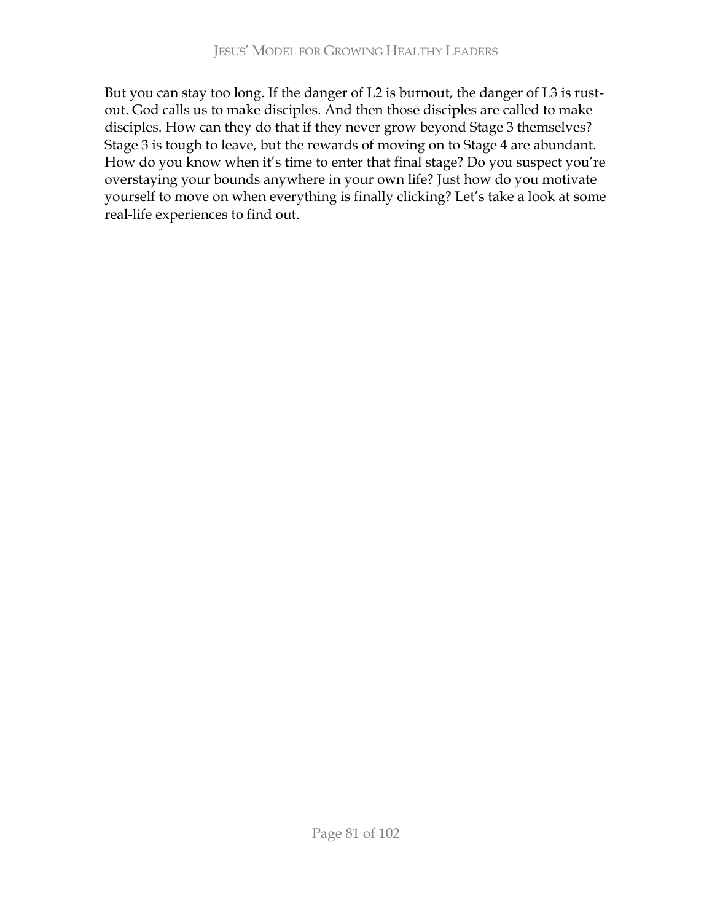But you can stay too long. If the danger of L2 is burnout, the danger of L3 is rustout. God calls us to make disciples. And then those disciples are called to make disciples. How can they do that if they never grow beyond Stage 3 themselves? Stage 3 is tough to leave, but the rewards of moving on to Stage 4 are abundant. How do you know when it's time to enter that final stage? Do you suspect you're overstaying your bounds anywhere in your own life? Just how do you motivate yourself to move on when everything is finally clicking? Let's take a look at some real-life experiences to find out.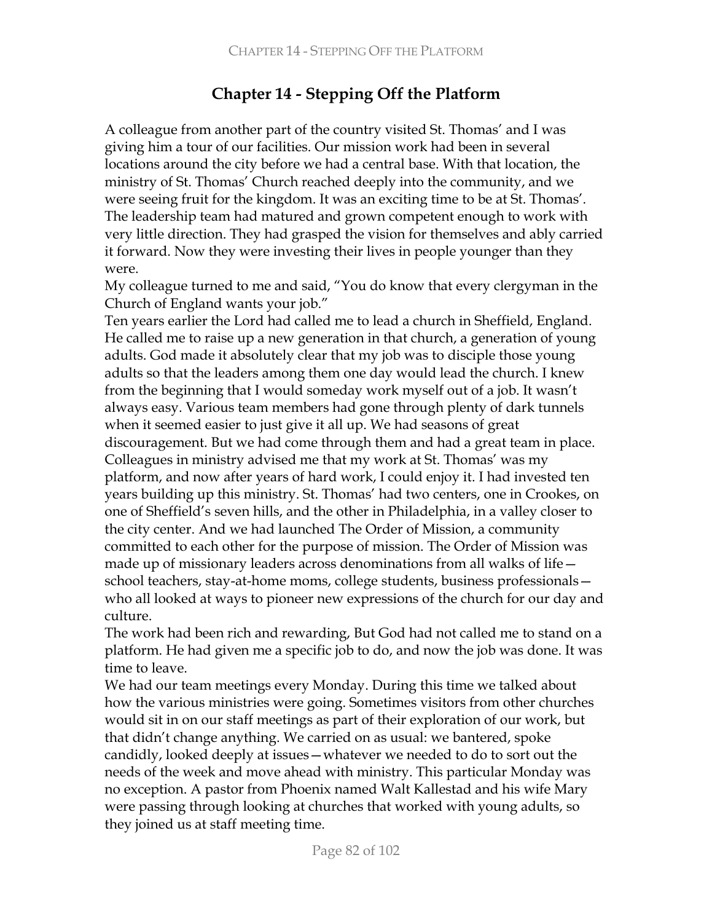# **Chapter 14 - Stepping Off the Platform**

A colleague from another part of the country visited St. Thomas' and I was giving him a tour of our facilities. Our mission work had been in several locations around the city before we had a central base. With that location, the ministry of St. Thomas' Church reached deeply into the community, and we were seeing fruit for the kingdom. It was an exciting time to be at St. Thomas'. The leadership team had matured and grown competent enough to work with very little direction. They had grasped the vision for themselves and ably carried it forward. Now they were investing their lives in people younger than they were.

My colleague turned to me and said, "You do know that every clergyman in the Church of England wants your job."

Ten years earlier the Lord had called me to lead a church in Sheffield, England. He called me to raise up a new generation in that church, a generation of young adults. God made it absolutely clear that my job was to disciple those young adults so that the leaders among them one day would lead the church. I knew from the beginning that I would someday work myself out of a job. It wasn't always easy. Various team members had gone through plenty of dark tunnels when it seemed easier to just give it all up. We had seasons of great discouragement. But we had come through them and had a great team in place. Colleagues in ministry advised me that my work at St. Thomas' was my platform, and now after years of hard work, I could enjoy it. I had invested ten years building up this ministry. St. Thomas' had two centers, one in Crookes, on one of Sheffield's seven hills, and the other in Philadelphia, in a valley closer to the city center. And we had launched The Order of Mission, a community committed to each other for the purpose of mission. The Order of Mission was made up of missionary leaders across denominations from all walks of life school teachers, stay-at-home moms, college students, business professionals who all looked at ways to pioneer new expressions of the church for our day and culture.

The work had been rich and rewarding, But God had not called me to stand on a platform. He had given me a specific job to do, and now the job was done. It was time to leave.

We had our team meetings every Monday. During this time we talked about how the various ministries were going. Sometimes visitors from other churches would sit in on our staff meetings as part of their exploration of our work, but that didn't change anything. We carried on as usual: we bantered, spoke candidly, looked deeply at issues – whatever we needed to do to sort out the needs of the week and move ahead with ministry. This particular Monday was no exception. A pastor from Phoenix named Walt Kallestad and his wife Mary were passing through looking at churches that worked with young adults, so they joined us at staff meeting time.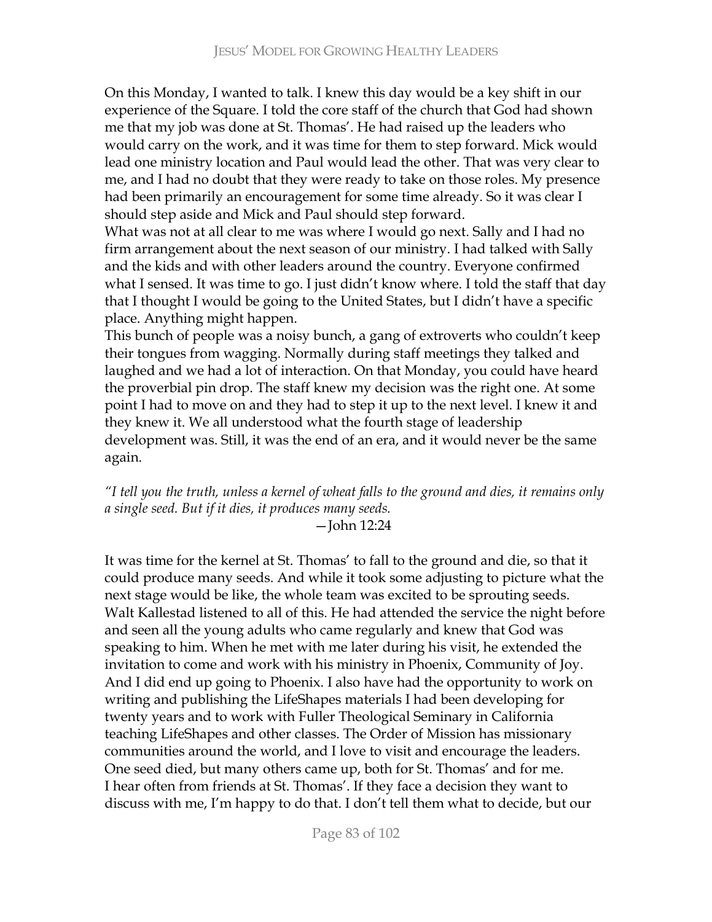On this Monday, I wanted to talk. I knew this day would be a key shift in our experience of the Square. I told the core staff of the church that God had shown me that my job was done at St. Thomas'. He had raised up the leaders who would carry on the work, and it was time for them to step forward. Mick would lead one ministry location and Paul would lead the other. That was very clear to me, and I had no doubt that they were ready to take on those roles. My presence had been primarily an encouragement for some time already. So it was clear I should step aside and Mick and Paul should step forward.

What was not at all clear to me was where I would go next. Sally and I had no firm arrangement about the next season of our ministry. I had talked with Sally and the kids and with other leaders around the country. Everyone confirmed what I sensed. It was time to go. I just didn't know where. I told the staff that day that I thought I would be going to the United States, but I didn't have a specific place. Anything might happen.

This bunch of people was a noisy bunch, a gang of extroverts who couldn't keep their tongues from wagging. Normally during staff meetings they talked and laughed and we had a lot of interaction. On that Monday, you could have heard the proverbial pin drop. The staff knew my decision was the right one. At some point I had to move on and they had to step it up to the next level. I knew it and they knew it. We all understood what the fourth stage of leadership development was. Still, it was the end of an era, and it would never be the same again.

<sup>2</sup> I tell you the truth, unless a kernel of wheat falls to the ground and dies, it remains only a single seed. But if it dies, it produces many seeds.

-John 12:24

It was time for the kernel at St. Thomas' to fall to the ground and die, so that it could produce many seeds. And while it took some adjusting to picture what the next stage would be like, the whole team was excited to be sprouting seeds. Walt Kallestad listened to all of this. He had attended the service the night before and seen all the young adults who came regularly and knew that God was speaking to him. When he met with me later during his visit, he extended the invitation to come and work with his ministry in Phoenix, Community of Joy. And I did end up going to Phoenix. I also have had the opportunity to work on writing and publishing the LifeShapes materials I had been developing for twenty years and to work with Fuller Theological Seminary in California teaching LifeShapes and other classes. The Order of Mission has missionary communities around the world, and I love to visit and encourage the leaders. One seed died, but many others came up, both for St. Thomas' and for me. I hear often from friends at St. Thomas'. If they face a decision they want to discuss with me, I'm happy to do that. I don't tell them what to decide, but our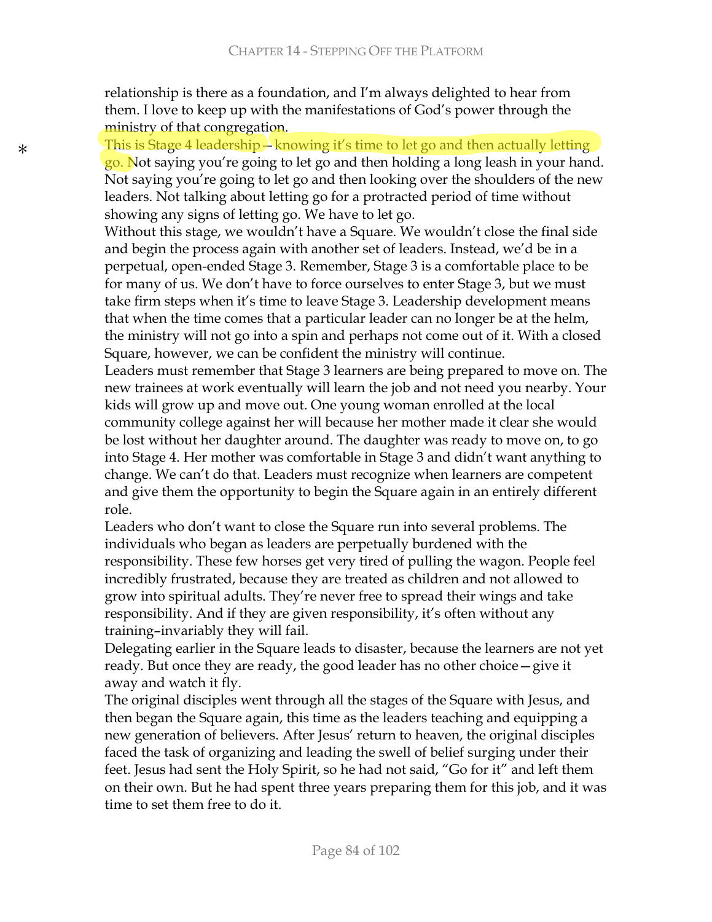relationship is there as a foundation, and I'm always delighted to hear from them. I love to keep up with the manifestations of God's power through the ministry of that congregation.

This is Stage 4 leadership  $\frac{1}{2}$  knowing it's time to let go and then actually letting go. Not saying you're going to let go and then holding a long leash in your hand. Not saying you're going to let go and then looking over the shoulders of the new leaders. Not talking about letting go for a protracted period of time without showing any signs of letting go. We have to let go.

Without this stage, we wouldn't have a Square. We wouldn't close the final side and begin the process again with another set of leaders. Instead, we'd be in a perpetual, open-ended Stage 3. Remember, Stage 3 is a comfortable place to be for many of us. We don't have to force ourselves to enter Stage 3, but we must take firm steps when it's time to leave Stage 3. Leadership development means that when the time comes that a particular leader can no longer be at the helm, the ministry will not go into a spin and perhaps not come out of it. With a closed Square, however, we can be confident the ministry will continue.

Leaders must remember that Stage 3 learners are being prepared to move on. The new trainees at work eventually will learn the job and not need you nearby. Your kids will grow up and move out. One young woman enrolled at the local community college against her will because her mother made it clear she would be lost without her daughter around. The daughter was ready to move on, to go into Stage 4. Her mother was comfortable in Stage 3 and didn't want anything to change. We can't do that. Leaders must recognize when learners are competent and give them the opportunity to begin the Square again in an entirely different role.

Leaders who don't want to close the Square run into several problems. The individuals who began as leaders are perpetually burdened with the responsibility. These few horses get very tired of pulling the wagon. People feel incredibly frustrated, because they are treated as children and not allowed to grow into spiritual adults. They're never free to spread their wings and take responsibility. And if they are given responsibility, it's often without any training-invariably they will fail.

Delegating earlier in the Square leads to disaster, because the learners are not yet ready. But once they are ready, the good leader has no other choice - give it away and watch it fly.

The original disciples went through all the stages of the Square with Jesus, and then began the Square again, this time as the leaders teaching and equipping a new generation of believers. After Jesus' return to heaven, the original disciples faced the task of organizing and leading the swell of belief surging under their feet. Jesus had sent the Holy Spirit, so he had not said, "Go for it" and left them on their own. But he had spent three years preparing them for this job, and it was time to set them free to do it.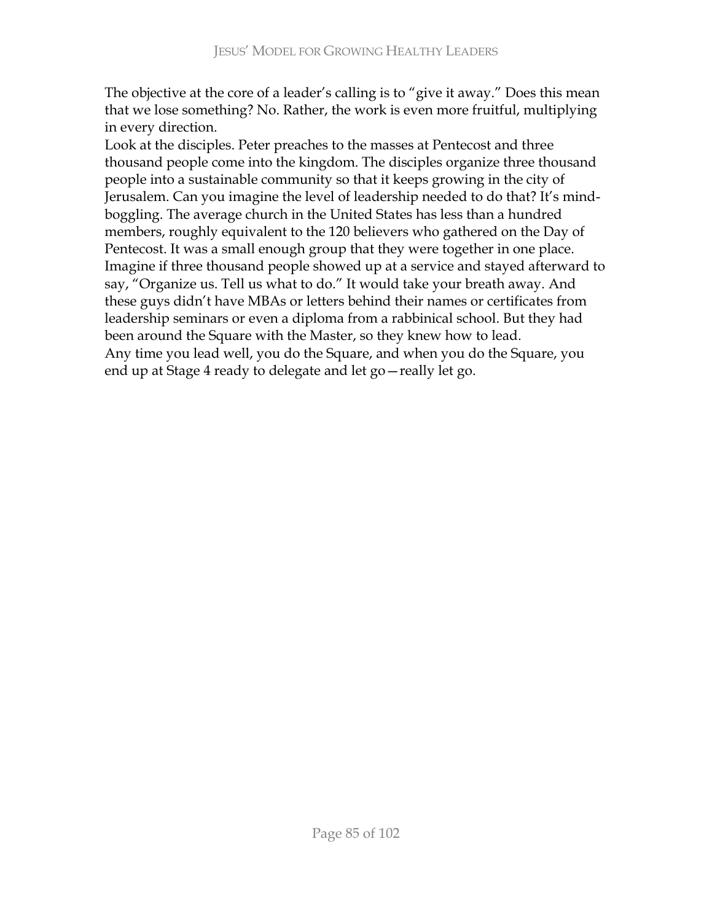The objective at the core of a leader's calling is to "give it away." Does this mean that we lose something? No. Rather, the work is even more fruitful, multiplying in every direction.

Look at the disciples. Peter preaches to the masses at Pentecost and three thousand people come into the kingdom. The disciples organize three thousand people into a sustainable community so that it keeps growing in the city of Jerusalem. Can you imagine the level of leadership needed to do that? It's mindboggling. The average church in the United States has less than a hundred members, roughly equivalent to the 120 believers who gathered on the Day of Pentecost. It was a small enough group that they were together in one place. Imagine if three thousand people showed up at a service and stayed afterward to say, "Organize us. Tell us what to do." It would take your breath away. And these guys didn't have MBAs or letters behind their names or certificates from leadership seminars or even a diploma from a rabbinical school. But they had been around the Square with the Master, so they knew how to lead. Any time you lead well, you do the Square, and when you do the Square, you end up at Stage 4 ready to delegate and let go-really let go.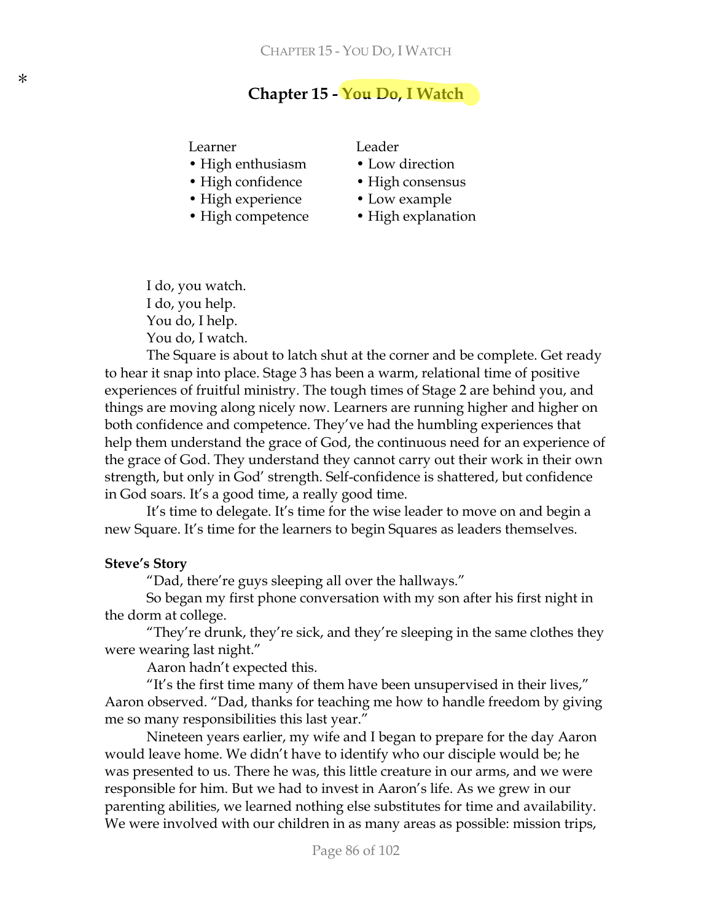# **Chapter 15 - You Do, I Watch**

Learner Leader

- High enthusiasm Low direction
- High confidence High consensus
- High experience Low example
- High competence High explanation

- 
- 
- 
- 

I do, you watch. I do, you help. You do, I help. You do, I watch.

The Square is about to latch shut at the corner and be complete. Get ready to hear it snap into place. Stage 3 has been a warm, relational time of positive experiences of fruitful ministry. The tough times of Stage 2 are behind you, and things are moving along nicely now. Learners are running higher and higher on both confidence and competence. They've had the humbling experiences that help them understand the grace of God, the continuous need for an experience of the grace of God. They understand they cannot carry out their work in their own strength, but only in God' strength. Self-confidence is shattered, but confidence in God soars. It's a good time, a really good time.

It's time to delegate. It's time for the wise leader to move on and begin a new Square. It's time for the learners to begin Squares as leaders themselves.

#### **Steve's Story**

"Dad, there're guys sleeping all over the hallways."

So began my first phone conversation with my son after his first night in the dorm at college.

"They're drunk, they're sick, and they're sleeping in the same clothes they were wearing last night."

Aaron hadn't expected this.

"It's the first time many of them have been unsupervised in their lives," Aaron observed. "Dad, thanks for teaching me how to handle freedom by giving me so many responsibilities this last year."

Nineteen years earlier, my wife and I began to prepare for the day Aaron would leave home. We didn't have to identify who our disciple would be; he was presented to us. There he was, this little creature in our arms, and we were responsible for him. But we had to invest in Aaron's life. As we grew in our parenting abilities, we learned nothing else substitutes for time and availability. We were involved with our children in as many areas as possible: mission trips,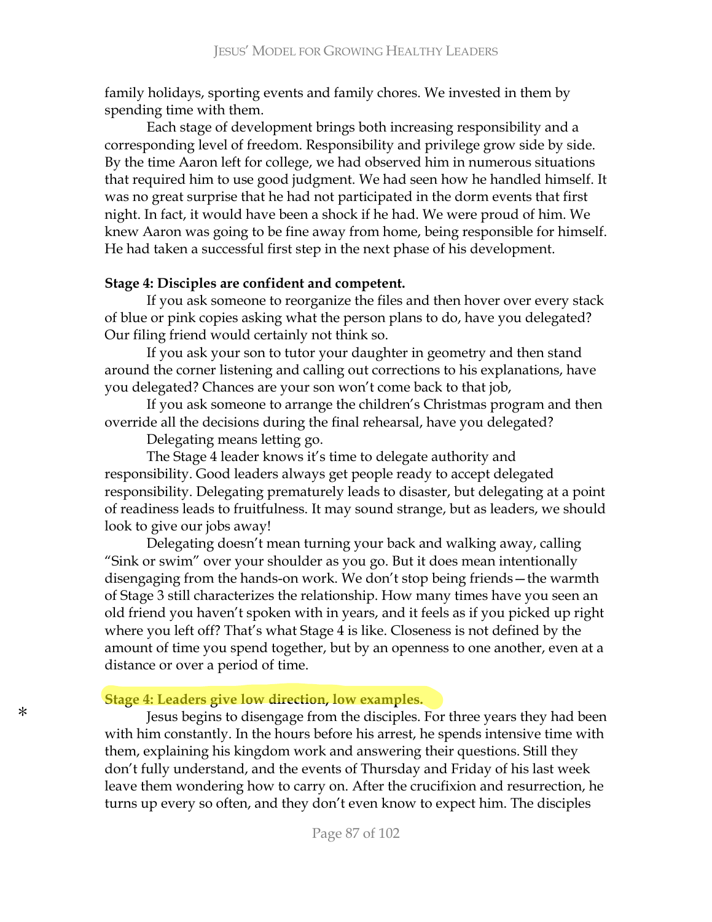family holidays, sporting events and family chores. We invested in them by spending time with them.

Each stage of development brings both increasing responsibility and a corresponding level of freedom. Responsibility and privilege grow side by side. By the time Aaron left for college, we had observed him in numerous situations that required him to use good judgment. We had seen how he handled himself. It was no great surprise that he had not participated in the dorm events that first night. In fact, it would have been a shock if he had. We were proud of him. We knew Aaron was going to be fine away from home, being responsible for himself. He had taken a successful first step in the next phase of his development.

### **Stage 4: Disciples are confident and competent.**

If you ask someone to reorganize the files and then hover over every stack of blue or pink copies asking what the person plans to do, have you delegated? Our filing friend would certainly not think so.

If you ask your son to tutor your daughter in geometry and then stand around the corner listening and calling out corrections to his explanations, have you delegated? Chances are your son won't come back to that job,

If you ask someone to arrange the children's Christmas program and then override all the decisions during the final rehearsal, have you delegated?

Delegating means letting go.

The Stage 4 leader knows it's time to delegate authority and responsibility. Good leaders always get people ready to accept delegated responsibility. Delegating prematurely leads to disaster, but delegating at a point of readiness leads to fruitfulness. It may sound strange, but as leaders, we should look to give our jobs away!

Delegating doesn't mean turning your back and walking away, calling "Sink or swim" over your shoulder as you go. But it does mean intentionally disengaging from the hands-on work. We don't stop being friends - the warmth of Stage 3 still characterizes the relationship. How many times have you seen an old friend you haven't spoken with in years, and it feels as if you picked up right where you left off? That's what Stage 4 is like. Closeness is not defined by the amount of time you spend together, but by an openness to one another, even at a distance or over a period of time.

## **Stage 4: Leaders give low direction, low examples.**

Jesus begins to disengage from the disciples. For three years they had been with him constantly. In the hours before his arrest, he spends intensive time with them, explaining his kingdom work and answering their questions. Still they don't fully understand, and the events of Thursday and Friday of his last week leave them wondering how to carry on. After the crucifixion and resurrection, he turns up every so often, and they don't even know to expect him. The disciples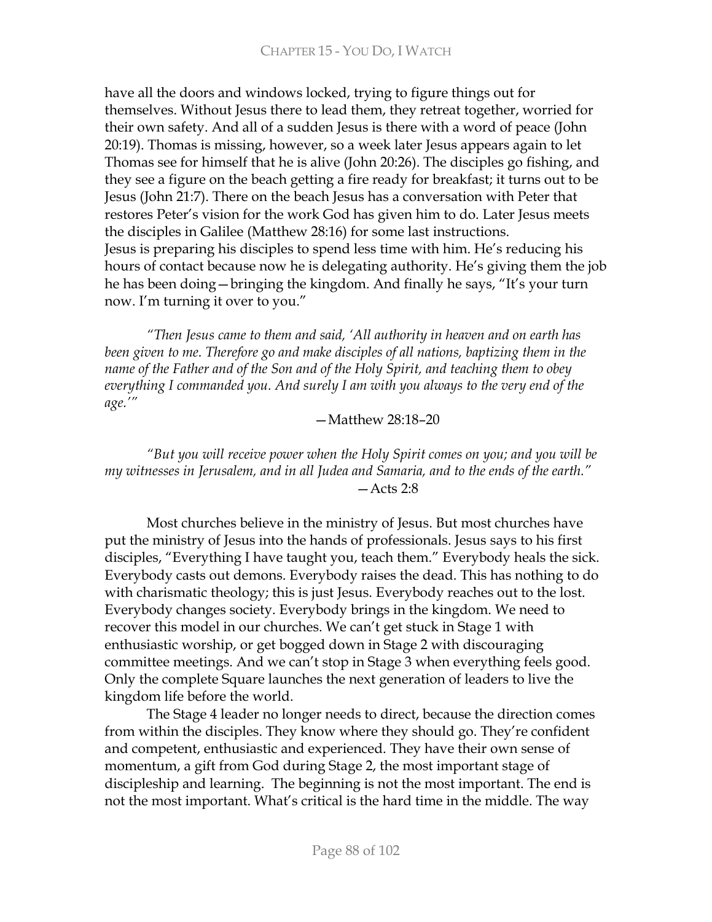have all the doors and windows locked, trying to figure things out for themselves. Without Jesus there to lead them, they retreat together, worried for their own safety. And all of a sudden Jesus is there with a word of peace (John 20:19). Thomas is missing, however, so a week later Jesus appears again to let Thomas see for himself that he is alive (John 20:26). The disciples go fishing, and they see a figure on the beach getting a fire ready for breakfast; it turns out to be Jesus (John 21:7). There on the beach Jesus has a conversation with Peter that restores Peter's vision for the work God has given him to do. Later Jesus meets the disciples in Galilee (Matthew 28:16) for some last instructions. Jesus is preparing his disciples to spend less time with him. He's reducing his hours of contact because now he is delegating authority. He's giving them the job he has been doing – bringing the kingdom. And finally he says, "It's your turn now. I'm turning it over to you."

"Then Jesus came to them and said, 'All authority in heaven and on earth has been given to me. Therefore go and make disciples of all nations, baptizing them in the name of the Father and of the Son and of the Holy Spirit, and teaching them to obey everything I commanded you. And surely I am with you always to the very end of the  $age.'''$ 

### $-Mat$ thew 28:18-20

### "But you will receive power when the Holy Spirit comes on you; and you will be my witnesses in Jerusalem, and in all Judea and Samaria, and to the ends of the earth."  $-$  Acts 2:8

Most churches believe in the ministry of Jesus. But most churches have put the ministry of Jesus into the hands of professionals. Jesus says to his first disciples, "Everything I have taught you, teach them." Everybody heals the sick. Everybody casts out demons. Everybody raises the dead. This has nothing to do with charismatic theology; this is just Jesus. Everybody reaches out to the lost. Everybody changes society. Everybody brings in the kingdom. We need to recover this model in our churches. We can't get stuck in Stage 1 with enthusiastic worship, or get bogged down in Stage 2 with discouraging committee meetings. And we can't stop in Stage 3 when everything feels good. Only the complete Square launches the next generation of leaders to live the kingdom life before the world.

The Stage 4 leader no longer needs to direct, because the direction comes from within the disciples. They know where they should go. They're confident and competent, enthusiastic and experienced. They have their own sense of momentum, a gift from God during Stage 2, the most important stage of discipleship and learning. The beginning is not the most important. The end is not the most important. What's critical is the hard time in the middle. The way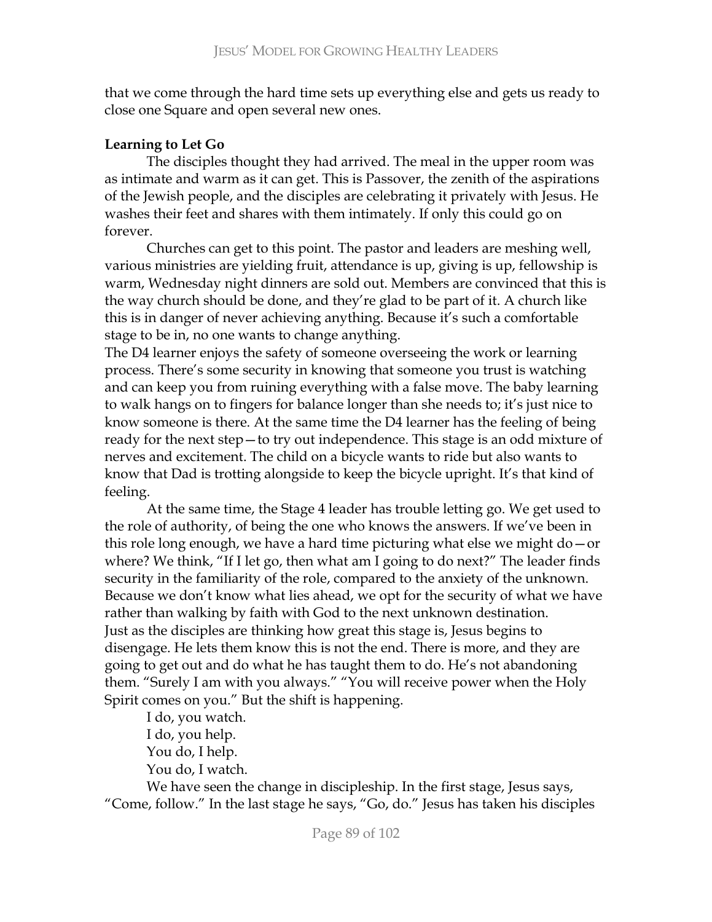that we come through the hard time sets up everything else and gets us ready to close one Square and open several new ones.

# **Learning to Let Go**

The disciples thought they had arrived. The meal in the upper room was as intimate and warm as it can get. This is Passover, the zenith of the aspirations of the Jewish people, and the disciples are celebrating it privately with Jesus. He washes their feet and shares with them intimately. If only this could go on forever.

Churches can get to this point. The pastor and leaders are meshing well, various ministries are yielding fruit, attendance is up, giving is up, fellowship is warm, Wednesday night dinners are sold out. Members are convinced that this is the way church should be done, and they're glad to be part of it. A church like this is in danger of never achieving anything. Because it's such a comfortable stage to be in, no one wants to change anything.

The D4 learner enjoys the safety of someone overseeing the work or learning process. There's some security in knowing that someone you trust is watching and can keep you from ruining everything with a false move. The baby learning to walk hangs on to fingers for balance longer than she needs to; it's just nice to know someone is there. At the same time the D4 learner has the feeling of being ready for the next step-to try out independence. This stage is an odd mixture of nerves and excitement. The child on a bicycle wants to ride but also wants to know that Dad is trotting alongside to keep the bicycle upright. It's that kind of feeling.

At the same time, the Stage 4 leader has trouble letting go. We get used to the role of authority, of being the one who knows the answers. If we've been in this role long enough, we have a hard time picturing what else we might  $do - or$ where? We think, "If I let go, then what am I going to do next?" The leader finds security in the familiarity of the role, compared to the anxiety of the unknown. Because we don't know what lies ahead, we opt for the security of what we have rather than walking by faith with God to the next unknown destination. Just as the disciples are thinking how great this stage is, Jesus begins to disengage. He lets them know this is not the end. There is more, and they are going to get out and do what he has taught them to do. He's not abandoning them. "Surely I am with you always." "You will receive power when the Holy Spirit comes on you." But the shift is happening.

I do, you watch. I do, you help. You do, I help. You do, I watch.

We have seen the change in discipleship. In the first stage, Jesus says, "Come, follow." In the last stage he says, "Go, do." Jesus has taken his disciples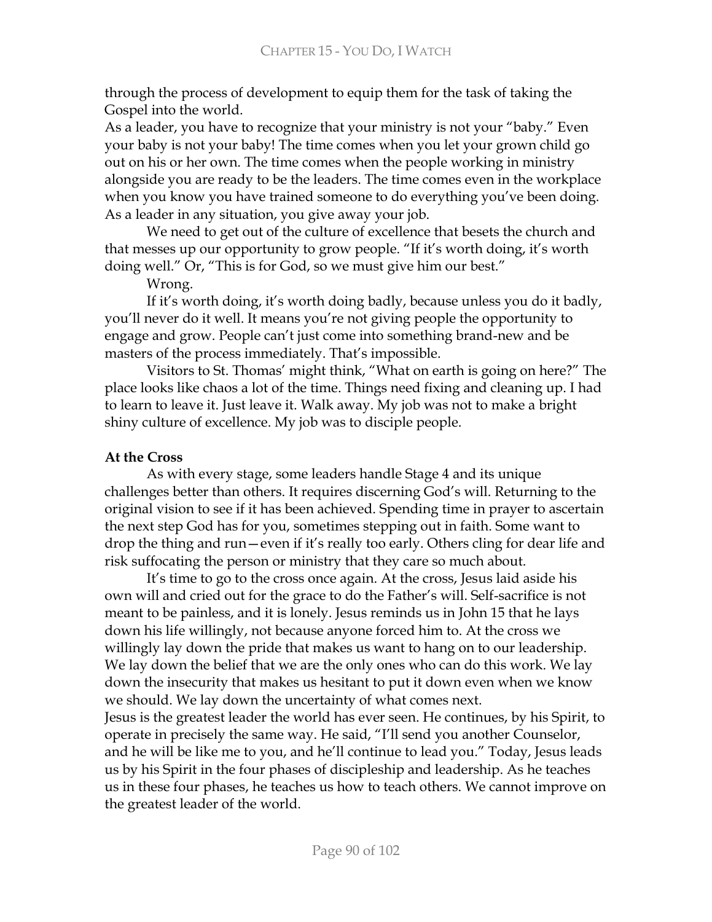through the process of development to equip them for the task of taking the Gospel into the world.

As a leader, you have to recognize that your ministry is not your "baby." Even your baby is not your baby! The time comes when you let your grown child go out on his or her own. The time comes when the people working in ministry alongside you are ready to be the leaders. The time comes even in the workplace when you know you have trained someone to do everything you've been doing. As a leader in any situation, you give away your job.

We need to get out of the culture of excellence that besets the church and that messes up our opportunity to grow people. "If it's worth doing, it's worth doing well." Or, "This is for God, so we must give him our best."

### Wrong.

If it's worth doing, it's worth doing badly, because unless you do it badly, you'll never do it well. It means you're not giving people the opportunity to engage and grow. People can't just come into something brand-new and be masters of the process immediately. That's impossible.

Visitors to St. Thomas' might think, "What on earth is going on here?" The place looks like chaos a lot of the time. Things need fixing and cleaning up. I had to learn to leave it. Just leave it. Walk away. My job was not to make a bright shiny culture of excellence. My job was to disciple people.

## **At the Cross**

As with every stage, some leaders handle Stage 4 and its unique challenges better than others. It requires discerning God's will. Returning to the original vision to see if it has been achieved. Spending time in prayer to ascertain the next step God has for you, sometimes stepping out in faith. Some want to drop the thing and run-even if it's really too early. Others cling for dear life and risk suffocating the person or ministry that they care so much about.

It's time to go to the cross once again. At the cross, Jesus laid aside his own will and cried out for the grace to do the Father's will. Self-sacrifice is not meant to be painless, and it is lonely. Jesus reminds us in John 15 that he lays down his life willingly, not because anyone forced him to. At the cross we willingly lay down the pride that makes us want to hang on to our leadership. We lay down the belief that we are the only ones who can do this work. We lay down the insecurity that makes us hesitant to put it down even when we know we should. We lay down the uncertainty of what comes next. Jesus is the greatest leader the world has ever seen. He continues, by his Spirit, to operate in precisely the same way. He said, "I'll send you another Counselor, and he will be like me to you, and he'll continue to lead you." Today, Jesus leads us by his Spirit in the four phases of discipleship and leadership. As he teaches us in these four phases, he teaches us how to teach others. We cannot improve on the greatest leader of the world.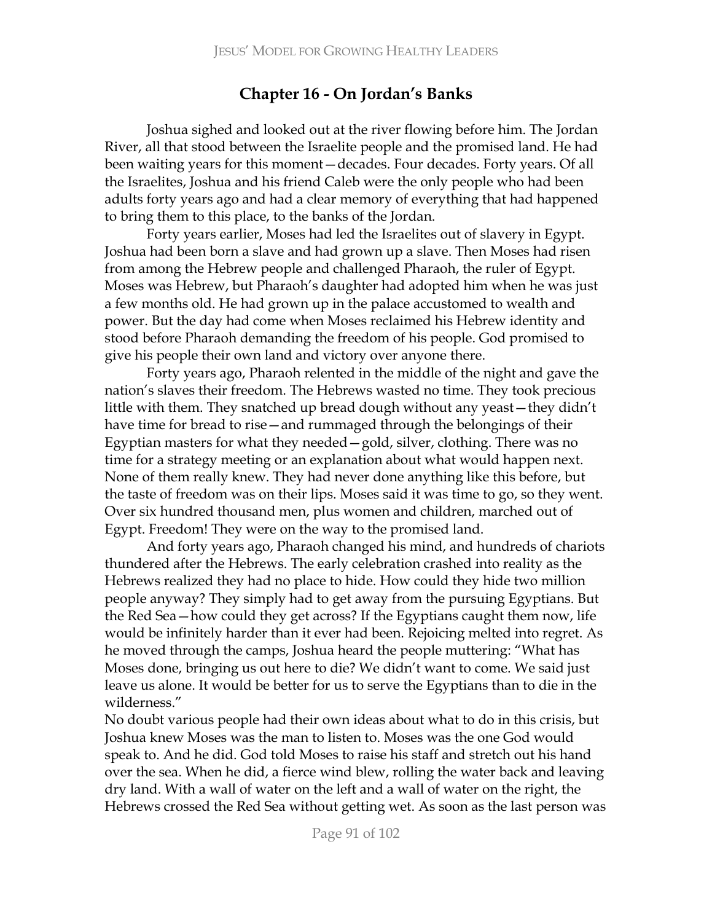# **16 - On Jordan's Banks**

Joshua sighed and looked out at the river flowing before him. The Jordan River, all that stood between the Israelite people and the promised land. He had been waiting years for this moment - decades. Four decades. Forty years. Of all the Israelites, Joshua and his friend Caleb were the only people who had been adults forty years ago and had a clear memory of everything that had happened to bring them to this place, to the banks of the Jordan.

Forty years earlier, Moses had led the Israelites out of slavery in Egypt. Joshua had been born a slave and had grown up a slave. Then Moses had risen from among the Hebrew people and challenged Pharaoh, the ruler of Egypt. Moses was Hebrew, but Pharaoh's daughter had adopted him when he was just a few months old. He had grown up in the palace accustomed to wealth and power. But the day had come when Moses reclaimed his Hebrew identity and stood before Pharaoh demanding the freedom of his people. God promised to give his people their own land and victory over anyone there.

Forty years ago, Pharaoh relented in the middle of the night and gave the nation's slaves their freedom. The Hebrews wasted no time. They took precious little with them. They snatched up bread dough without any yeast – they didn't have time for bread to rise—and rummaged through the belongings of their Egyptian masters for what they needed – gold, silver, clothing. There was no time for a strategy meeting or an explanation about what would happen next. None of them really knew. They had never done anything like this before, but the taste of freedom was on their lips. Moses said it was time to go, so they went. Over six hundred thousand men, plus women and children, marched out of Egypt. Freedom! They were on the way to the promised land.

And forty years ago, Pharaoh changed his mind, and hundreds of chariots thundered after the Hebrews. The early celebration crashed into reality as the Hebrews realized they had no place to hide. How could they hide two million people anyway? They simply had to get away from the pursuing Egyptians. But the Red Sea - how could they get across? If the Egyptians caught them now, life would be infinitely harder than it ever had been. Rejoicing melted into regret. As he moved through the camps, Joshua heard the people muttering: "What has Moses done, bringing us out here to die? We didn't want to come. We said just leave us alone. It would be better for us to serve the Egyptians than to die in the wilderness."

No doubt various people had their own ideas about what to do in this crisis, but Joshua knew Moses was the man to listen to. Moses was the one God would speak to. And he did. God told Moses to raise his staff and stretch out his hand over the sea. When he did, a fierce wind blew, rolling the water back and leaving dry land. With a wall of water on the left and a wall of water on the right, the Hebrews crossed the Red Sea without getting wet. As soon as the last person was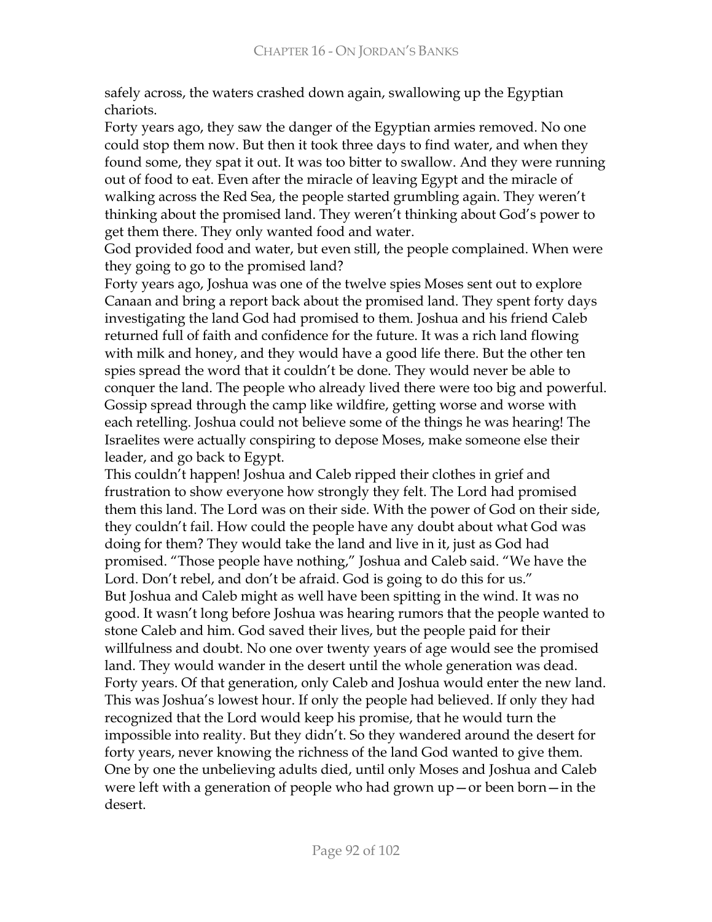safely across, the waters crashed down again, swallowing up the Egyptian chariots.

Forty years ago, they saw the danger of the Egyptian armies removed. No one could stop them now. But then it took three days to find water, and when they found some, they spat it out. It was too bitter to swallow. And they were running out of food to eat. Even after the miracle of leaving Egypt and the miracle of walking across the Red Sea, the people started grumbling again. They weren't thinking about the promised land. They weren't thinking about God's power to get them there. They only wanted food and water.

God provided food and water, but even still, the people complained. When were they going to go to the promised land?

Forty years ago, Joshua was one of the twelve spies Moses sent out to explore Canaan and bring a report back about the promised land. They spent forty days investigating the land God had promised to them. Joshua and his friend Caleb returned full of faith and confidence for the future. It was a rich land flowing with milk and honey, and they would have a good life there. But the other ten spies spread the word that it couldn't be done. They would never be able to conquer the land. The people who already lived there were too big and powerful. Gossip spread through the camp like wildfire, getting worse and worse with each retelling. Joshua could not believe some of the things he was hearing! The Israelites were actually conspiring to depose Moses, make someone else their leader, and go back to Egypt.

This couldn't happen! Joshua and Caleb ripped their clothes in grief and frustration to show everyone how strongly they felt. The Lord had promised them this land. The Lord was on their side. With the power of God on their side, they couldn't fail. How could the people have any doubt about what God was doing for them? They would take the land and live in it, just as God had promised. "Those people have nothing," Joshua and Caleb said. "We have the Lord. Don't rebel, and don't be afraid. God is going to do this for us." But Joshua and Caleb might as well have been spitting in the wind. It was no good. It wasn't long before Joshua was hearing rumors that the people wanted to stone Caleb and him. God saved their lives, but the people paid for their willfulness and doubt. No one over twenty years of age would see the promised land. They would wander in the desert until the whole generation was dead. Forty years. Of that generation, only Caleb and Joshua would enter the new land. This was Joshua's lowest hour. If only the people had believed. If only they had recognized that the Lord would keep his promise, that he would turn the impossible into reality. But they didn't. So they wandered around the desert for forty years, never knowing the richness of the land God wanted to give them. One by one the unbelieving adults died, until only Moses and Joshua and Caleb were left with a generation of people who had grown  $up$  – or been born – in the desert.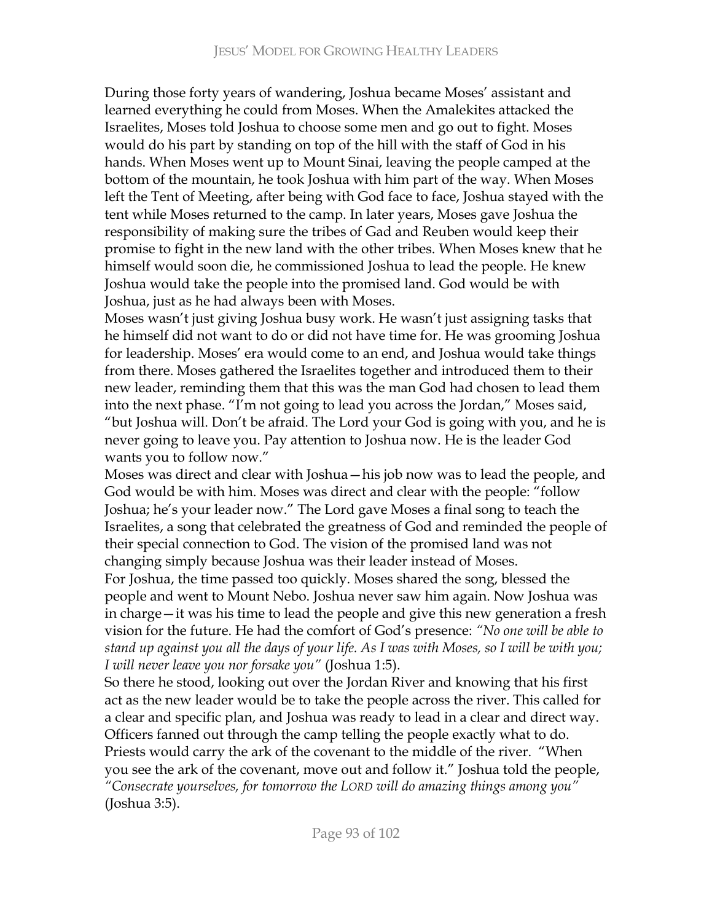During those forty years of wandering, Joshua became Moses' assistant and learned everything he could from Moses. When the Amalekites attacked the Israelites, Moses told Joshua to choose some men and go out to fight. Moses would do his part by standing on top of the hill with the staff of God in his hands. When Moses went up to Mount Sinai, leaving the people camped at the bottom of the mountain, he took Joshua with him part of the way. When Moses left the Tent of Meeting, after being with God face to face, Joshua stayed with the tent while Moses returned to the camp. In later years, Moses gave Joshua the responsibility of making sure the tribes of Gad and Reuben would keep their promise to fight in the new land with the other tribes. When Moses knew that he himself would soon die, he commissioned Joshua to lead the people. He knew Joshua would take the people into the promised land. God would be with Joshua, just as he had always been with Moses.

Moses wasn't just giving Joshua busy work. He wasn't just assigning tasks that he himself did not want to do or did not have time for. He was grooming Joshua for leadership. Moses' era would come to an end, and Joshua would take things from there. Moses gathered the Israelites together and introduced them to their new leader, reminding them that this was the man God had chosen to lead them into the next phase. "I'm not going to lead you across the Jordan," Moses said, "but Joshua will. Don't be afraid. The Lord your God is going with you, and he is never going to leave you. Pay attention to Joshua now. He is the leader God wants you to follow now."

Moses was direct and clear with Joshua – his job now was to lead the people, and God would be with him. Moses was direct and clear with the people: "follow Joshua; he's your leader now." The Lord gave Moses a final song to teach the Israelites, a song that celebrated the greatness of God and reminded the people of their special connection to God. The vision of the promised land was not changing simply because Joshua was their leader instead of Moses.

For Joshua, the time passed too quickly. Moses shared the song, blessed the people and went to Mount Nebo. Joshua never saw him again. Now Joshua was in charge - it was his time to lead the people and give this new generation a fresh b vision for the future. He had the comfort of God's presence: "No one will be able to stand up against you all the days of your life. As I was with Moses, so I will be with you; *I* will never leave you nor forsake you" (Joshua 1:5).

So there he stood, looking out over the Jordan River and knowing that his first act as the new leader would be to take the people across the river. This called for a clear and specific plan, and Joshua was ready to lead in a clear and direct way. Officers fanned out through the camp telling the people exactly what to do. Priests would carry the ark of the covenant to the middle of the river. "When you see the ark of the covenant, move out and follow it." Joshua told the people, "Consecrate yourselves, for tomorrow the LORD will do amazing things among you" (Joshua 3:5).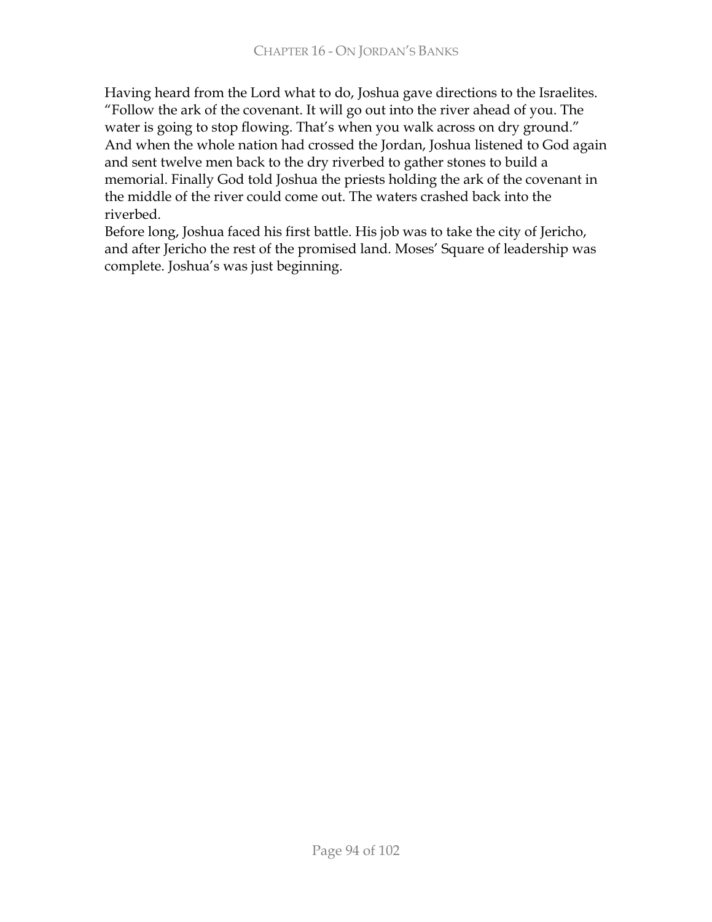Having heard from the Lord what to do, Joshua gave directions to the Israelites. "Follow the ark of the covenant. It will go out into the river ahead of you. The water is going to stop flowing. That's when you walk across on dry ground." And when the whole nation had crossed the Jordan, Joshua listened to God again and sent twelve men back to the dry riverbed to gather stones to build a memorial. Finally God told Joshua the priests holding the ark of the covenant in the middle of the river could come out. The waters crashed back into the riverbed.

Before long, Joshua faced his first battle. His job was to take the city of Jericho, and after Jericho the rest of the promised land. Moses' Square of leadership was complete. Joshua's was just beginning.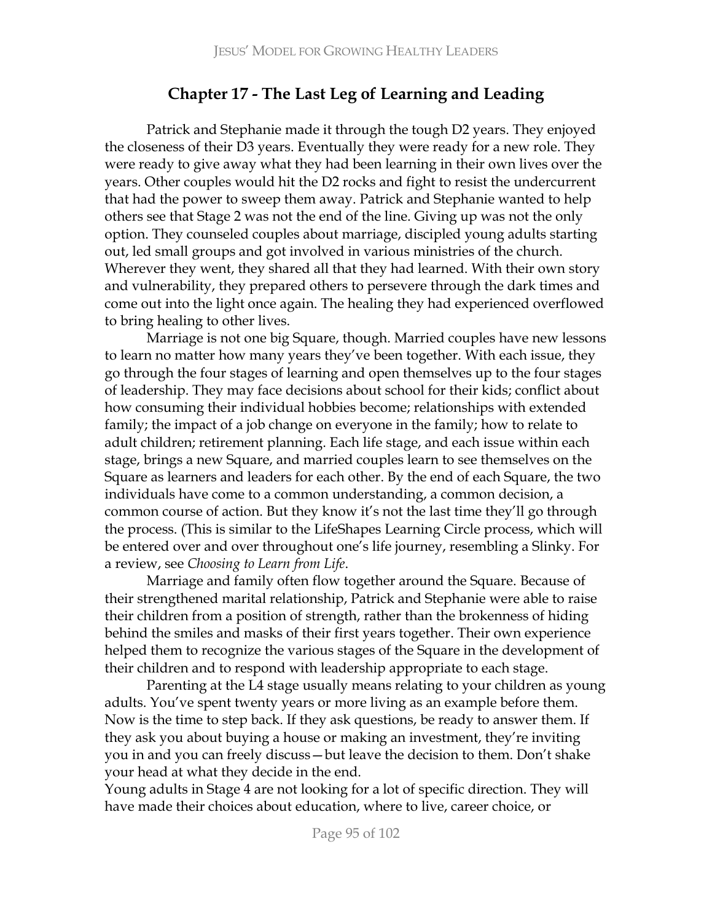# **Chapter 17 - The Last Leg of Learning and Leading**

Patrick and Stephanie made it through the tough D2 years. They enjoyed the closeness of their D3 years. Eventually they were ready for a new role. They were ready to give away what they had been learning in their own lives over the years. Other couples would hit the D2 rocks and fight to resist the undercurrent that had the power to sweep them away. Patrick and Stephanie wanted to help others see that Stage 2 was not the end of the line. Giving up was not the only option. They counseled couples about marriage, discipled young adults starting out, led small groups and got involved in various ministries of the church. Wherever they went, they shared all that they had learned. With their own story and vulnerability, they prepared others to persevere through the dark times and come out into the light once again. The healing they had experienced overflowed to bring healing to other lives.

Marriage is not one big Square, though. Married couples have new lessons to learn no matter how many years they've been together. With each issue, they go through the four stages of learning and open themselves up to the four stages of leadership. They may face decisions about school for their kids; conflict about how consuming their individual hobbies become; relationships with extended family; the impact of a job change on everyone in the family; how to relate to adult children; retirement planning. Each life stage, and each issue within each stage, brings a new Square, and married couples learn to see themselves on the Square as learners and leaders for each other. By the end of each Square, the two individuals have come to a common understanding, a common decision, a common course of action. But they know it's not the last time they'll go through the process. (This is similar to the LifeShapes Learning Circle process, which will be entered over and over throughout one's life journey, resembling a Slinky. For a review, see *Choosing to Learn from Life*.

Marriage and family often flow together around the Square. Because of their strengthened marital relationship, Patrick and Stephanie were able to raise their children from a position of strength, rather than the brokenness of hiding behind the smiles and masks of their first years together. Their own experience helped them to recognize the various stages of the Square in the development of their children and to respond with leadership appropriate to each stage.

Parenting at the L4 stage usually means relating to your children as young adults. You've spent twenty years or more living as an example before them. Now is the time to step back. If they ask questions, be ready to answer them. If they ask you about buying a house or making an investment, they're inviting you in and you can freely discuss – but leave the decision to them. Don't shake your head at what they decide in the end.

Young adults in Stage 4 are not looking for a lot of specific direction. They will have made their choices about education, where to live, career choice, or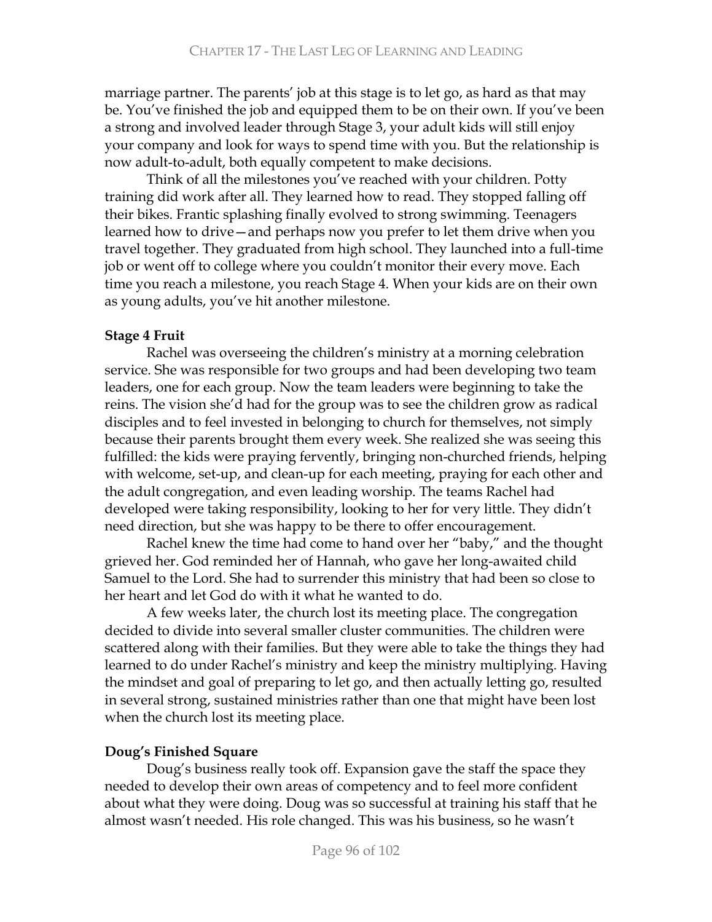marriage partner. The parents' job at this stage is to let go, as hard as that may be. You've finished the job and equipped them to be on their own. If you've been a strong and involved leader through Stage 3, your adult kids will still enjoy your company and look for ways to spend time with you. But the relationship is now adult-to-adult, both equally competent to make decisions.

Think of all the milestones you've reached with your children. Potty training did work after all. They learned how to read. They stopped falling off their bikes. Frantic splashing finally evolved to strong swimming. Teenagers learned how to drive—and perhaps now you prefer to let them drive when you travel together. They graduated from high school. They launched into a full-time job or went off to college where you couldn't monitor their every move. Each time you reach a milestone, you reach Stage 4. When your kids are on their own as young adults, you've hit another milestone.

### **Stage 4 Fruit**

Rachel was overseeing the children's ministry at a morning celebration service. She was responsible for two groups and had been developing two team leaders, one for each group. Now the team leaders were beginning to take the reins. The vision she'd had for the group was to see the children grow as radical disciples and to feel invested in belonging to church for themselves, not simply because their parents brought them every week. She realized she was seeing this fulfilled: the kids were praying fervently, bringing non-churched friends, helping with welcome, set-up, and clean-up for each meeting, praying for each other and the adult congregation, and even leading worship. The teams Rachel had developed were taking responsibility, looking to her for very little. They didn't need direction, but she was happy to be there to offer encouragement.

Rachel knew the time had come to hand over her "baby," and the thought grieved her. God reminded her of Hannah, who gave her long-awaited child Samuel to the Lord. She had to surrender this ministry that had been so close to her heart and let God do with it what he wanted to do.

A few weeks later, the church lost its meeting place. The congregation decided to divide into several smaller cluster communities. The children were scattered along with their families. But they were able to take the things they had learned to do under Rachel's ministry and keep the ministry multiplying. Having the mindset and goal of preparing to let go, and then actually letting go, resulted in several strong, sustained ministries rather than one that might have been lost when the church lost its meeting place.

## Doug's Finished Square

Doug's business really took off. Expansion gave the staff the space they needed to develop their own areas of competency and to feel more confident about what they were doing. Doug was so successful at training his staff that he almost wasn't needed. His role changed. This was his business, so he wasn't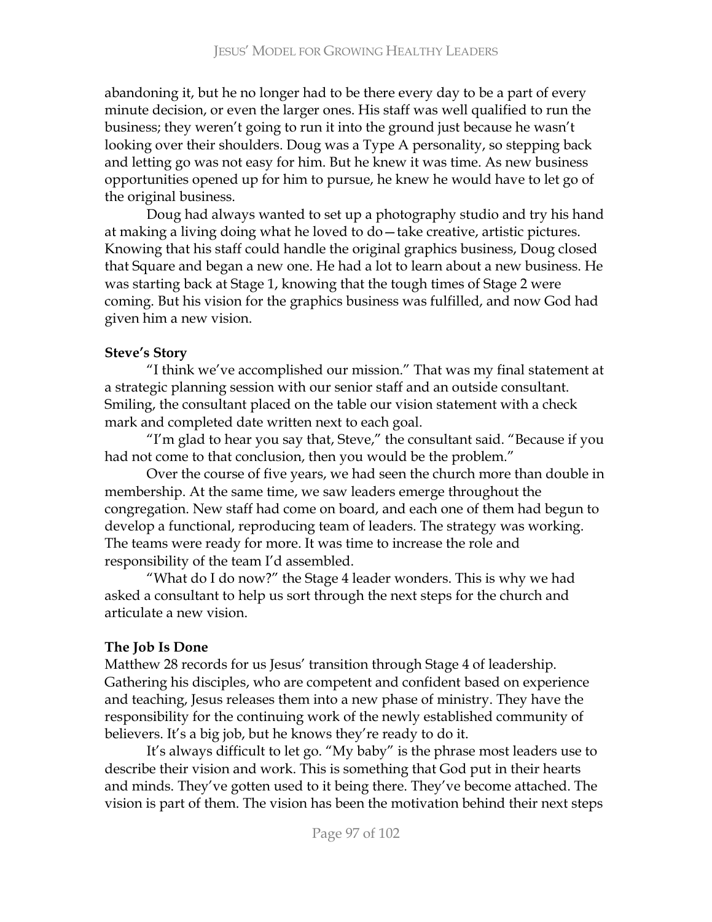abandoning it, but he no longer had to be there every day to be a part of every minute decision, or even the larger ones. His staff was well qualified to run the business; they weren't going to run it into the ground just because he wasn't looking over their shoulders. Doug was a Type A personality, so stepping back and letting go was not easy for him. But he knew it was time. As new business opportunities opened up for him to pursue, he knew he would have to let go of the original business.

Doug had always wanted to set up a photography studio and try his hand at making a living doing what he loved to do - take creative, artistic pictures. Knowing that his staff could handle the original graphics business, Doug closed that Square and began a new one. He had a lot to learn about a new business. He was starting back at Stage 1, knowing that the tough times of Stage 2 were coming. But his vision for the graphics business was fulfilled, and now God had given him a new vision.

## **Steve's Story**

"I think we've accomplished our mission." That was my final statement at a strategic planning session with our senior staff and an outside consultant. Smiling, the consultant placed on the table our vision statement with a check mark and completed date written next to each goal.

"I'm glad to hear you say that, Steve," the consultant said. "Because if you had not come to that conclusion, then you would be the problem."

Over the course of five years, we had seen the church more than double in membership. At the same time, we saw leaders emerge throughout the congregation. New staff had come on board, and each one of them had begun to develop a functional, reproducing team of leaders. The strategy was working. The teams were ready for more. It was time to increase the role and responsibility of the team I'd assembled.

"What do I do now?" the Stage 4 leader wonders. This is why we had asked a consultant to help us sort through the next steps for the church and articulate a new vision.

# The Job Is Done

Matthew 28 records for us Jesus' transition through Stage 4 of leadership. Gathering his disciples, who are competent and confident based on experience and teaching, Jesus releases them into a new phase of ministry. They have the responsibility for the continuing work of the newly established community of believers. It's a big job, but he knows they're ready to do it.

It's always difficult to let go. "My baby" is the phrase most leaders use to describe their vision and work. This is something that God put in their hearts and minds. They've gotten used to it being there. They've become attached. The  $vision$  is part of them. The vision has been the motivation behind their next steps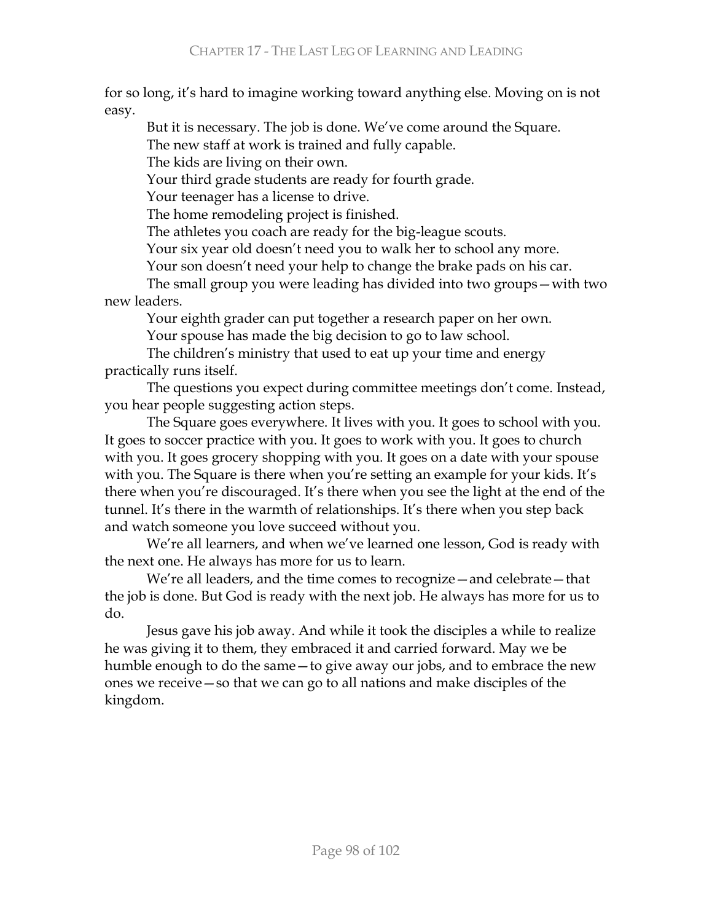for so long, it's hard to imagine working toward anything else. Moving on is not easy.

But it is necessary. The job is done. We've come around the Square.

The new staff at work is trained and fully capable.

The kids are living on their own.

Your third grade students are ready for fourth grade.

Your teenager has a license to drive.

The home remodeling project is finished.

The athletes you coach are ready for the big-league scouts.

Your six year old doesn't need you to walk her to school any more.

Your son doesn't need your help to change the brake pads on his car.

The small group you were leading has divided into two groups – with two new leaders.

Your eighth grader can put together a research paper on her own.

Your spouse has made the big decision to go to law school.

The children's ministry that used to eat up your time and energy practically runs itself.

The questions you expect during committee meetings don't come. Instead, you hear people suggesting action steps.

The Square goes everywhere. It lives with you. It goes to school with you. It goes to soccer practice with you. It goes to work with you. It goes to church with you. It goes grocery shopping with you. It goes on a date with your spouse with you. The Square is there when you're setting an example for your kids. It's there when you're discouraged. It's there when you see the light at the end of the tunnel. It's there in the warmth of relationships. It's there when you step back and watch someone you love succeed without you.

We're all learners, and when we've learned one lesson, God is ready with the next one. He always has more for us to learn.

We're all leaders, and the time comes to recognize - and celebrate - that the job is done. But God is ready with the next job. He always has more for us to do.

Jesus gave his job away. And while it took the disciples a while to realize he was giving it to them, they embraced it and carried forward. May we be humble enough to do the same – to give away our jobs, and to embrace the new ones we receive – so that we can go to all nations and make disciples of the kingdom.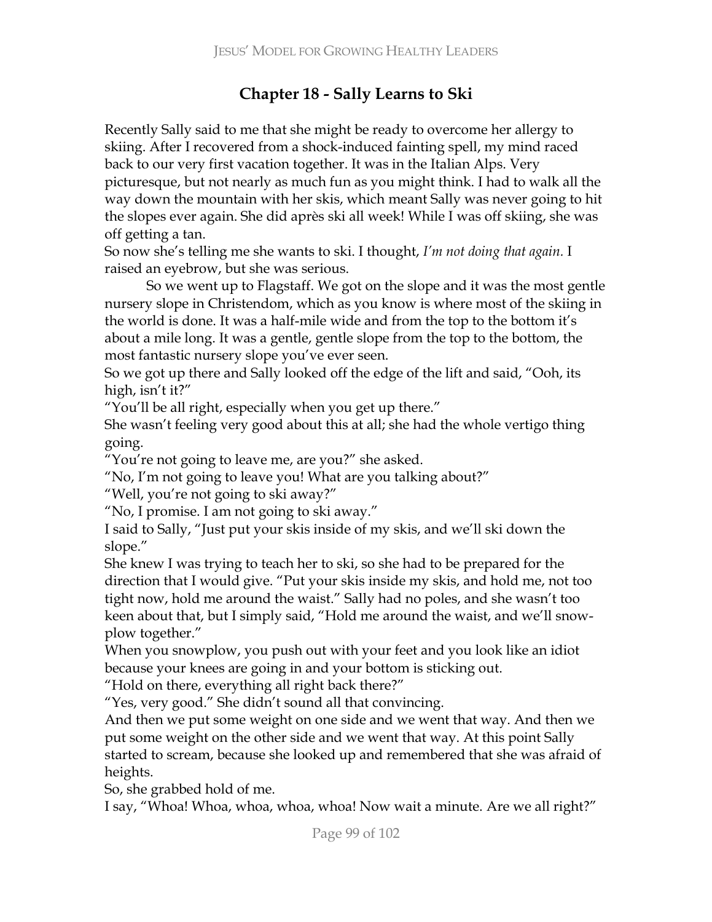# **Chapter 18 - Sally Learns to Ski**

Recently Sally said to me that she might be ready to overcome her allergy to skiing. After I recovered from a shock-induced fainting spell, my mind raced back to our very first vacation together. It was in the Italian Alps. Very picturesque, but not nearly as much fun as you might think. I had to walk all the way down the mountain with her skis, which meant Sally was never going to hit the slopes ever again. She did après ski all week! While I was off skiing, she was off getting a tan.

So now she's telling me she wants to ski. I thought, I'm not doing that again. I raised an eyebrow, but she was serious.

So we went up to Flagstaff. We got on the slope and it was the most gentle nursery slope in Christendom, which as you know is where most of the skiing in the world is done. It was a half-mile wide and from the top to the bottom it's about a mile long. It was a gentle, gentle slope from the top to the bottom, the most fantastic nursery slope you've ever seen.

So we got up there and Sally looked off the edge of the lift and said, "Ooh, its high, isn't it?"

"You'll be all right, especially when you get up there."

She wasn't feeling very good about this at all; she had the whole vertigo thing going.

"You're not going to leave me, are you?" she asked.

 $\mathrm{``No}$ , I'm not going to leave you! What are you talking about?"

"Well, you're not going to ski away?"

"No, I promise. I am not going to ski away."

I said to Sally, "Just put your skis inside of my skis, and we'll ski down the slope."

She knew I was trying to teach her to ski, so she had to be prepared for the direction that I would give. "Put your skis inside my skis, and hold me, not too tight now, hold me around the waist." Sally had no poles, and she wasn't too keen about that, but I simply said, "Hold me around the waist, and we'll snowplow together."

When you snowplow, you push out with your feet and you look like an idiot because your knees are going in and your bottom is sticking out.

"Hold on there, everything all right back there?"

"Yes, very good." She didn't sound all that convincing.

And then we put some weight on one side and we went that way. And then we put some weight on the other side and we went that way. At this point Sally started to scream, because she looked up and remembered that she was afraid of heights.

So, she grabbed hold of me.

I say, "Whoa! Whoa, whoa, whoa, whoa! Now wait a minute. Are we all right?"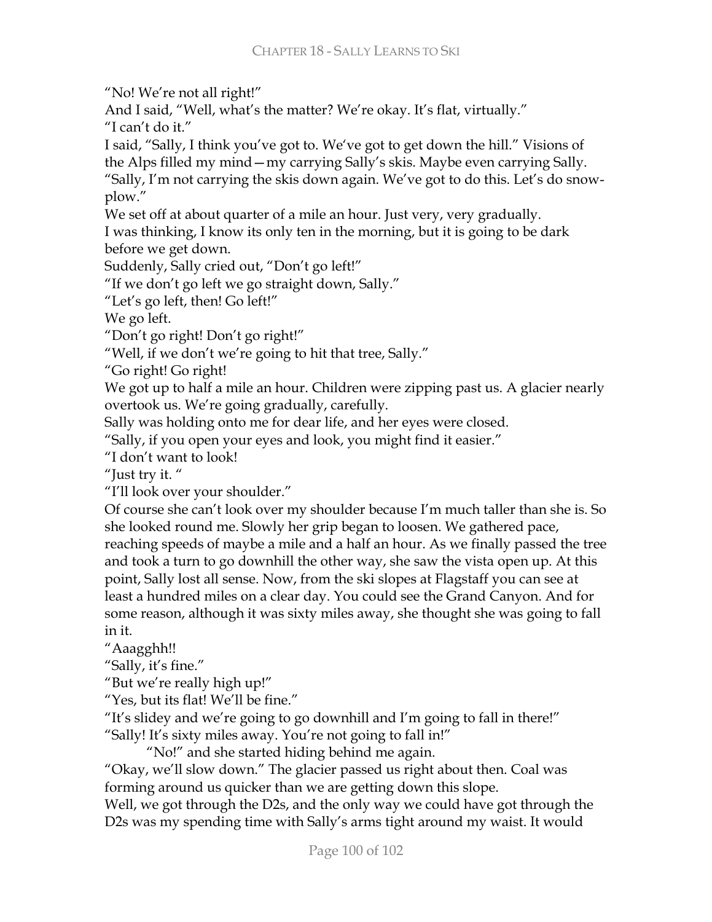"No! We're not all right!"

And I said, "Well, what's the matter? We're okay. It's flat, virtually."

"I can't do it."

I said, "Sally, I think you've got to. We've got to get down the hill." Visions of the Alps filled my mind - my carrying Sally's skis. Maybe even carrying Sally.

"Sally, I'm not carrying the skis down again. We've got to do this. Let's do snowplow."

We set off at about quarter of a mile an hour. Just very, very gradually.

I was thinking, I know its only ten in the morning, but it is going to be dark before we get down.

Suddenly, Sally cried out, "Don't go left!"

"If we don't go left we go straight down, Sally."

"Let's go left, then! Go left!"

We go left.

"Don't go right! Don't go right!"

"Well, if we don't we're going to hit that tree, Sally."

"Go right! Go right!

We got up to half a mile an hour. Children were zipping past us. A glacier nearly overtook us. We're going gradually, carefully.

Sally was holding onto me for dear life, and her eyes were closed.

"Sally, if you open your eyes and look, you might find it easier."

"I don't want to look!

"Just try it."

"I'll look over your shoulder."

Of course she can't look over my shoulder because I'm much taller than she is. So she looked round me. Slowly her grip began to loosen. We gathered pace, reaching speeds of maybe a mile and a half an hour. As we finally passed the tree and took a turn to go downhill the other way, she saw the vista open up. At this point, Sally lost all sense. Now, from the ski slopes at Flagstaff you can see at least a hundred miles on a clear day. You could see the Grand Canyon. And for some reason, although it was sixty miles away, she thought she was going to fall in it.

"Aaagghh!!

"Sally, it's fine."

"But we're really high up!"

"Yes, but its flat! We'll be fine."

"It's slidey and we're going to go downhill and I'm going to fall in there!" "Sally! It's sixty miles away. You're not going to fall in!"

"No!" and she started hiding behind me again.

"Okay, we'll slow down." The glacier passed us right about then. Coal was forming around us quicker than we are getting down this slope.

Well, we got through the D2s, and the only way we could have got through the D2s was my spending time with Sally's arms tight around my waist. It would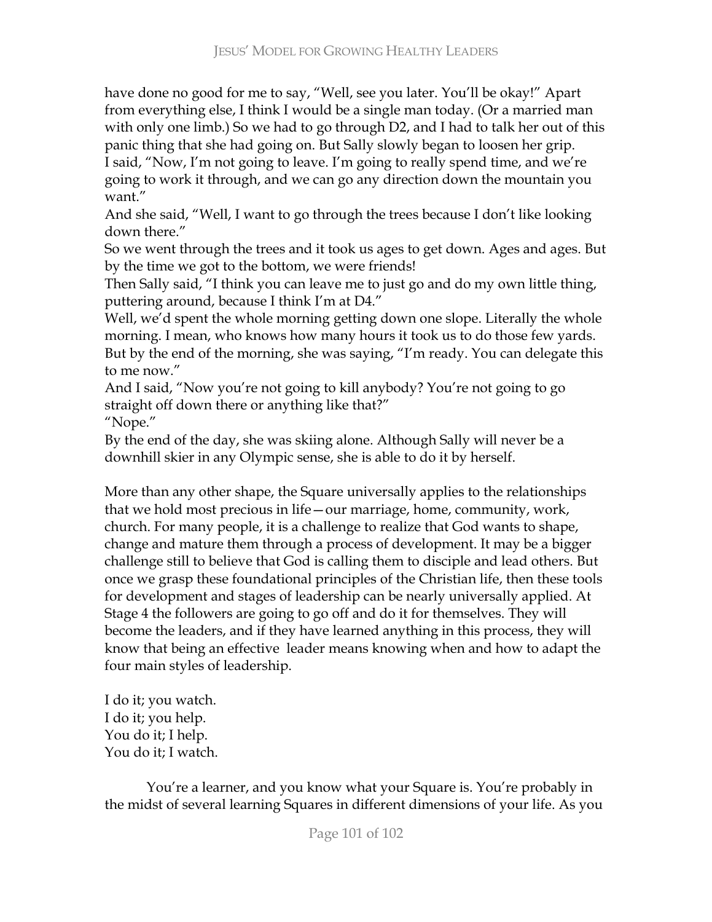have done no good for me to say, "Well, see you later. You'll be okay!" Apart from everything else, I think I would be a single man today. (Or a married man with only one limb.) So we had to go through D2, and I had to talk her out of this panic thing that she had going on. But Sally slowly began to loosen her grip. I said, "Now, I'm not going to leave. I'm going to really spend time, and we're going to work it through, and we can go any direction down the mountain you want"

And she said, "Well, I want to go through the trees because I don't like looking down there."

So we went through the trees and it took us ages to get down. Ages and ages. But by the time we got to the bottom, we were friends!

Then Sally said, "I think you can leave me to just go and do my own little thing, puttering around, because I think I'm at D4."

Well, we'd spent the whole morning getting down one slope. Literally the whole morning. I mean, who knows how many hours it took us to do those few yards. But by the end of the morning, she was saying, "I'm ready. You can delegate this to me now."

And I said, "Now you're not going to kill anybody? You're not going to go straight off down there or anything like that?"

"Nope."

By the end of the day, she was skiing alone. Although Sally will never be a downhill skier in any Olympic sense, she is able to do it by herself.

More than any other shape, the Square universally applies to the relationships that we hold most precious in life - our marriage, home, community, work, church. For many people, it is a challenge to realize that God wants to shape, change and mature them through a process of development. It may be a bigger challenge still to believe that God is calling them to disciple and lead others. But once we grasp these foundational principles of the Christian life, then these tools for development and stages of leadership can be nearly universally applied. At Stage 4 the followers are going to go off and do it for themselves. They will become the leaders, and if they have learned anything in this process, they will know that being an effective leader means knowing when and how to adapt the four main styles of leadership.

I do it; you watch. I do it; you help. You do it; I help. You do it: I watch.

You're a learner, and you know what your Square is. You're probably in the midst of several learning Squares in different dimensions of your life. As you